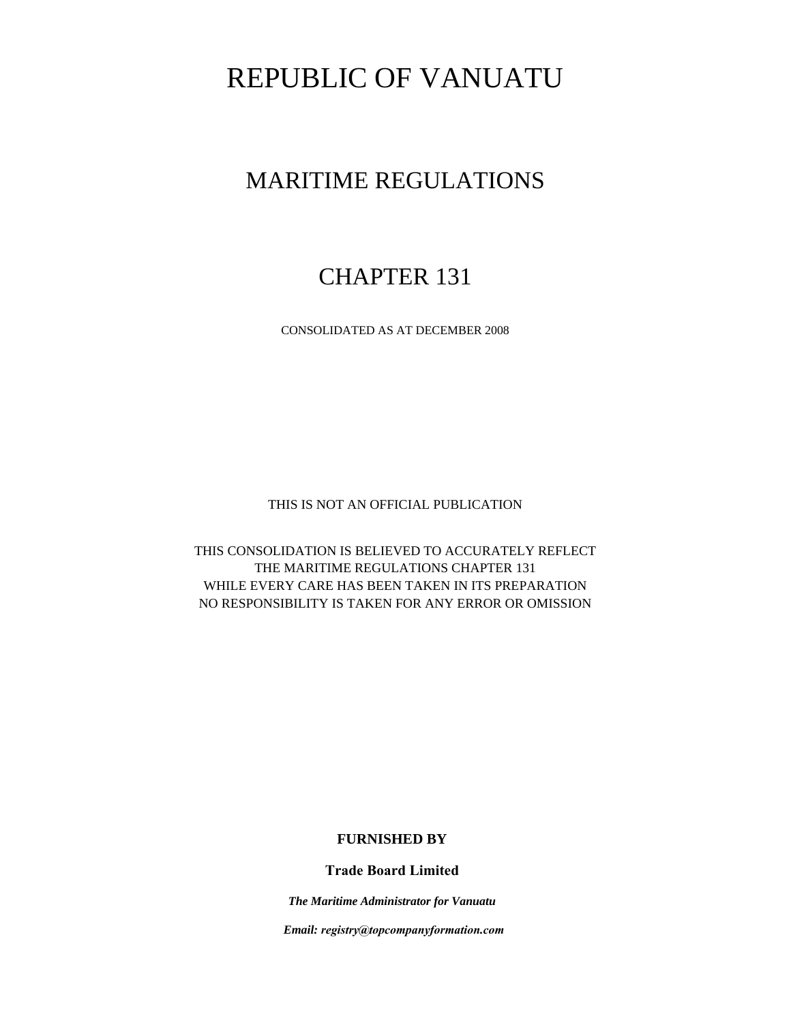# REPUBLIC OF VANUATU

## MARITIME REGULATIONS

## CHAPTER 131

CONSOLIDATED AS AT DECEMBER 2008

THIS IS NOT AN OFFICIAL PUBLICATION

THIS CONSOLIDATION IS BELIEVED TO ACCURATELY REFLECT THE MARITIME REGULATIONS CHAPTER 131 WHILE EVERY CARE HAS BEEN TAKEN IN ITS PREPARATION NO RESPONSIBILITY IS TAKEN FOR ANY ERROR OR OMISSION

## **FURNISHED BY**

**Trade Board Limited**

*The Maritime Administrator for Vanuatu*

 *Email: registry@topcompanyformation.com*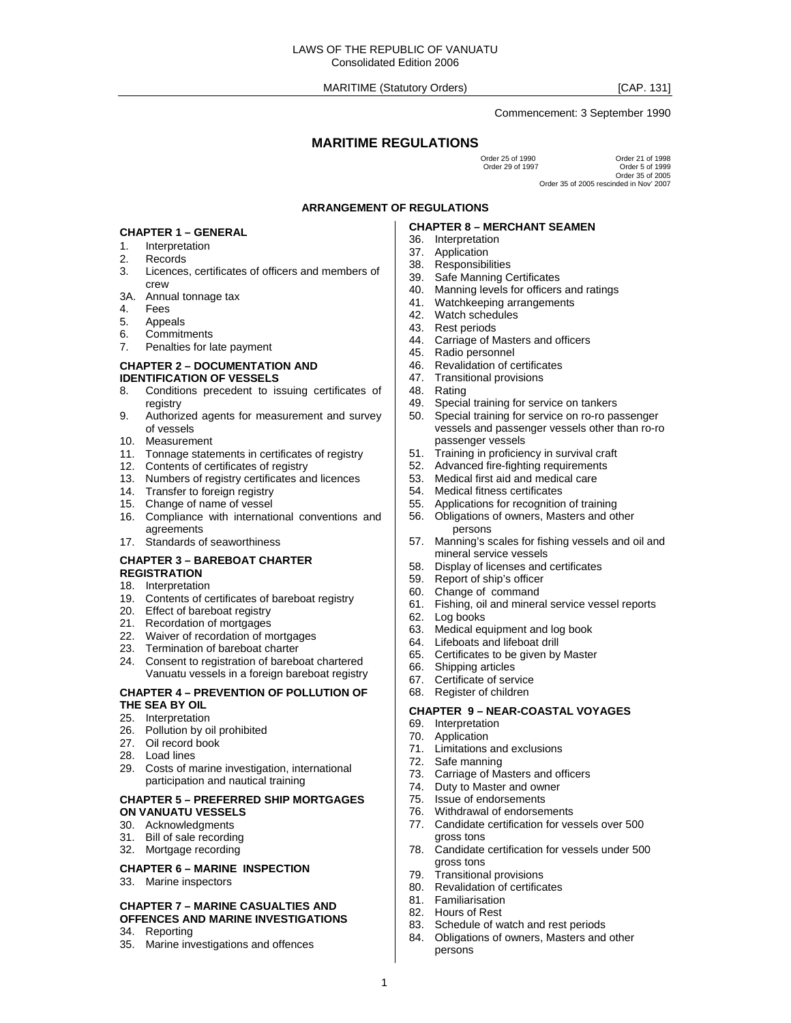Commencement: 3 September 1990

## **MARITIME REGULATIONS**

Order 25 of 1990 Order 21 of 1998 Order 5 of 1999 Order 35 of 2005 Order 35 of 2005 rescinded in Nov' 2007

#### **ARRANGEMENT OF REGULATIONS**

#### **CHAPTER 1 – GENERAL**

- 1. Interpretation
- 2. Records
- 3. Licences, certificates of officers and members of crew
- 3A. Annual tonnage tax
- 4. Fees<br>5. Appe
- **Appeals**
- 6. Commitments
- 7. Penalties for late payment

#### **CHAPTER 2 – DOCUMENTATION AND IDENTIFICATION OF VESSELS**

- 8. Conditions precedent to issuing certificates of registry
- 9. Authorized agents for measurement and survey of vessels
- 10. Measurement
- 11. Tonnage statements in certificates of registry
- 12. Contents of certificates of registry
- 13. Numbers of registry certificates and licences
- 14. Transfer to foreign registry
- 15. Change of name of vessel
- 16. Compliance with international conventions and agreements
- 17. Standards of seaworthiness

#### **CHAPTER 3 – BAREBOAT CHARTER REGISTRATION**

- 18. Interpretation
- 19. Contents of certificates of bareboat registry
- 20. Effect of bareboat registry
- 21. Recordation of mortgages
- 22. Waiver of recordation of mortgages
- 23. Termination of bareboat charter
- 24. Consent to registration of bareboat chartered Vanuatu vessels in a foreign bareboat registry

#### **CHAPTER 4 – PREVENTION OF POLLUTION OF THE SEA BY OIL**

- 25. Interpretation
- 26. Pollution by oil prohibited
- 27. Oil record book
- 28. Load lines
- 29. Costs of marine investigation, international participation and nautical training

#### **CHAPTER 5 – PREFERRED SHIP MORTGAGES ON VANUATU VESSELS**

- 30. Acknowledgments
- 31. Bill of sale recording
- 32. Mortgage recording

#### **CHAPTER 6 – MARINE INSPECTION**

33. Marine inspectors

#### **CHAPTER 7 – MARINE CASUALTIES AND OFFENCES AND MARINE INVESTIGATIONS**

- 34. Reporting
- 35. Marine investigations and offences

#### **CHAPTER 8 – MERCHANT SEAMEN**

- 36. Interpretation
- 37. Application
- 38. Responsibilities
- 39. Safe Manning Certificates
- 40. Manning levels for officers and ratings
- 41. Watchkeeping arrangements
- 42. Watch schedules
- 43. Rest periods 44. Carriage of Masters and officers
- 45. Radio personnel
- 46. Revalidation of certificates
- 47. Transitional provisions
- 
- 48. Rating<br>49. Specia Special training for service on tankers
- 50. Special training for service on ro-ro passenger vessels and passenger vessels other than ro-ro passenger vessels
- 51. Training in proficiency in survival craft
- 52. Advanced fire-fighting requirements
- 53. Medical first aid and medical care
- **Medical fitness certificates**
- 55. Applications for recognition of training
- 56. Obligations of owners, Masters and other persons
- 57. Manning's scales for fishing vessels and oil and mineral service vessels
- 58. Display of licenses and certificates
- 59. Report of ship's officer
- 60. Change of command
- 61. Fishing, oil and mineral service vessel reports
- 62. Log books
- 63. Medical equipment and log book
- 64. Lifeboats and lifeboat drill
- 65. Certificates to be given by Master
- 66. Shipping articles
- 67. Certificate of service
- 68. Register of children

## **CHAPTER 9 – NEAR-COASTAL VOYAGES**

- 69. Interpretation
- 70. Application
- 71. Limitations and exclusions
- 72. Safe manning
- 73. Carriage of Masters and officers
- 74. Duty to Master and owner
- 75. Issue of endorsements
- 76. Withdrawal of endorsements
- 77. Candidate certification for vessels over 500 gross tons
- 78. Candidate certification for vessels under 500 gross tons
- 79. Transitional provisions
- 80. Revalidation of certificates
- 81. Familiarisation
- 82. Hours of Rest

1

- 83. Schedule of watch and rest periods
- 84. Obligations of owners, Masters and other persons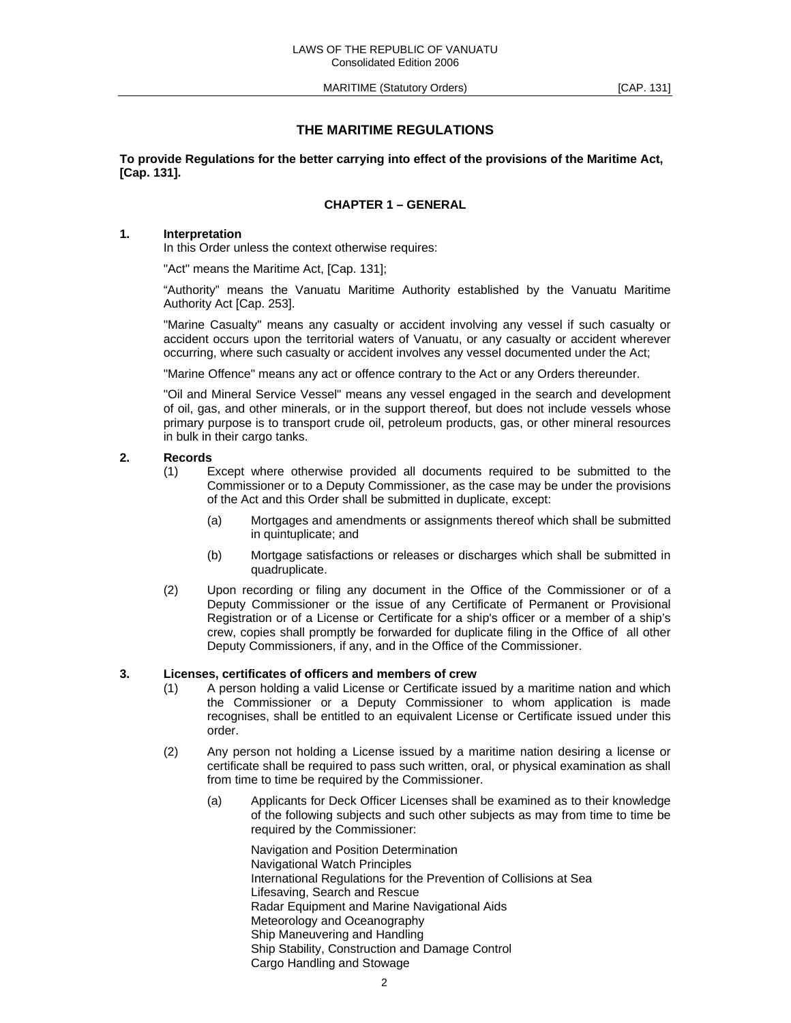MARITIME (Statutory Orders) MARITIME (Statutory Orders)

## **THE MARITIME REGULATIONS**

**To provide Regulations for the better carrying into effect of the provisions of the Maritime Act, [Cap. 131].**

## **CHAPTER 1 – GENERAL**

## **1. Interpretation**

In this Order unless the context otherwise requires:

"Act" means the Maritime Act, [Cap. 131];

 "Authority" means the Vanuatu Maritime Authority established by the Vanuatu Maritime Authority Act [Cap. 253].

 "Marine Casualty" means any casualty or accident involving any vessel if such casualty or accident occurs upon the territorial waters of Vanuatu, or any casualty or accident wherever occurring, where such casualty or accident involves any vessel documented under the Act;

"Marine Offence" means any act or offence contrary to the Act or any Orders thereunder.

 "Oil and Mineral Service Vessel" means any vessel engaged in the search and development of oil, gas, and other minerals, or in the support thereof, but does not include vessels whose primary purpose is to transport crude oil, petroleum products, gas, or other mineral resources in bulk in their cargo tanks.

#### **2. Records**

- (1) Except where otherwise provided all documents required to be submitted to the Commissioner or to a Deputy Commissioner, as the case may be under the provisions of the Act and this Order shall be submitted in duplicate, except:
	- (a) Mortgages and amendments or assignments thereof which shall be submitted in quintuplicate; and
	- (b) Mortgage satisfactions or releases or discharges which shall be submitted in quadruplicate.
- (2) Upon recording or filing any document in the Office of the Commissioner or of a Deputy Commissioner or the issue of any Certificate of Permanent or Provisional Registration or of a License or Certificate for a ship's officer or a member of a ship's crew, copies shall promptly be forwarded for duplicate filing in the Office of all other Deputy Commissioners, if any, and in the Office of the Commissioner.

#### **3. Licenses, certificates of officers and members of crew**

- (1) A person holding a valid License or Certificate issued by a maritime nation and which the Commissioner or a Deputy Commissioner to whom application is made recognises, shall be entitled to an equivalent License or Certificate issued under this order.
- (2) Any person not holding a License issued by a maritime nation desiring a license or certificate shall be required to pass such written, oral, or physical examination as shall from time to time be required by the Commissioner.
	- (a) Applicants for Deck Officer Licenses shall be examined as to their knowledge of the following subjects and such other subjects as may from time to time be required by the Commissioner:

 Navigation and Position Determination Navigational Watch Principles International Regulations for the Prevention of Collisions at Sea Lifesaving, Search and Rescue Radar Equipment and Marine Navigational Aids Meteorology and Oceanography Ship Maneuvering and Handling Ship Stability, Construction and Damage Control Cargo Handling and Stowage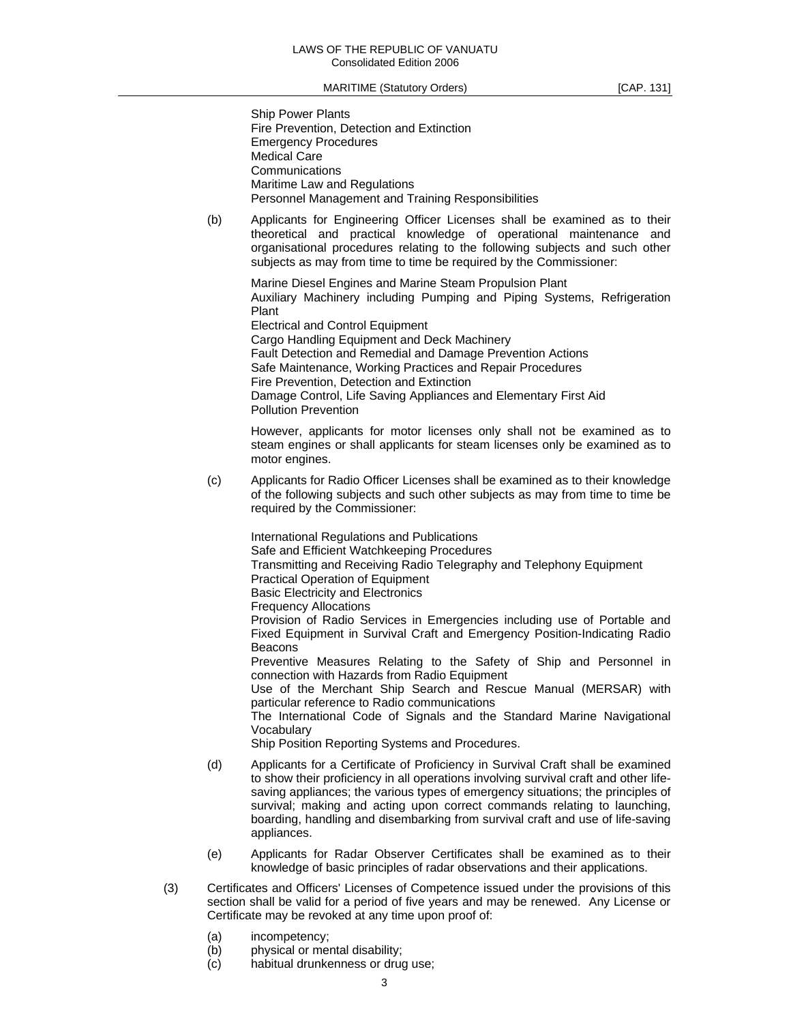| <b>Ship Power Plants</b>                           |
|----------------------------------------------------|
| Fire Prevention, Detection and Extinction          |
| <b>Emergency Procedures</b>                        |
| <b>Medical Care</b>                                |
| Communications                                     |
| Maritime Law and Regulations                       |
| Personnel Management and Training Responsibilities |

 (b) Applicants for Engineering Officer Licenses shall be examined as to their theoretical and practical knowledge of operational maintenance and organisational procedures relating to the following subjects and such other subjects as may from time to time be required by the Commissioner:

 Marine Diesel Engines and Marine Steam Propulsion Plant Auxiliary Machinery including Pumping and Piping Systems, Refrigeration Plant Electrical and Control Equipment

 Cargo Handling Equipment and Deck Machinery Fault Detection and Remedial and Damage Prevention Actions Safe Maintenance, Working Practices and Repair Procedures Fire Prevention, Detection and Extinction Damage Control, Life Saving Appliances and Elementary First Aid Pollution Prevention

 However, applicants for motor licenses only shall not be examined as to steam engines or shall applicants for steam licenses only be examined as to motor engines.

 (c) Applicants for Radio Officer Licenses shall be examined as to their knowledge of the following subjects and such other subjects as may from time to time be required by the Commissioner:

 International Regulations and Publications Safe and Efficient Watchkeeping Procedures Transmitting and Receiving Radio Telegraphy and Telephony Equipment Practical Operation of Equipment Basic Electricity and Electronics Frequency Allocations Provision of Radio Services in Emergencies including use of Portable and Fixed Equipment in Survival Craft and Emergency Position-Indicating Radio Beacons Preventive Measures Relating to the Safety of Ship and Personnel in connection with Hazards from Radio Equipment Use of the Merchant Ship Search and Rescue Manual (MERSAR) with particular reference to Radio communications

 The International Code of Signals and the Standard Marine Navigational Vocabulary

Ship Position Reporting Systems and Procedures.

- (d) Applicants for a Certificate of Proficiency in Survival Craft shall be examined to show their proficiency in all operations involving survival craft and other lifesaving appliances; the various types of emergency situations; the principles of survival; making and acting upon correct commands relating to launching, boarding, handling and disembarking from survival craft and use of life-saving appliances.
- (e) Applicants for Radar Observer Certificates shall be examined as to their knowledge of basic principles of radar observations and their applications.
- (3) Certificates and Officers' Licenses of Competence issued under the provisions of this section shall be valid for a period of five years and may be renewed. Any License or Certificate may be revoked at any time upon proof of:
	- (a) incompetency;
	- (b) physical or mental disability;
	- (c) habitual drunkenness or drug use;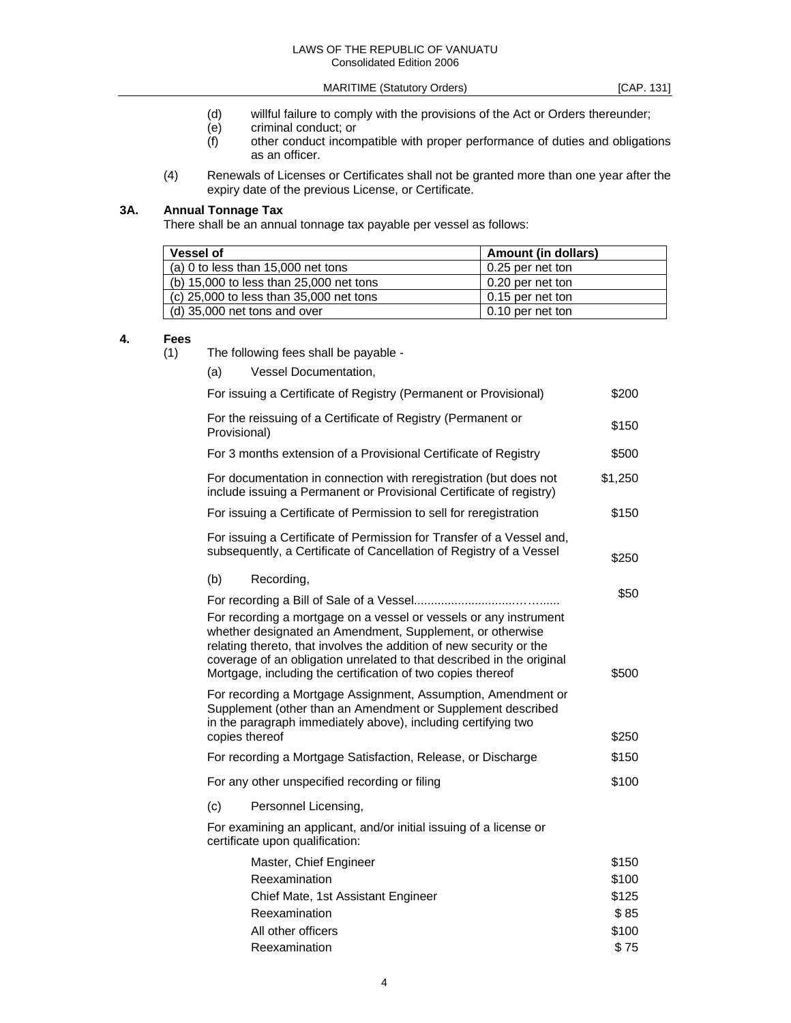- (d) willful failure to comply with the provisions of the Act or Orders thereunder;<br>(e) criminal conduct; or
- 
- (e) criminal conduct; or<br>
(f) other conduct incom other conduct incompatible with proper performance of duties and obligations as an officer.
- (4) Renewals of Licenses or Certificates shall not be granted more than one year after the expiry date of the previous License, or Certificate.

## **3A. Annual Tonnage Tax**

There shall be an annual tonnage tax payable per vessel as follows:

| <b>Vessel of</b>                        | Amount (in dollars) |
|-----------------------------------------|---------------------|
| (a) 0 to less than $15,000$ net tons    | 0.25 per net ton    |
| (b) 15,000 to less than 25,000 net tons | 0.20 per net ton    |
| (c) 25,000 to less than 35,000 net tons | 0.15 per net ton    |
| (d) 35,000 net tons and over            | 0.10 per net ton    |

#### **4. Fees**

(1) The following fees shall be payable -

| (a)            | Vessel Documentation,                                                                                                                                                                                                                                                                                                                         |         |
|----------------|-----------------------------------------------------------------------------------------------------------------------------------------------------------------------------------------------------------------------------------------------------------------------------------------------------------------------------------------------|---------|
|                | For issuing a Certificate of Registry (Permanent or Provisional)                                                                                                                                                                                                                                                                              | \$200   |
| Provisional)   | For the reissuing of a Certificate of Registry (Permanent or                                                                                                                                                                                                                                                                                  | \$150   |
|                | For 3 months extension of a Provisional Certificate of Registry                                                                                                                                                                                                                                                                               | \$500   |
|                | For documentation in connection with reregistration (but does not<br>include issuing a Permanent or Provisional Certificate of registry)                                                                                                                                                                                                      | \$1,250 |
|                | For issuing a Certificate of Permission to sell for reregistration                                                                                                                                                                                                                                                                            | \$150   |
|                | For issuing a Certificate of Permission for Transfer of a Vessel and,<br>subsequently, a Certificate of Cancellation of Registry of a Vessel                                                                                                                                                                                                  | \$250   |
| (b)            | Recording,                                                                                                                                                                                                                                                                                                                                    |         |
|                |                                                                                                                                                                                                                                                                                                                                               | \$50    |
|                | For recording a mortgage on a vessel or vessels or any instrument<br>whether designated an Amendment, Supplement, or otherwise<br>relating thereto, that involves the addition of new security or the<br>coverage of an obligation unrelated to that described in the original<br>Mortgage, including the certification of two copies thereof | \$500   |
| copies thereof | For recording a Mortgage Assignment, Assumption, Amendment or<br>Supplement (other than an Amendment or Supplement described<br>in the paragraph immediately above), including certifying two                                                                                                                                                 | \$250   |
|                | For recording a Mortgage Satisfaction, Release, or Discharge                                                                                                                                                                                                                                                                                  | \$150   |
|                | For any other unspecified recording or filing                                                                                                                                                                                                                                                                                                 | \$100   |
| (c)            | Personnel Licensing,                                                                                                                                                                                                                                                                                                                          |         |
|                | For examining an applicant, and/or initial issuing of a license or<br>certificate upon qualification:                                                                                                                                                                                                                                         |         |
|                | Master, Chief Engineer                                                                                                                                                                                                                                                                                                                        | \$150   |
|                | Reexamination                                                                                                                                                                                                                                                                                                                                 | \$100   |
|                | Chief Mate, 1st Assistant Engineer                                                                                                                                                                                                                                                                                                            | \$125   |
|                | Reexamination                                                                                                                                                                                                                                                                                                                                 | \$85    |
|                | All other officers                                                                                                                                                                                                                                                                                                                            | \$100   |
|                | Reexamination                                                                                                                                                                                                                                                                                                                                 | \$75    |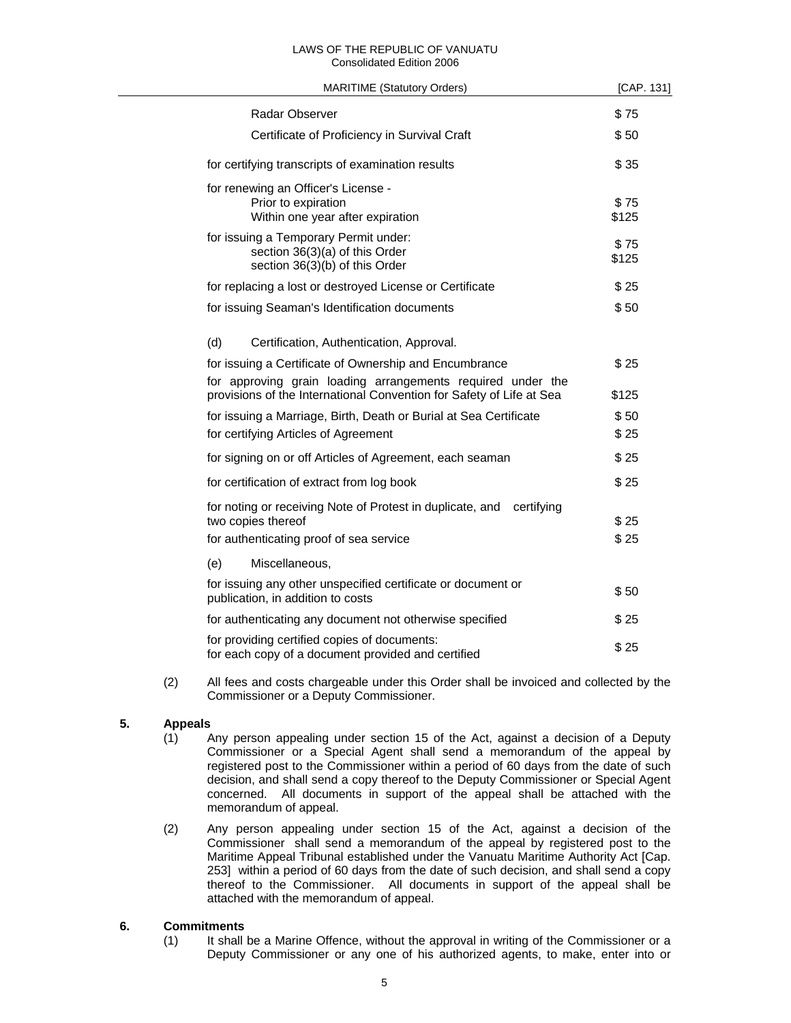#### LAWS OF THE REPUBLIC OF VANUATU Consolidated Edition 2006

| <b>MARITIME (Statutory Orders)</b>                                                                                                  | [CAP. 131]    |
|-------------------------------------------------------------------------------------------------------------------------------------|---------------|
| Radar Observer                                                                                                                      | \$75          |
| Certificate of Proficiency in Survival Craft                                                                                        | \$50          |
| for certifying transcripts of examination results                                                                                   | \$35          |
| for renewing an Officer's License -<br>Prior to expiration<br>Within one year after expiration                                      | \$75<br>\$125 |
| for issuing a Temporary Permit under:<br>section 36(3)(a) of this Order<br>section 36(3)(b) of this Order                           | \$75<br>\$125 |
| for replacing a lost or destroyed License or Certificate                                                                            | \$25          |
| for issuing Seaman's Identification documents                                                                                       | \$50          |
| (d)<br>Certification, Authentication, Approval.                                                                                     |               |
| for issuing a Certificate of Ownership and Encumbrance                                                                              | \$25          |
| for approving grain loading arrangements required under the<br>provisions of the International Convention for Safety of Life at Sea | \$125         |
| for issuing a Marriage, Birth, Death or Burial at Sea Certificate                                                                   | \$50          |
| for certifying Articles of Agreement                                                                                                | \$25          |
| for signing on or off Articles of Agreement, each seaman                                                                            | \$25          |
| for certification of extract from log book                                                                                          | \$25          |
| for noting or receiving Note of Protest in duplicate, and certifying<br>two copies thereof                                          | \$25          |
| for authenticating proof of sea service                                                                                             | \$25          |
| (e)<br>Miscellaneous,                                                                                                               |               |
| for issuing any other unspecified certificate or document or<br>publication, in addition to costs                                   | \$50          |
| for authenticating any document not otherwise specified                                                                             | \$25          |
| for providing certified copies of documents:<br>for each copy of a document provided and certified                                  | \$25          |

 (2) All fees and costs chargeable under this Order shall be invoiced and collected by the Commissioner or a Deputy Commissioner.

## **5. Appeals**

- (1) Any person appealing under section 15 of the Act, against a decision of a Deputy Commissioner or a Special Agent shall send a memorandum of the appeal by registered post to the Commissioner within a period of 60 days from the date of such decision, and shall send a copy thereof to the Deputy Commissioner or Special Agent concerned. All documents in support of the appeal shall be attached with the memorandum of appeal.
- (2) Any person appealing under section 15 of the Act, against a decision of the Commissioner shall send a memorandum of the appeal by registered post to the Maritime Appeal Tribunal established under the Vanuatu Maritime Authority Act [Cap. 253] within a period of 60 days from the date of such decision, and shall send a copy thereof to the Commissioner. All documents in support of the appeal shall be attached with the memorandum of appeal.

## **6. Commitments**

 (1) It shall be a Marine Offence, without the approval in writing of the Commissioner or a Deputy Commissioner or any one of his authorized agents, to make, enter into or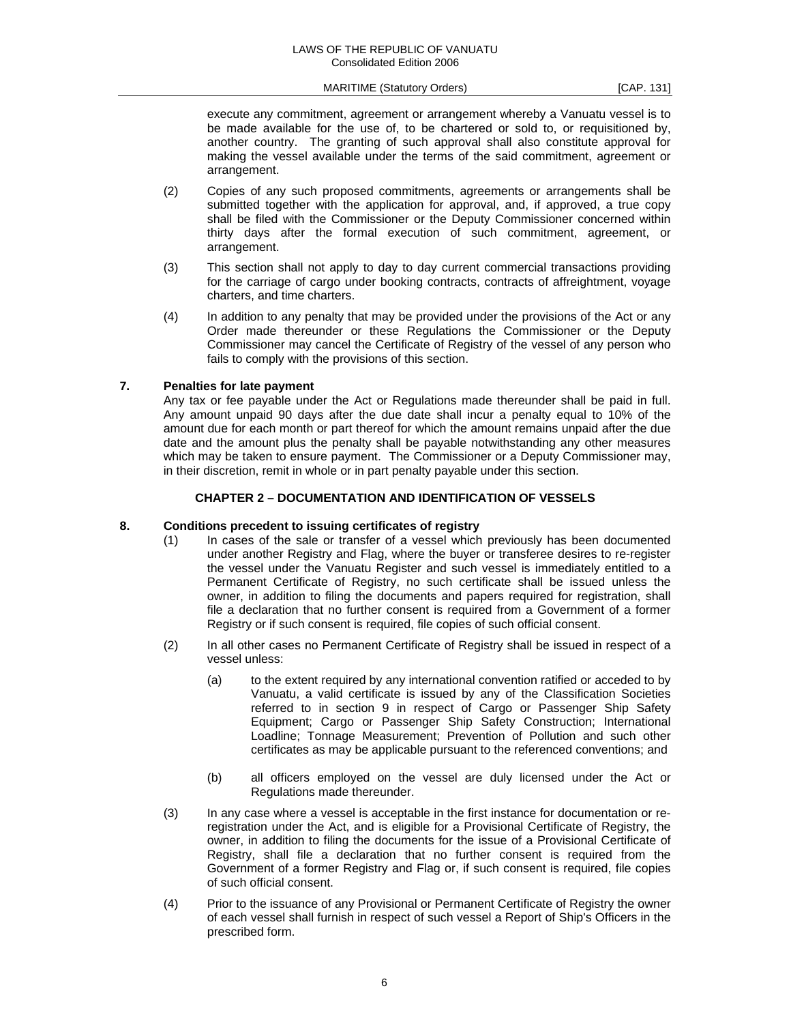execute any commitment, agreement or arrangement whereby a Vanuatu vessel is to be made available for the use of, to be chartered or sold to, or requisitioned by, another country. The granting of such approval shall also constitute approval for making the vessel available under the terms of the said commitment, agreement or arrangement.

- (2) Copies of any such proposed commitments, agreements or arrangements shall be submitted together with the application for approval, and, if approved, a true copy shall be filed with the Commissioner or the Deputy Commissioner concerned within thirty days after the formal execution of such commitment, agreement, or arrangement.
- (3) This section shall not apply to day to day current commercial transactions providing for the carriage of cargo under booking contracts, contracts of affreightment, voyage charters, and time charters.
- (4) In addition to any penalty that may be provided under the provisions of the Act or any Order made thereunder or these Regulations the Commissioner or the Deputy Commissioner may cancel the Certificate of Registry of the vessel of any person who fails to comply with the provisions of this section.

#### **7. Penalties for late payment**

 Any tax or fee payable under the Act or Regulations made thereunder shall be paid in full. Any amount unpaid 90 days after the due date shall incur a penalty equal to 10% of the amount due for each month or part thereof for which the amount remains unpaid after the due date and the amount plus the penalty shall be payable notwithstanding any other measures which may be taken to ensure payment. The Commissioner or a Deputy Commissioner may, in their discretion, remit in whole or in part penalty payable under this section.

#### **CHAPTER 2 – DOCUMENTATION AND IDENTIFICATION OF VESSELS**

#### **8. Conditions precedent to issuing certificates of registry**

- (1) In cases of the sale or transfer of a vessel which previously has been documented under another Registry and Flag, where the buyer or transferee desires to re-register the vessel under the Vanuatu Register and such vessel is immediately entitled to a Permanent Certificate of Registry, no such certificate shall be issued unless the owner, in addition to filing the documents and papers required for registration, shall file a declaration that no further consent is required from a Government of a former Registry or if such consent is required, file copies of such official consent.
- (2) In all other cases no Permanent Certificate of Registry shall be issued in respect of a vessel unless:
	- (a) to the extent required by any international convention ratified or acceded to by Vanuatu, a valid certificate is issued by any of the Classification Societies referred to in section 9 in respect of Cargo or Passenger Ship Safety Equipment; Cargo or Passenger Ship Safety Construction; International Loadline; Tonnage Measurement; Prevention of Pollution and such other certificates as may be applicable pursuant to the referenced conventions; and
	- (b) all officers employed on the vessel are duly licensed under the Act or Regulations made thereunder.
- (3) In any case where a vessel is acceptable in the first instance for documentation or reregistration under the Act, and is eligible for a Provisional Certificate of Registry, the owner, in addition to filing the documents for the issue of a Provisional Certificate of Registry, shall file a declaration that no further consent is required from the Government of a former Registry and Flag or, if such consent is required, file copies of such official consent.
- (4) Prior to the issuance of any Provisional or Permanent Certificate of Registry the owner of each vessel shall furnish in respect of such vessel a Report of Ship's Officers in the prescribed form.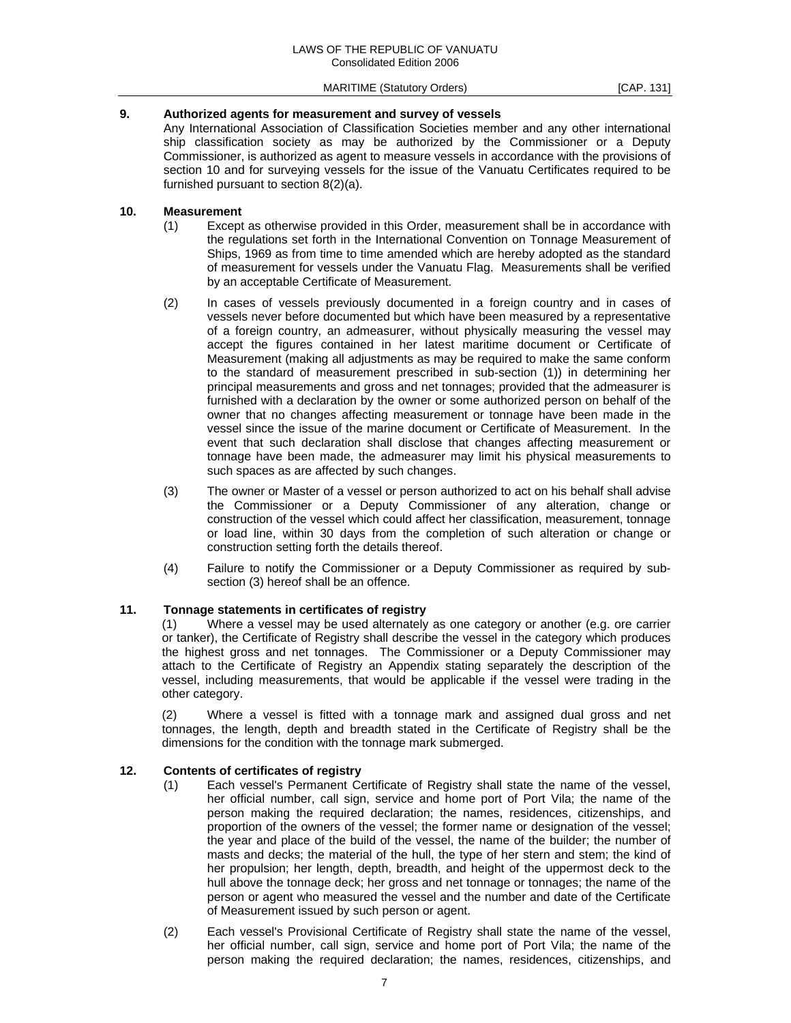## **9. Authorized agents for measurement and survey of vessels**

 Any International Association of Classification Societies member and any other international ship classification society as may be authorized by the Commissioner or a Deputy Commissioner, is authorized as agent to measure vessels in accordance with the provisions of section 10 and for surveying vessels for the issue of the Vanuatu Certificates required to be furnished pursuant to section 8(2)(a).

## **10. Measurement**

- (1) Except as otherwise provided in this Order, measurement shall be in accordance with the regulations set forth in the International Convention on Tonnage Measurement of Ships, 1969 as from time to time amended which are hereby adopted as the standard of measurement for vessels under the Vanuatu Flag. Measurements shall be verified by an acceptable Certificate of Measurement.
- (2) In cases of vessels previously documented in a foreign country and in cases of vessels never before documented but which have been measured by a representative of a foreign country, an admeasurer, without physically measuring the vessel may accept the figures contained in her latest maritime document or Certificate of Measurement (making all adjustments as may be required to make the same conform to the standard of measurement prescribed in sub-section (1)) in determining her principal measurements and gross and net tonnages; provided that the admeasurer is furnished with a declaration by the owner or some authorized person on behalf of the owner that no changes affecting measurement or tonnage have been made in the vessel since the issue of the marine document or Certificate of Measurement. In the event that such declaration shall disclose that changes affecting measurement or tonnage have been made, the admeasurer may limit his physical measurements to such spaces as are affected by such changes.
- (3) The owner or Master of a vessel or person authorized to act on his behalf shall advise the Commissioner or a Deputy Commissioner of any alteration, change or construction of the vessel which could affect her classification, measurement, tonnage or load line, within 30 days from the completion of such alteration or change or construction setting forth the details thereof.
- (4) Failure to notify the Commissioner or a Deputy Commissioner as required by subsection (3) hereof shall be an offence.

#### **11. Tonnage statements in certificates of registry**

 (1) Where a vessel may be used alternately as one category or another (e.g. ore carrier or tanker), the Certificate of Registry shall describe the vessel in the category which produces the highest gross and net tonnages. The Commissioner or a Deputy Commissioner may attach to the Certificate of Registry an Appendix stating separately the description of the vessel, including measurements, that would be applicable if the vessel were trading in the other category.

 (2) Where a vessel is fitted with a tonnage mark and assigned dual gross and net tonnages, the length, depth and breadth stated in the Certificate of Registry shall be the dimensions for the condition with the tonnage mark submerged.

#### **12. Contents of certificates of registry**

- (1) Each vessel's Permanent Certificate of Registry shall state the name of the vessel, her official number, call sign, service and home port of Port Vila; the name of the person making the required declaration; the names, residences, citizenships, and proportion of the owners of the vessel; the former name or designation of the vessel; the year and place of the build of the vessel, the name of the builder; the number of masts and decks; the material of the hull, the type of her stern and stem; the kind of her propulsion; her length, depth, breadth, and height of the uppermost deck to the hull above the tonnage deck; her gross and net tonnage or tonnages; the name of the person or agent who measured the vessel and the number and date of the Certificate of Measurement issued by such person or agent.
- (2) Each vessel's Provisional Certificate of Registry shall state the name of the vessel, her official number, call sign, service and home port of Port Vila; the name of the person making the required declaration; the names, residences, citizenships, and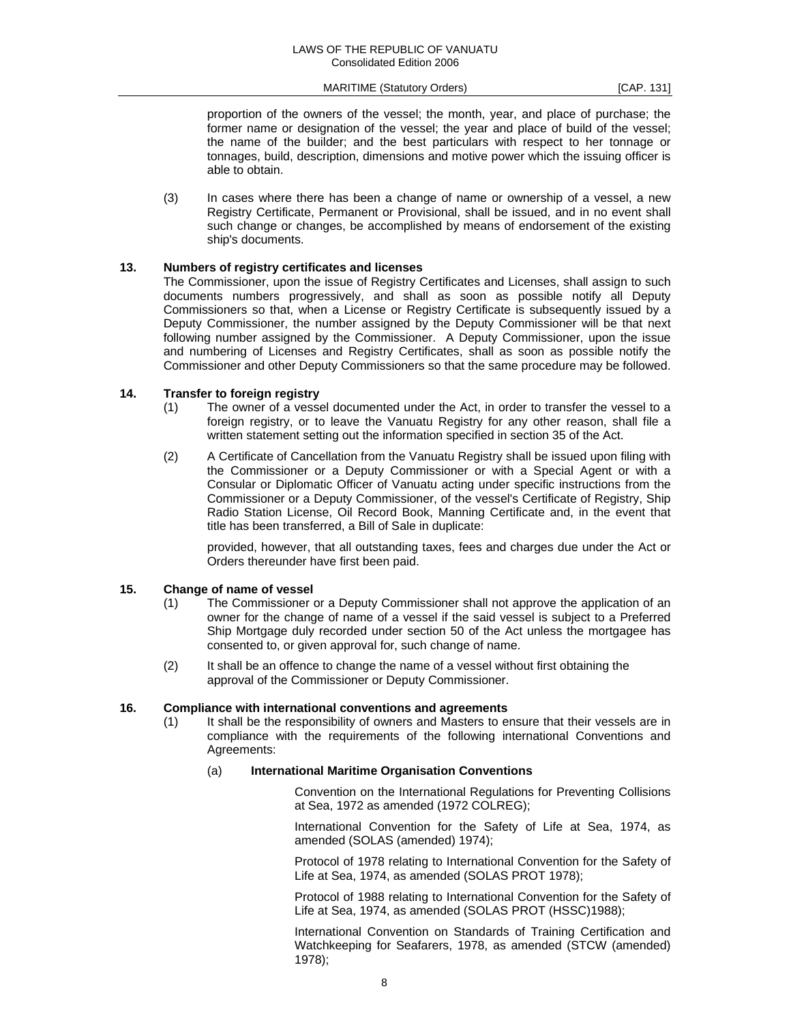proportion of the owners of the vessel; the month, year, and place of purchase; the former name or designation of the vessel; the year and place of build of the vessel; the name of the builder; and the best particulars with respect to her tonnage or tonnages, build, description, dimensions and motive power which the issuing officer is able to obtain.

 (3) In cases where there has been a change of name or ownership of a vessel, a new Registry Certificate, Permanent or Provisional, shall be issued, and in no event shall such change or changes, be accomplished by means of endorsement of the existing ship's documents.

#### **13. Numbers of registry certificates and licenses**

 The Commissioner, upon the issue of Registry Certificates and Licenses, shall assign to such documents numbers progressively, and shall as soon as possible notify all Deputy Commissioners so that, when a License or Registry Certificate is subsequently issued by a Deputy Commissioner, the number assigned by the Deputy Commissioner will be that next following number assigned by the Commissioner. A Deputy Commissioner, upon the issue and numbering of Licenses and Registry Certificates, shall as soon as possible notify the Commissioner and other Deputy Commissioners so that the same procedure may be followed.

#### **14. Transfer to foreign registry**

- (1) The owner of a vessel documented under the Act, in order to transfer the vessel to a foreign registry, or to leave the Vanuatu Registry for any other reason, shall file a written statement setting out the information specified in section 35 of the Act.
- (2) A Certificate of Cancellation from the Vanuatu Registry shall be issued upon filing with the Commissioner or a Deputy Commissioner or with a Special Agent or with a Consular or Diplomatic Officer of Vanuatu acting under specific instructions from the Commissioner or a Deputy Commissioner, of the vessel's Certificate of Registry, Ship Radio Station License, Oil Record Book, Manning Certificate and, in the event that title has been transferred, a Bill of Sale in duplicate:

 provided, however, that all outstanding taxes, fees and charges due under the Act or Orders thereunder have first been paid.

#### **15. Change of name of vessel**

- (1) The Commissioner or a Deputy Commissioner shall not approve the application of an owner for the change of name of a vessel if the said vessel is subject to a Preferred Ship Mortgage duly recorded under section 50 of the Act unless the mortgagee has consented to, or given approval for, such change of name.
- (2) It shall be an offence to change the name of a vessel without first obtaining the approval of the Commissioner or Deputy Commissioner.

#### **16. Compliance with international conventions and agreements**

 (1) It shall be the responsibility of owners and Masters to ensure that their vessels are in compliance with the requirements of the following international Conventions and Agreements:

#### (a) **International Maritime Organisation Conventions**

 Convention on the International Regulations for Preventing Collisions at Sea, 1972 as amended (1972 COLREG);

 International Convention for the Safety of Life at Sea, 1974, as amended (SOLAS (amended) 1974);

 Protocol of 1978 relating to International Convention for the Safety of Life at Sea, 1974, as amended (SOLAS PROT 1978);

 Protocol of 1988 relating to International Convention for the Safety of Life at Sea, 1974, as amended (SOLAS PROT (HSSC)1988);

 International Convention on Standards of Training Certification and Watchkeeping for Seafarers, 1978, as amended (STCW (amended) 1978);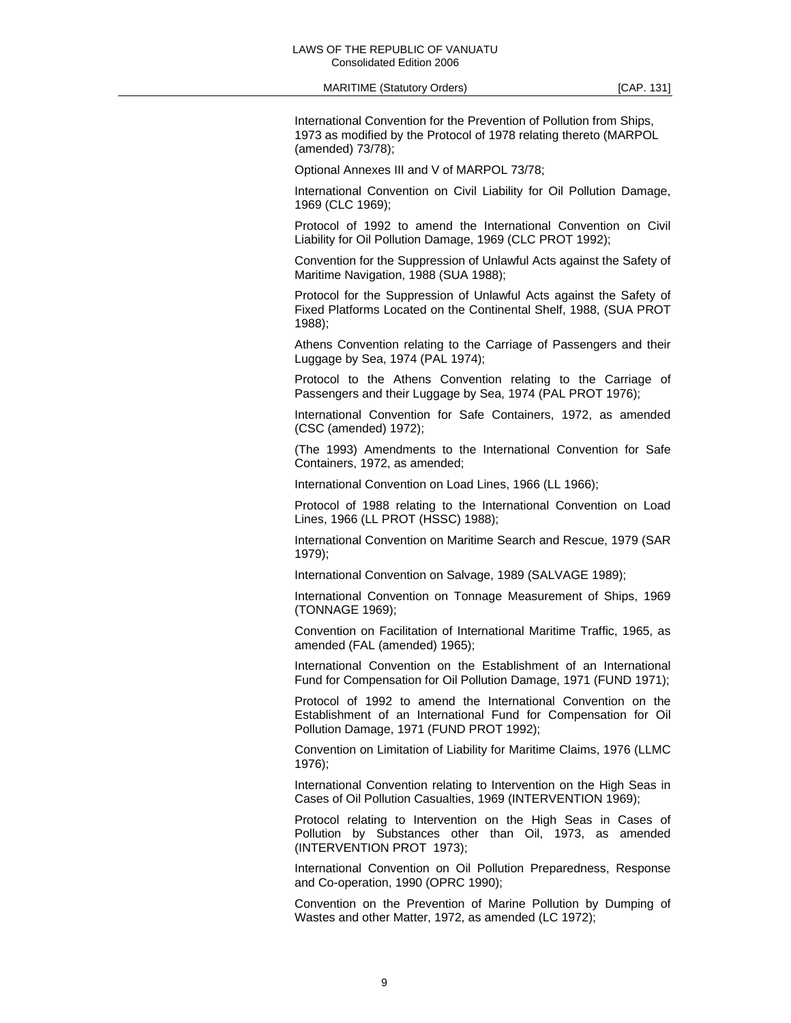MARITIME (Statutory Orders) MARITIME (Statutory Orders)

 International Convention for the Prevention of Pollution from Ships, 1973 as modified by the Protocol of 1978 relating thereto (MARPOL (amended) 73/78);

Optional Annexes III and V of MARPOL 73/78;

 International Convention on Civil Liability for Oil Pollution Damage, 1969 (CLC 1969);

 Protocol of 1992 to amend the International Convention on Civil Liability for Oil Pollution Damage, 1969 (CLC PROT 1992);

 Convention for the Suppression of Unlawful Acts against the Safety of Maritime Navigation, 1988 (SUA 1988);

 Protocol for the Suppression of Unlawful Acts against the Safety of Fixed Platforms Located on the Continental Shelf, 1988, (SUA PROT 1988);

 Athens Convention relating to the Carriage of Passengers and their Luggage by Sea, 1974 (PAL 1974);

 Protocol to the Athens Convention relating to the Carriage of Passengers and their Luggage by Sea, 1974 (PAL PROT 1976);

 International Convention for Safe Containers, 1972, as amended (CSC (amended) 1972);

 (The 1993) Amendments to the International Convention for Safe Containers, 1972, as amended;

International Convention on Load Lines, 1966 (LL 1966);

 Protocol of 1988 relating to the International Convention on Load Lines, 1966 (LL PROT (HSSC) 1988);

 International Convention on Maritime Search and Rescue, 1979 (SAR 1979);

International Convention on Salvage, 1989 (SALVAGE 1989);

 International Convention on Tonnage Measurement of Ships, 1969 (TONNAGE 1969);

 Convention on Facilitation of International Maritime Traffic, 1965, as amended (FAL (amended) 1965);

 International Convention on the Establishment of an International Fund for Compensation for Oil Pollution Damage, 1971 (FUND 1971);

 Protocol of 1992 to amend the International Convention on the Establishment of an International Fund for Compensation for Oil Pollution Damage, 1971 (FUND PROT 1992);

 Convention on Limitation of Liability for Maritime Claims, 1976 (LLMC 1976);

 International Convention relating to Intervention on the High Seas in Cases of Oil Pollution Casualties, 1969 (INTERVENTION 1969);

 Protocol relating to Intervention on the High Seas in Cases of Pollution by Substances other than Oil, 1973, as amended (INTERVENTION PROT 1973);

 International Convention on Oil Pollution Preparedness, Response and Co-operation, 1990 (OPRC 1990);

 Convention on the Prevention of Marine Pollution by Dumping of Wastes and other Matter, 1972, as amended (LC 1972);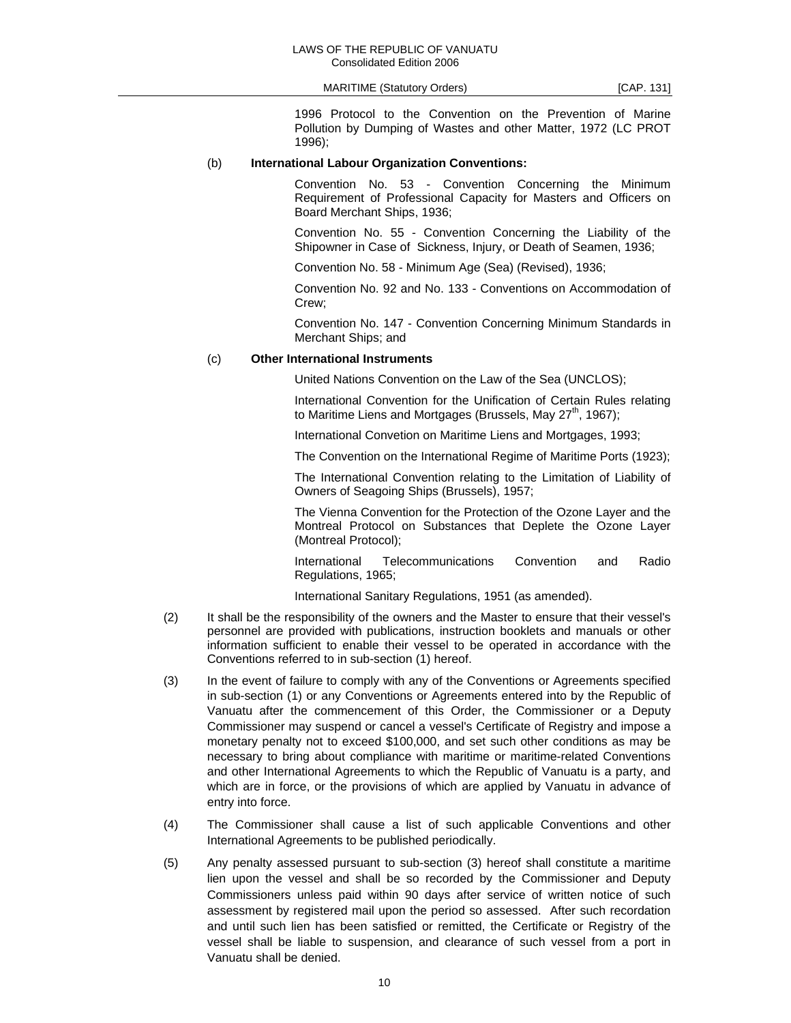1996 Protocol to the Convention on the Prevention of Marine Pollution by Dumping of Wastes and other Matter, 1972 (LC PROT 1996);

#### (b) **International Labour Organization Conventions:**

 Convention No. 53 - Convention Concerning the Minimum Requirement of Professional Capacity for Masters and Officers on Board Merchant Ships, 1936;

 Convention No. 55 - Convention Concerning the Liability of the Shipowner in Case of Sickness, Injury, or Death of Seamen, 1936;

Convention No. 58 - Minimum Age (Sea) (Revised), 1936;

 Convention No. 92 and No. 133 - Conventions on Accommodation of Crew;

 Convention No. 147 - Convention Concerning Minimum Standards in Merchant Ships; and

## (c) **Other International Instruments**

United Nations Convention on the Law of the Sea (UNCLOS);

 International Convention for the Unification of Certain Rules relating to Maritime Liens and Mortgages (Brussels, May  $27<sup>th</sup>$ , 1967);

International Convetion on Maritime Liens and Mortgages, 1993;

The Convention on the International Regime of Maritime Ports (1923);

 The International Convention relating to the Limitation of Liability of Owners of Seagoing Ships (Brussels), 1957;

 The Vienna Convention for the Protection of the Ozone Layer and the Montreal Protocol on Substances that Deplete the Ozone Layer (Montreal Protocol);

 International Telecommunications Convention and Radio Regulations, 1965;

International Sanitary Regulations, 1951 (as amended).

- (2) It shall be the responsibility of the owners and the Master to ensure that their vessel's personnel are provided with publications, instruction booklets and manuals or other information sufficient to enable their vessel to be operated in accordance with the Conventions referred to in sub-section (1) hereof.
- (3) In the event of failure to comply with any of the Conventions or Agreements specified in sub-section (1) or any Conventions or Agreements entered into by the Republic of Vanuatu after the commencement of this Order, the Commissioner or a Deputy Commissioner may suspend or cancel a vessel's Certificate of Registry and impose a monetary penalty not to exceed \$100,000, and set such other conditions as may be necessary to bring about compliance with maritime or maritime-related Conventions and other International Agreements to which the Republic of Vanuatu is a party, and which are in force, or the provisions of which are applied by Vanuatu in advance of entry into force.
- (4) The Commissioner shall cause a list of such applicable Conventions and other International Agreements to be published periodically.
- (5) Any penalty assessed pursuant to sub-section (3) hereof shall constitute a maritime lien upon the vessel and shall be so recorded by the Commissioner and Deputy Commissioners unless paid within 90 days after service of written notice of such assessment by registered mail upon the period so assessed. After such recordation and until such lien has been satisfied or remitted, the Certificate or Registry of the vessel shall be liable to suspension, and clearance of such vessel from a port in Vanuatu shall be denied.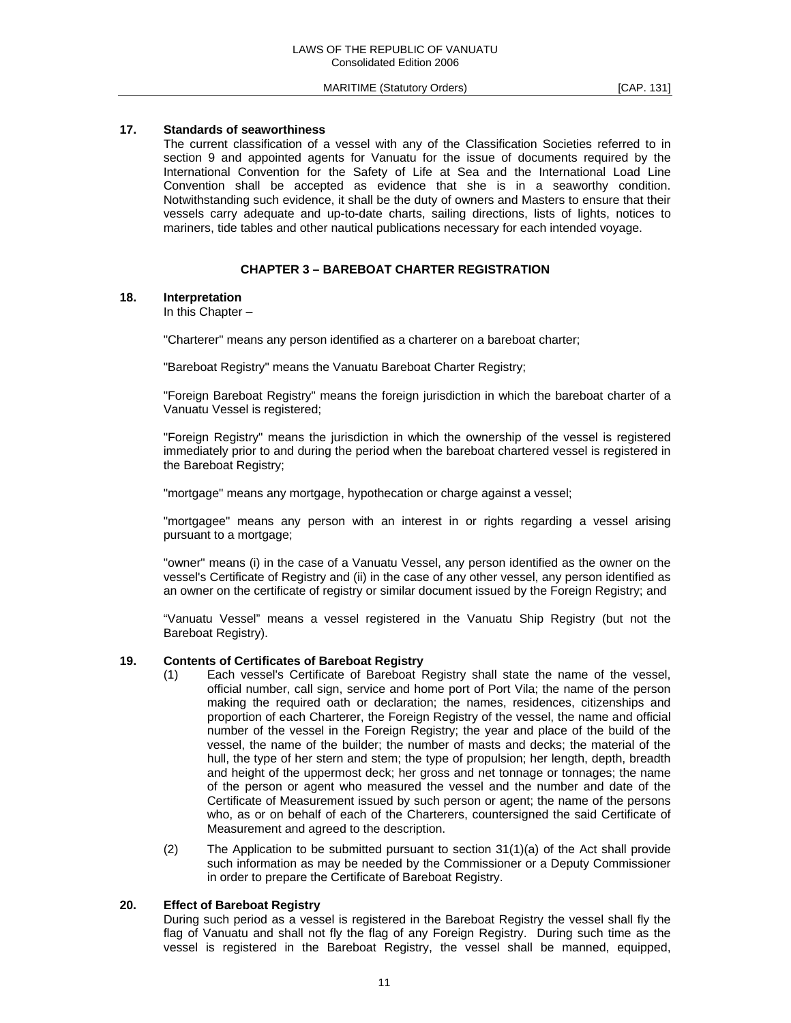### **17. Standards of seaworthiness**

 The current classification of a vessel with any of the Classification Societies referred to in section 9 and appointed agents for Vanuatu for the issue of documents required by the International Convention for the Safety of Life at Sea and the International Load Line Convention shall be accepted as evidence that she is in a seaworthy condition. Notwithstanding such evidence, it shall be the duty of owners and Masters to ensure that their vessels carry adequate and up-to-date charts, sailing directions, lists of lights, notices to mariners, tide tables and other nautical publications necessary for each intended voyage.

#### **CHAPTER 3 – BAREBOAT CHARTER REGISTRATION**

## **18. Interpretation**

In this Chapter –

"Charterer" means any person identified as a charterer on a bareboat charter;

"Bareboat Registry" means the Vanuatu Bareboat Charter Registry;

 "Foreign Bareboat Registry" means the foreign jurisdiction in which the bareboat charter of a Vanuatu Vessel is registered;

 "Foreign Registry" means the jurisdiction in which the ownership of the vessel is registered immediately prior to and during the period when the bareboat chartered vessel is registered in the Bareboat Registry;

"mortgage" means any mortgage, hypothecation or charge against a vessel;

 "mortgagee" means any person with an interest in or rights regarding a vessel arising pursuant to a mortgage;

 "owner" means (i) in the case of a Vanuatu Vessel, any person identified as the owner on the vessel's Certificate of Registry and (ii) in the case of any other vessel, any person identified as an owner on the certificate of registry or similar document issued by the Foreign Registry; and

 "Vanuatu Vessel" means a vessel registered in the Vanuatu Ship Registry (but not the Bareboat Registry).

#### **19. Contents of Certificates of Bareboat Registry**

- (1) Each vessel's Certificate of Bareboat Registry shall state the name of the vessel, official number, call sign, service and home port of Port Vila; the name of the person making the required oath or declaration; the names, residences, citizenships and proportion of each Charterer, the Foreign Registry of the vessel, the name and official number of the vessel in the Foreign Registry; the year and place of the build of the vessel, the name of the builder; the number of masts and decks; the material of the hull, the type of her stern and stem; the type of propulsion; her length, depth, breadth and height of the uppermost deck; her gross and net tonnage or tonnages; the name of the person or agent who measured the vessel and the number and date of the Certificate of Measurement issued by such person or agent; the name of the persons who, as or on behalf of each of the Charterers, countersigned the said Certificate of Measurement and agreed to the description.
- (2) The Application to be submitted pursuant to section  $31(1)(a)$  of the Act shall provide such information as may be needed by the Commissioner or a Deputy Commissioner in order to prepare the Certificate of Bareboat Registry.

#### **20. Effect of Bareboat Registry**

 During such period as a vessel is registered in the Bareboat Registry the vessel shall fly the flag of Vanuatu and shall not fly the flag of any Foreign Registry. During such time as the vessel is registered in the Bareboat Registry, the vessel shall be manned, equipped,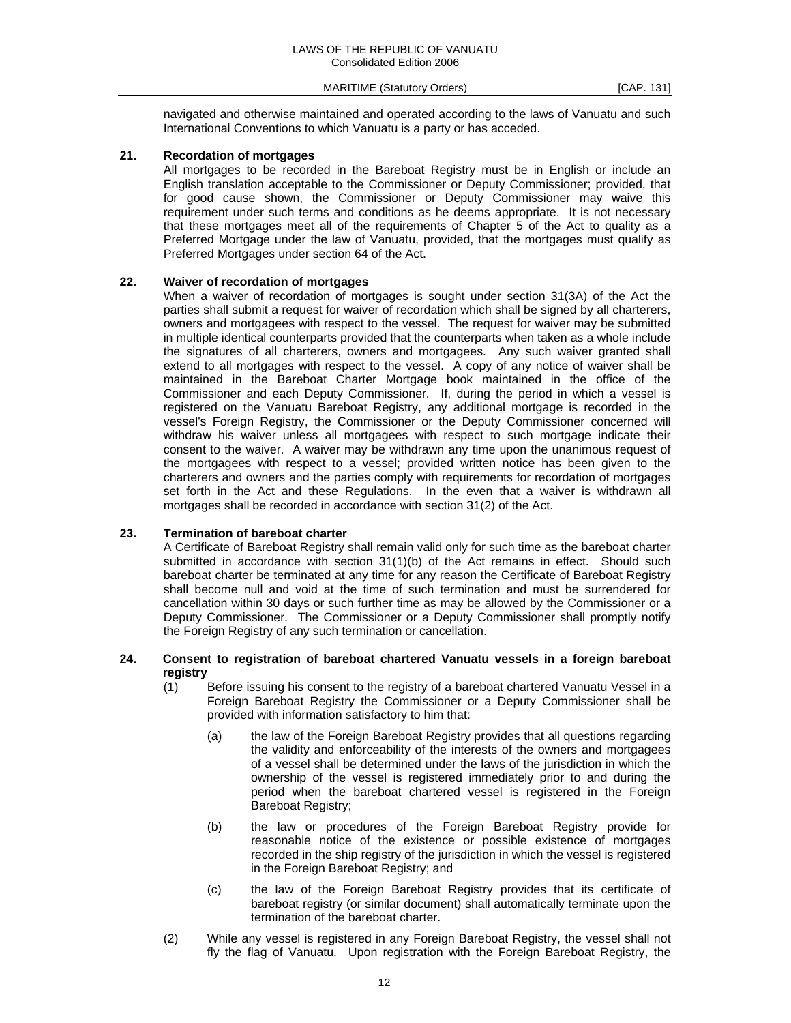navigated and otherwise maintained and operated according to the laws of Vanuatu and such International Conventions to which Vanuatu is a party or has acceded.

## **21. Recordation of mortgages**

 All mortgages to be recorded in the Bareboat Registry must be in English or include an English translation acceptable to the Commissioner or Deputy Commissioner; provided, that for good cause shown, the Commissioner or Deputy Commissioner may waive this requirement under such terms and conditions as he deems appropriate. It is not necessary that these mortgages meet all of the requirements of Chapter 5 of the Act to quality as a Preferred Mortgage under the law of Vanuatu, provided, that the mortgages must qualify as Preferred Mortgages under section 64 of the Act.

#### **22. Waiver of recordation of mortgages**

 When a waiver of recordation of mortgages is sought under section 31(3A) of the Act the parties shall submit a request for waiver of recordation which shall be signed by all charterers, owners and mortgagees with respect to the vessel. The request for waiver may be submitted in multiple identical counterparts provided that the counterparts when taken as a whole include the signatures of all charterers, owners and mortgagees. Any such waiver granted shall extend to all mortgages with respect to the vessel. A copy of any notice of waiver shall be maintained in the Bareboat Charter Mortgage book maintained in the office of the Commissioner and each Deputy Commissioner. If, during the period in which a vessel is registered on the Vanuatu Bareboat Registry, any additional mortgage is recorded in the vessel's Foreign Registry, the Commissioner or the Deputy Commissioner concerned will withdraw his waiver unless all mortgagees with respect to such mortgage indicate their consent to the waiver. A waiver may be withdrawn any time upon the unanimous request of the mortgagees with respect to a vessel; provided written notice has been given to the charterers and owners and the parties comply with requirements for recordation of mortgages set forth in the Act and these Regulations. In the even that a waiver is withdrawn all mortgages shall be recorded in accordance with section 31(2) of the Act.

## **23. Termination of bareboat charter**

 A Certificate of Bareboat Registry shall remain valid only for such time as the bareboat charter submitted in accordance with section  $31(1)(b)$  of the Act remains in effect. Should such bareboat charter be terminated at any time for any reason the Certificate of Bareboat Registry shall become null and void at the time of such termination and must be surrendered for cancellation within 30 days or such further time as may be allowed by the Commissioner or a Deputy Commissioner. The Commissioner or a Deputy Commissioner shall promptly notify the Foreign Registry of any such termination or cancellation.

#### **24. Consent to registration of bareboat chartered Vanuatu vessels in a foreign bareboat registry**

- (1) Before issuing his consent to the registry of a bareboat chartered Vanuatu Vessel in a Foreign Bareboat Registry the Commissioner or a Deputy Commissioner shall be provided with information satisfactory to him that:
	- (a) the law of the Foreign Bareboat Registry provides that all questions regarding the validity and enforceability of the interests of the owners and mortgagees of a vessel shall be determined under the laws of the jurisdiction in which the ownership of the vessel is registered immediately prior to and during the period when the bareboat chartered vessel is registered in the Foreign Bareboat Registry;
	- (b) the law or procedures of the Foreign Bareboat Registry provide for reasonable notice of the existence or possible existence of mortgages recorded in the ship registry of the jurisdiction in which the vessel is registered in the Foreign Bareboat Registry; and
	- (c) the law of the Foreign Bareboat Registry provides that its certificate of bareboat registry (or similar document) shall automatically terminate upon the termination of the bareboat charter.
- (2) While any vessel is registered in any Foreign Bareboat Registry, the vessel shall not fly the flag of Vanuatu. Upon registration with the Foreign Bareboat Registry, the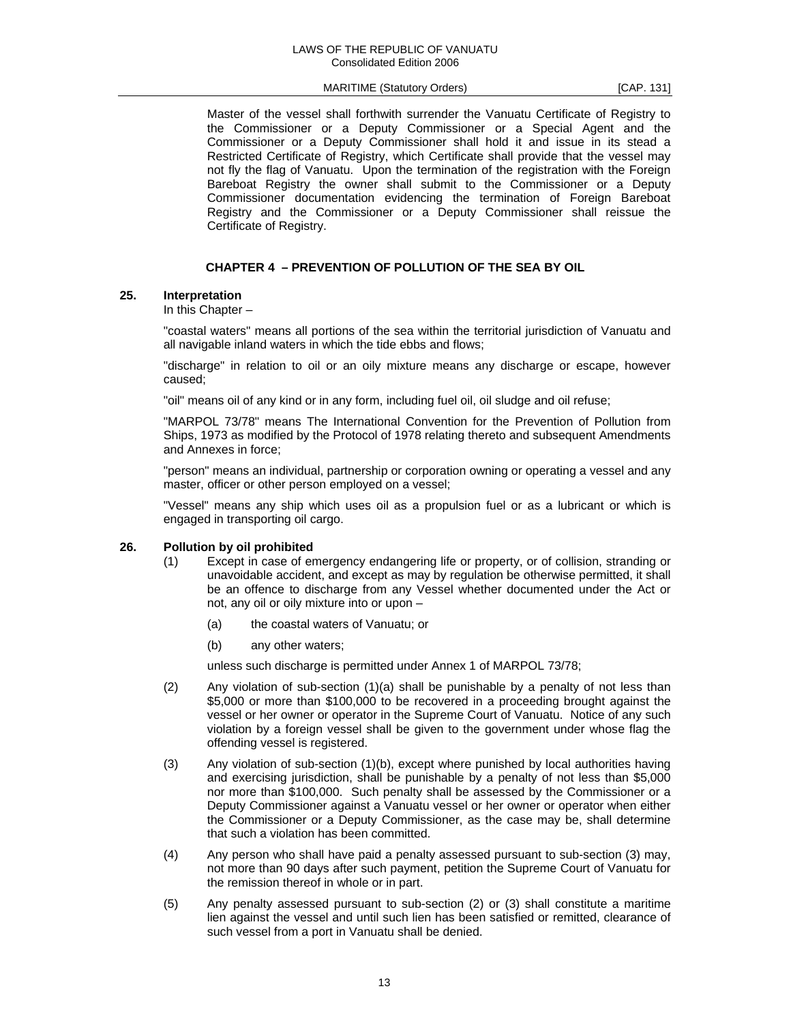Master of the vessel shall forthwith surrender the Vanuatu Certificate of Registry to the Commissioner or a Deputy Commissioner or a Special Agent and the Commissioner or a Deputy Commissioner shall hold it and issue in its stead a Restricted Certificate of Registry, which Certificate shall provide that the vessel may not fly the flag of Vanuatu. Upon the termination of the registration with the Foreign Bareboat Registry the owner shall submit to the Commissioner or a Deputy Commissioner documentation evidencing the termination of Foreign Bareboat Registry and the Commissioner or a Deputy Commissioner shall reissue the Certificate of Registry.

## **CHAPTER 4 – PREVENTION OF POLLUTION OF THE SEA BY OIL**

#### **25. Interpretation**

In this Chapter –

 "coastal waters" means all portions of the sea within the territorial jurisdiction of Vanuatu and all navigable inland waters in which the tide ebbs and flows;

 "discharge" in relation to oil or an oily mixture means any discharge or escape, however caused;

"oil" means oil of any kind or in any form, including fuel oil, oil sludge and oil refuse;

 "MARPOL 73/78" means The International Convention for the Prevention of Pollution from Ships, 1973 as modified by the Protocol of 1978 relating thereto and subsequent Amendments and Annexes in force;

 "person" means an individual, partnership or corporation owning or operating a vessel and any master, officer or other person employed on a vessel;

 "Vessel" means any ship which uses oil as a propulsion fuel or as a lubricant or which is engaged in transporting oil cargo.

#### **26. Pollution by oil prohibited**

- (1) Except in case of emergency endangering life or property, or of collision, stranding or unavoidable accident, and except as may by regulation be otherwise permitted, it shall be an offence to discharge from any Vessel whether documented under the Act or not, any oil or oily mixture into or upon –
	- (a) the coastal waters of Vanuatu; or
	- (b) any other waters;

unless such discharge is permitted under Annex 1 of MARPOL 73/78;

- (2) Any violation of sub-section (1)(a) shall be punishable by a penalty of not less than \$5,000 or more than \$100,000 to be recovered in a proceeding brought against the vessel or her owner or operator in the Supreme Court of Vanuatu. Notice of any such violation by a foreign vessel shall be given to the government under whose flag the offending vessel is registered.
- (3) Any violation of sub-section (1)(b), except where punished by local authorities having and exercising jurisdiction, shall be punishable by a penalty of not less than \$5,000 nor more than \$100,000. Such penalty shall be assessed by the Commissioner or a Deputy Commissioner against a Vanuatu vessel or her owner or operator when either the Commissioner or a Deputy Commissioner, as the case may be, shall determine that such a violation has been committed.
- (4) Any person who shall have paid a penalty assessed pursuant to sub-section (3) may, not more than 90 days after such payment, petition the Supreme Court of Vanuatu for the remission thereof in whole or in part.
- (5) Any penalty assessed pursuant to sub-section (2) or (3) shall constitute a maritime lien against the vessel and until such lien has been satisfied or remitted, clearance of such vessel from a port in Vanuatu shall be denied.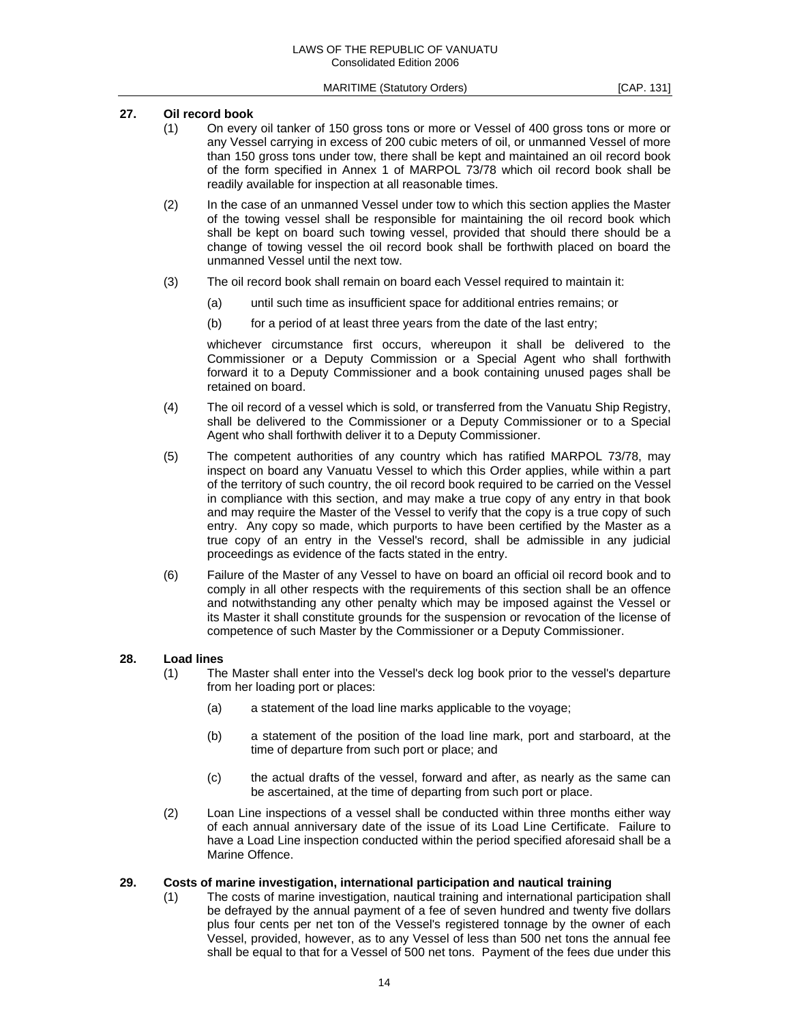## **27. Oil record book**

- (1) On every oil tanker of 150 gross tons or more or Vessel of 400 gross tons or more or any Vessel carrying in excess of 200 cubic meters of oil, or unmanned Vessel of more than 150 gross tons under tow, there shall be kept and maintained an oil record book of the form specified in Annex 1 of MARPOL 73/78 which oil record book shall be readily available for inspection at all reasonable times.
- (2) In the case of an unmanned Vessel under tow to which this section applies the Master of the towing vessel shall be responsible for maintaining the oil record book which shall be kept on board such towing vessel, provided that should there should be a change of towing vessel the oil record book shall be forthwith placed on board the unmanned Vessel until the next tow.
- (3) The oil record book shall remain on board each Vessel required to maintain it:
	- (a) until such time as insufficient space for additional entries remains; or
	- (b) for a period of at least three years from the date of the last entry;

 whichever circumstance first occurs, whereupon it shall be delivered to the Commissioner or a Deputy Commission or a Special Agent who shall forthwith forward it to a Deputy Commissioner and a book containing unused pages shall be retained on board.

- (4) The oil record of a vessel which is sold, or transferred from the Vanuatu Ship Registry, shall be delivered to the Commissioner or a Deputy Commissioner or to a Special Agent who shall forthwith deliver it to a Deputy Commissioner.
- (5) The competent authorities of any country which has ratified MARPOL 73/78, may inspect on board any Vanuatu Vessel to which this Order applies, while within a part of the territory of such country, the oil record book required to be carried on the Vessel in compliance with this section, and may make a true copy of any entry in that book and may require the Master of the Vessel to verify that the copy is a true copy of such entry. Any copy so made, which purports to have been certified by the Master as a true copy of an entry in the Vessel's record, shall be admissible in any judicial proceedings as evidence of the facts stated in the entry.
- (6) Failure of the Master of any Vessel to have on board an official oil record book and to comply in all other respects with the requirements of this section shall be an offence and notwithstanding any other penalty which may be imposed against the Vessel or its Master it shall constitute grounds for the suspension or revocation of the license of competence of such Master by the Commissioner or a Deputy Commissioner.

#### **28. Load lines**

- (1) The Master shall enter into the Vessel's deck log book prior to the vessel's departure from her loading port or places:
	- (a) a statement of the load line marks applicable to the voyage;
	- (b) a statement of the position of the load line mark, port and starboard, at the time of departure from such port or place; and
	- (c) the actual drafts of the vessel, forward and after, as nearly as the same can be ascertained, at the time of departing from such port or place.
- (2) Loan Line inspections of a vessel shall be conducted within three months either way of each annual anniversary date of the issue of its Load Line Certificate. Failure to have a Load Line inspection conducted within the period specified aforesaid shall be a Marine Offence.

## **29. Costs of marine investigation, international participation and nautical training**

 (1) The costs of marine investigation, nautical training and international participation shall be defrayed by the annual payment of a fee of seven hundred and twenty five dollars plus four cents per net ton of the Vessel's registered tonnage by the owner of each Vessel, provided, however, as to any Vessel of less than 500 net tons the annual fee shall be equal to that for a Vessel of 500 net tons. Payment of the fees due under this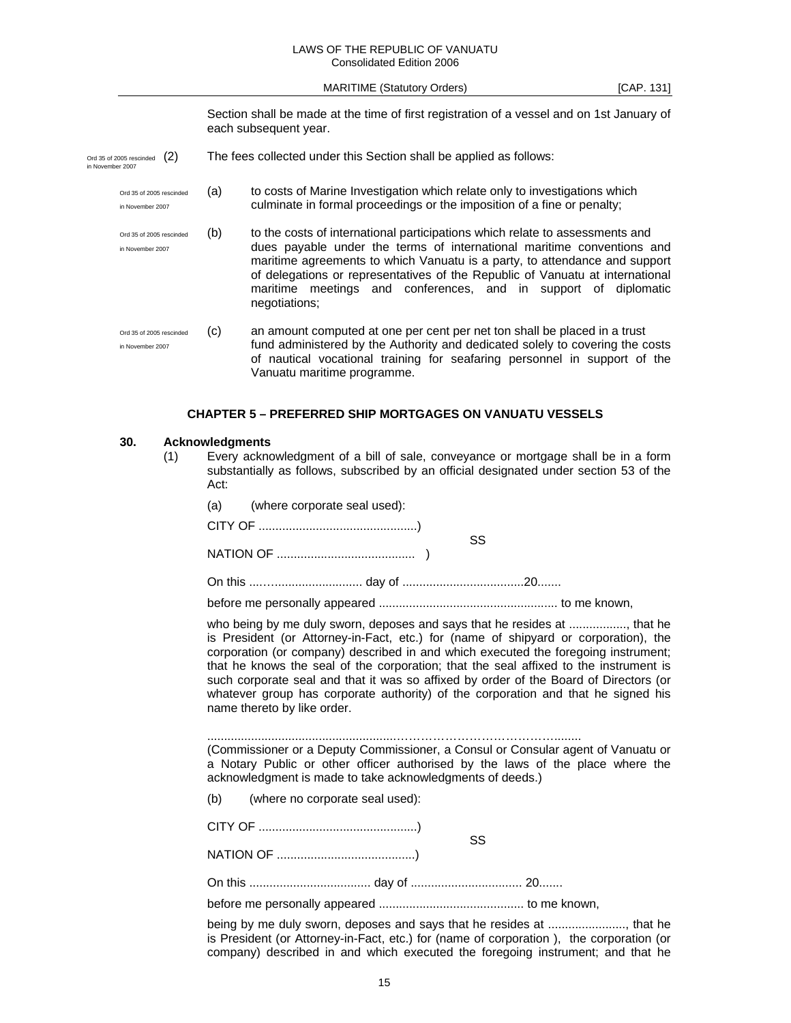#### LAWS OF THE REPUBLIC OF VANUATU Consolidated Edition 2006

MARITIME (Statutory Orders) [CAP. 131]

Section shall be made at the time of first registration of a vessel and on 1st January of each subsequent year.

- Ord 35 of 2005 rescinded (2) The fees collected under this Section shall be applied as follows:<br>in November 2007
	- Ord 35 of 2005 rescinded (a) to costs of Marine Investigation which relate only to investigations which in November 2007 culminate in formal proceedings or the imposition of a fine or penalty;
	- Ord 35 of 2005 rescinded (b) to the costs of international participations which relate to assessments and in November 2007 dues payable under the terms of international maritime conventions and maritime agreements to which Vanuatu is a party, to attendance and support of delegations or representatives of the Republic of Vanuatu at international maritime meetings and conferences, and in support of diplomatic negotiations;
	- Ord 35 of 2005 rescinded (c) an amount computed at one per cent per net ton shall be placed in a trust in November 2007 fund administered by the Authority and dedicated solely to covering the costs of nautical vocational training for seafaring personnel in support of the Vanuatu maritime programme.

#### **CHAPTER 5 – PREFERRED SHIP MORTGAGES ON VANUATU VESSELS**

#### **30. Acknowledgments**

 (1) Every acknowledgment of a bill of sale, conveyance or mortgage shall be in a form substantially as follows, subscribed by an official designated under section 53 of the Act:

|  | (a) (where corporate seal used): |    |
|--|----------------------------------|----|
|  |                                  | SS |
|  |                                  |    |
|  |                                  |    |

before me personally appeared ..................................................... to me known,

who being by me duly sworn, deposes and says that he resides at ................., that he is President (or Attorney-in-Fact, etc.) for (name of shipyard or corporation), the corporation (or company) described in and which executed the foregoing instrument; that he knows the seal of the corporation; that the seal affixed to the instrument is such corporate seal and that it was so affixed by order of the Board of Directors (or whatever group has corporate authority) of the corporation and that he signed his name thereto by like order.

........................................................…………………………………........

(Commissioner or a Deputy Commissioner, a Consul or Consular agent of Vanuatu or a Notary Public or other officer authorised by the laws of the place where the acknowledgment is made to take acknowledgments of deeds.)

(b) (where no corporate seal used):

CITY OF ...............................................) SS

NATION OF .........................................)

On this .................................... day of ................................. 20.......

before me personally appeared ........................................... to me known,

being by me duly sworn, deposes and says that he resides at ......................., that he is President (or Attorney-in-Fact, etc.) for (name of corporation ), the corporation (or company) described in and which executed the foregoing instrument; and that he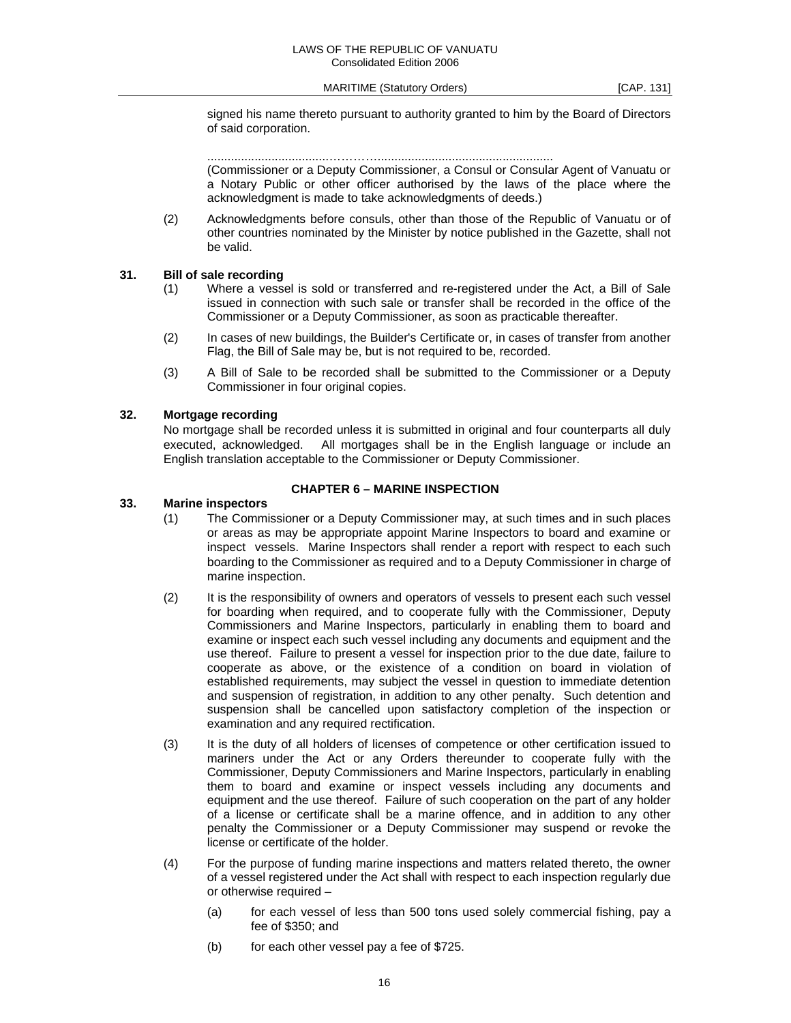signed his name thereto pursuant to authority granted to him by the Board of Directors of said corporation.

....................................…………....................................................

(Commissioner or a Deputy Commissioner, a Consul or Consular Agent of Vanuatu or a Notary Public or other officer authorised by the laws of the place where the acknowledgment is made to take acknowledgments of deeds.)

 (2) Acknowledgments before consuls, other than those of the Republic of Vanuatu or of other countries nominated by the Minister by notice published in the Gazette, shall not be valid.

## **31. Bill of sale recording**

- (1) Where a vessel is sold or transferred and re-registered under the Act, a Bill of Sale issued in connection with such sale or transfer shall be recorded in the office of the Commissioner or a Deputy Commissioner, as soon as practicable thereafter.
- (2) In cases of new buildings, the Builder's Certificate or, in cases of transfer from another Flag, the Bill of Sale may be, but is not required to be, recorded.
- (3) A Bill of Sale to be recorded shall be submitted to the Commissioner or a Deputy Commissioner in four original copies.

## **32. Mortgage recording**

 No mortgage shall be recorded unless it is submitted in original and four counterparts all duly executed, acknowledged. All mortgages shall be in the English language or include an English translation acceptable to the Commissioner or Deputy Commissioner.

#### **CHAPTER 6 – MARINE INSPECTION**

#### **33. Marine inspectors**

- (1) The Commissioner or a Deputy Commissioner may, at such times and in such places or areas as may be appropriate appoint Marine Inspectors to board and examine or inspect vessels. Marine Inspectors shall render a report with respect to each such boarding to the Commissioner as required and to a Deputy Commissioner in charge of marine inspection.
- (2) It is the responsibility of owners and operators of vessels to present each such vessel for boarding when required, and to cooperate fully with the Commissioner, Deputy Commissioners and Marine Inspectors, particularly in enabling them to board and examine or inspect each such vessel including any documents and equipment and the use thereof. Failure to present a vessel for inspection prior to the due date, failure to cooperate as above, or the existence of a condition on board in violation of established requirements, may subject the vessel in question to immediate detention and suspension of registration, in addition to any other penalty. Such detention and suspension shall be cancelled upon satisfactory completion of the inspection or examination and any required rectification.
- (3) It is the duty of all holders of licenses of competence or other certification issued to mariners under the Act or any Orders thereunder to cooperate fully with the Commissioner, Deputy Commissioners and Marine Inspectors, particularly in enabling them to board and examine or inspect vessels including any documents and equipment and the use thereof. Failure of such cooperation on the part of any holder of a license or certificate shall be a marine offence, and in addition to any other penalty the Commissioner or a Deputy Commissioner may suspend or revoke the license or certificate of the holder.
- (4) For the purpose of funding marine inspections and matters related thereto, the owner of a vessel registered under the Act shall with respect to each inspection regularly due or otherwise required –
	- (a) for each vessel of less than 500 tons used solely commercial fishing, pay a fee of \$350; and
	- (b) for each other vessel pay a fee of \$725.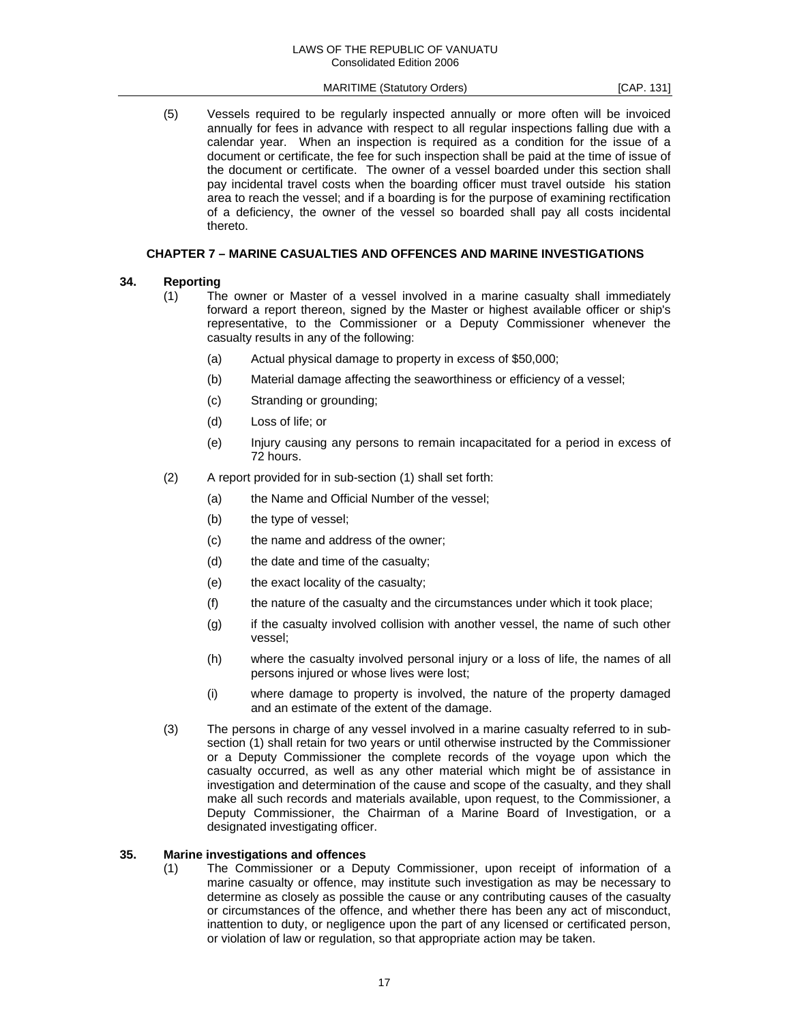(5) Vessels required to be regularly inspected annually or more often will be invoiced annually for fees in advance with respect to all regular inspections falling due with a calendar year. When an inspection is required as a condition for the issue of a document or certificate, the fee for such inspection shall be paid at the time of issue of the document or certificate. The owner of a vessel boarded under this section shall pay incidental travel costs when the boarding officer must travel outside his station area to reach the vessel; and if a boarding is for the purpose of examining rectification of a deficiency, the owner of the vessel so boarded shall pay all costs incidental thereto.

## **CHAPTER 7 – MARINE CASUALTIES AND OFFENCES AND MARINE INVESTIGATIONS**

## **34. Reporting**

- (1) The owner or Master of a vessel involved in a marine casualty shall immediately forward a report thereon, signed by the Master or highest available officer or ship's representative, to the Commissioner or a Deputy Commissioner whenever the casualty results in any of the following:
	- (a) Actual physical damage to property in excess of \$50,000;
	- (b) Material damage affecting the seaworthiness or efficiency of a vessel;
	- (c) Stranding or grounding;
	- (d) Loss of life; or
	- (e) Injury causing any persons to remain incapacitated for a period in excess of 72 hours.
- (2) A report provided for in sub-section (1) shall set forth:
	- (a) the Name and Official Number of the vessel;
	- (b) the type of vessel;
	- (c) the name and address of the owner;
	- (d) the date and time of the casualty;
	- (e) the exact locality of the casualty;
	- (f) the nature of the casualty and the circumstances under which it took place;
	- (g) if the casualty involved collision with another vessel, the name of such other vessel;
	- (h) where the casualty involved personal injury or a loss of life, the names of all persons injured or whose lives were lost;
	- (i) where damage to property is involved, the nature of the property damaged and an estimate of the extent of the damage.
- (3) The persons in charge of any vessel involved in a marine casualty referred to in subsection (1) shall retain for two years or until otherwise instructed by the Commissioner or a Deputy Commissioner the complete records of the voyage upon which the casualty occurred, as well as any other material which might be of assistance in investigation and determination of the cause and scope of the casualty, and they shall make all such records and materials available, upon request, to the Commissioner, a Deputy Commissioner, the Chairman of a Marine Board of Investigation, or a designated investigating officer.

#### **35. Marine investigations and offences**

 (1) The Commissioner or a Deputy Commissioner, upon receipt of information of a marine casualty or offence, may institute such investigation as may be necessary to determine as closely as possible the cause or any contributing causes of the casualty or circumstances of the offence, and whether there has been any act of misconduct, inattention to duty, or negligence upon the part of any licensed or certificated person, or violation of law or regulation, so that appropriate action may be taken.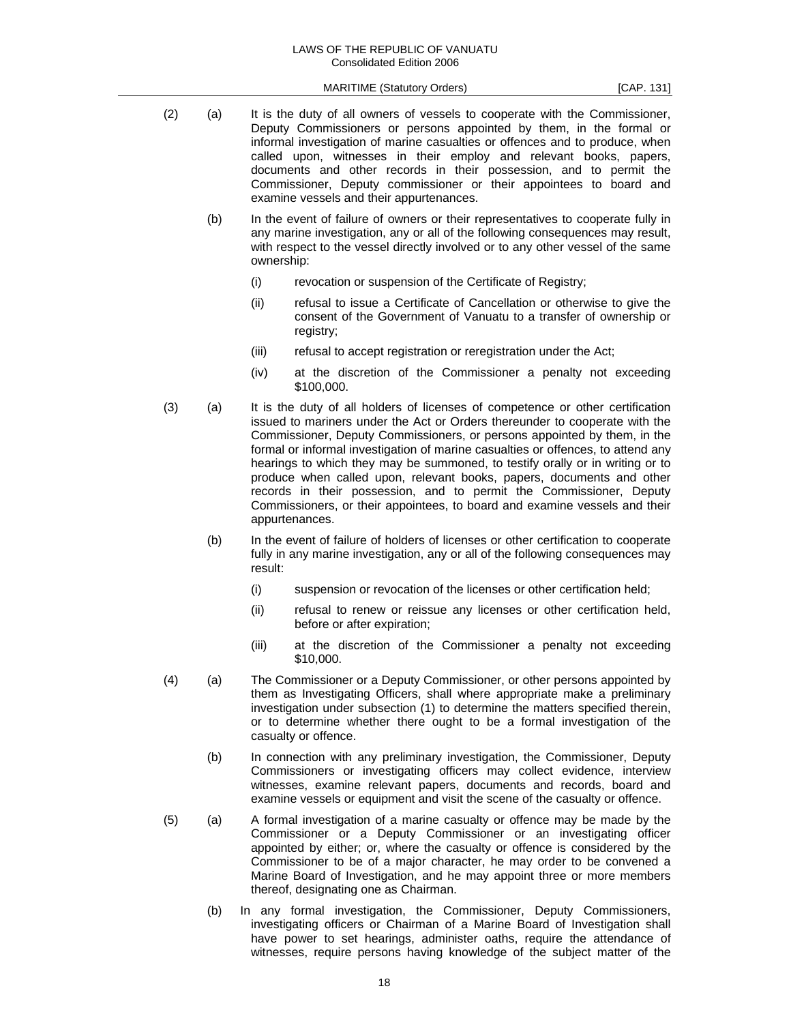- (2) (a) It is the duty of all owners of vessels to cooperate with the Commissioner, Deputy Commissioners or persons appointed by them, in the formal or informal investigation of marine casualties or offences and to produce, when called upon, witnesses in their employ and relevant books, papers, documents and other records in their possession, and to permit the Commissioner, Deputy commissioner or their appointees to board and examine vessels and their appurtenances. (b) In the event of failure of owners or their representatives to cooperate fully in any marine investigation, any or all of the following consequences may result, with respect to the vessel directly involved or to any other vessel of the same ownership: (i) revocation or suspension of the Certificate of Registry; (ii) refusal to issue a Certificate of Cancellation or otherwise to give the consent of the Government of Vanuatu to a transfer of ownership or registry; (iii) refusal to accept registration or reregistration under the Act; (iv) at the discretion of the Commissioner a penalty not exceeding \$100,000. (3) (a) It is the duty of all holders of licenses of competence or other certification issued to mariners under the Act or Orders thereunder to cooperate with the Commissioner, Deputy Commissioners, or persons appointed by them, in the formal or informal investigation of marine casualties or offences, to attend any hearings to which they may be summoned, to testify orally or in writing or to produce when called upon, relevant books, papers, documents and other records in their possession, and to permit the Commissioner, Deputy Commissioners, or their appointees, to board and examine vessels and their appurtenances. (b) In the event of failure of holders of licenses or other certification to cooperate fully in any marine investigation, any or all of the following consequences may result: (i) suspension or revocation of the licenses or other certification held; (ii) refusal to renew or reissue any licenses or other certification held, before or after expiration; (iii) at the discretion of the Commissioner a penalty not exceeding \$10,000. (4) (a) The Commissioner or a Deputy Commissioner, or other persons appointed by them as Investigating Officers, shall where appropriate make a preliminary investigation under subsection (1) to determine the matters specified therein, or to determine whether there ought to be a formal investigation of the casualty or offence. (b) In connection with any preliminary investigation, the Commissioner, Deputy Commissioners or investigating officers may collect evidence, interview witnesses, examine relevant papers, documents and records, board and examine vessels or equipment and visit the scene of the casualty or offence.
	- (5) (a) A formal investigation of a marine casualty or offence may be made by the Commissioner or a Deputy Commissioner or an investigating officer appointed by either; or, where the casualty or offence is considered by the Commissioner to be of a major character, he may order to be convened a Marine Board of Investigation, and he may appoint three or more members thereof, designating one as Chairman.
		- (b) In any formal investigation, the Commissioner, Deputy Commissioners, investigating officers or Chairman of a Marine Board of Investigation shall have power to set hearings, administer oaths, require the attendance of witnesses, require persons having knowledge of the subject matter of the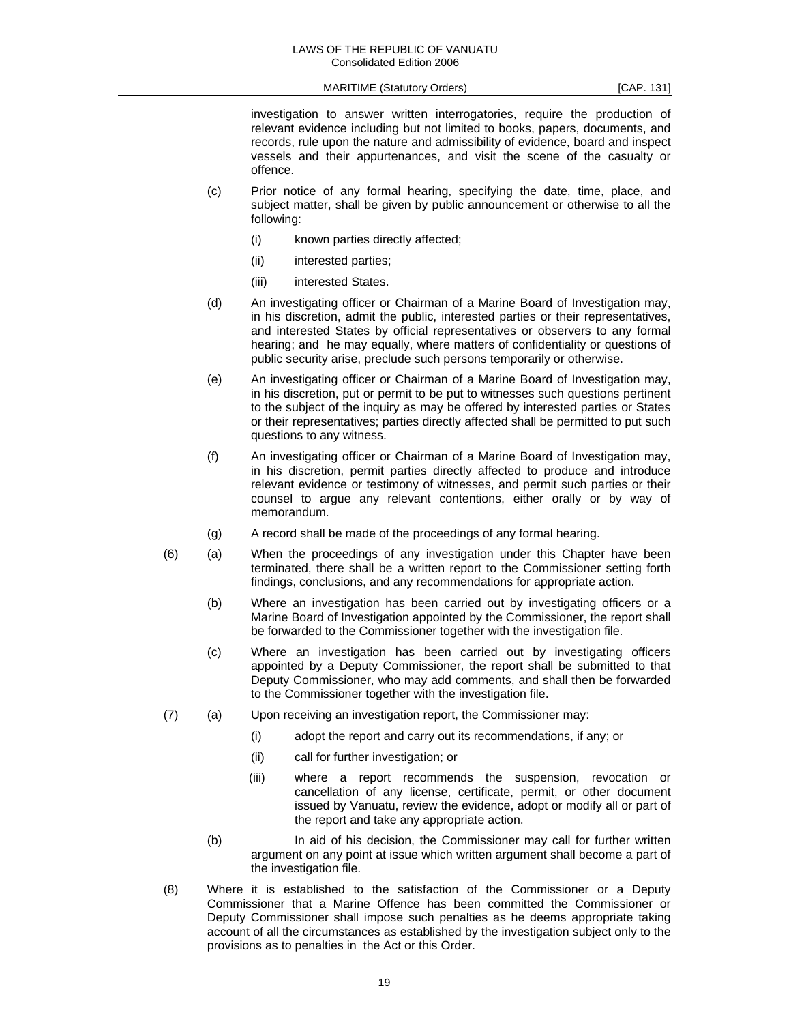investigation to answer written interrogatories, require the production of relevant evidence including but not limited to books, papers, documents, and records, rule upon the nature and admissibility of evidence, board and inspect vessels and their appurtenances, and visit the scene of the casualty or offence.

- (c) Prior notice of any formal hearing, specifying the date, time, place, and subject matter, shall be given by public announcement or otherwise to all the following:
	- (i) known parties directly affected;
	- (ii) interested parties;
	- (iii) interested States.
- (d) An investigating officer or Chairman of a Marine Board of Investigation may, in his discretion, admit the public, interested parties or their representatives, and interested States by official representatives or observers to any formal hearing; and he may equally, where matters of confidentiality or questions of public security arise, preclude such persons temporarily or otherwise.
- (e) An investigating officer or Chairman of a Marine Board of Investigation may, in his discretion, put or permit to be put to witnesses such questions pertinent to the subject of the inquiry as may be offered by interested parties or States or their representatives; parties directly affected shall be permitted to put such questions to any witness.
- (f) An investigating officer or Chairman of a Marine Board of Investigation may, in his discretion, permit parties directly affected to produce and introduce relevant evidence or testimony of witnesses, and permit such parties or their counsel to argue any relevant contentions, either orally or by way of memorandum.
- (g) A record shall be made of the proceedings of any formal hearing.
- (6) (a) When the proceedings of any investigation under this Chapter have been terminated, there shall be a written report to the Commissioner setting forth findings, conclusions, and any recommendations for appropriate action.
	- (b) Where an investigation has been carried out by investigating officers or a Marine Board of Investigation appointed by the Commissioner, the report shall be forwarded to the Commissioner together with the investigation file.
	- (c) Where an investigation has been carried out by investigating officers appointed by a Deputy Commissioner, the report shall be submitted to that Deputy Commissioner, who may add comments, and shall then be forwarded to the Commissioner together with the investigation file.
- (7) (a) Upon receiving an investigation report, the Commissioner may:
	- (i) adopt the report and carry out its recommendations, if any; or
	- (ii) call for further investigation; or
	- (iii) where a report recommends the suspension, revocation or cancellation of any license, certificate, permit, or other document issued by Vanuatu, review the evidence, adopt or modify all or part of the report and take any appropriate action.
	- (b) In aid of his decision, the Commissioner may call for further written argument on any point at issue which written argument shall become a part of the investigation file.
- (8) Where it is established to the satisfaction of the Commissioner or a Deputy Commissioner that a Marine Offence has been committed the Commissioner or Deputy Commissioner shall impose such penalties as he deems appropriate taking account of all the circumstances as established by the investigation subject only to the provisions as to penalties in the Act or this Order.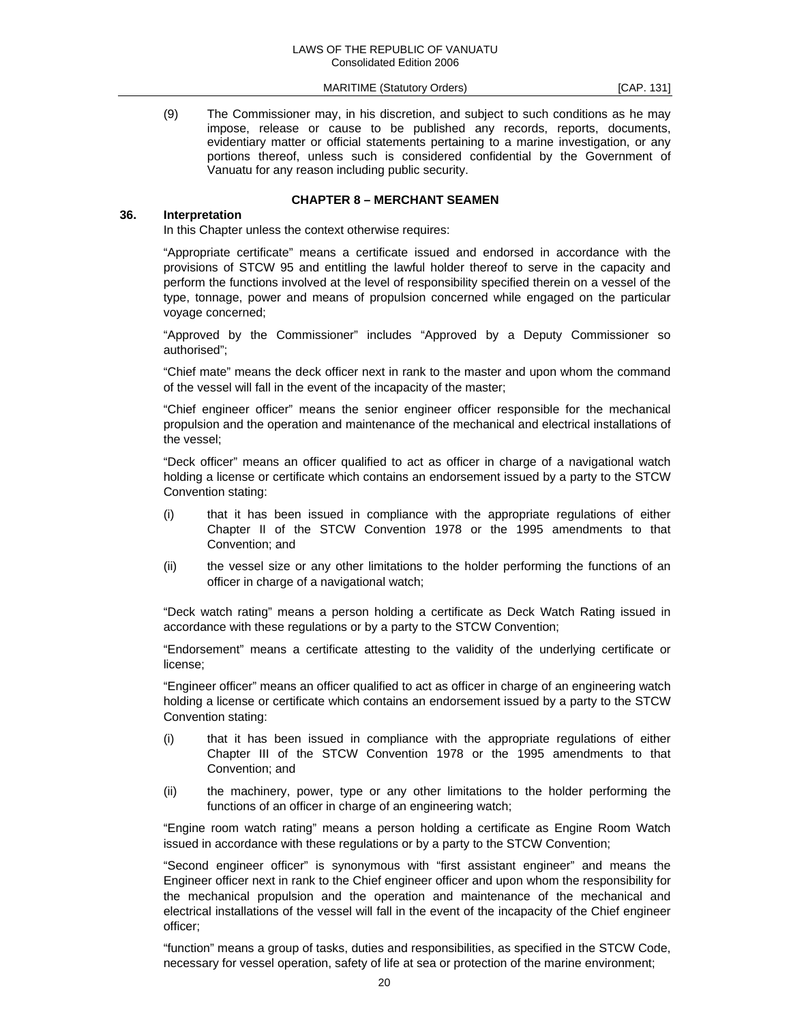(9) The Commissioner may, in his discretion, and subject to such conditions as he may impose, release or cause to be published any records, reports, documents, evidentiary matter or official statements pertaining to a marine investigation, or any portions thereof, unless such is considered confidential by the Government of Vanuatu for any reason including public security.

## **CHAPTER 8 – MERCHANT SEAMEN**

#### **36. Interpretation**

In this Chapter unless the context otherwise requires:

 "Appropriate certificate" means a certificate issued and endorsed in accordance with the provisions of STCW 95 and entitling the lawful holder thereof to serve in the capacity and perform the functions involved at the level of responsibility specified therein on a vessel of the type, tonnage, power and means of propulsion concerned while engaged on the particular voyage concerned;

 "Approved by the Commissioner" includes "Approved by a Deputy Commissioner so authorised";

 "Chief mate" means the deck officer next in rank to the master and upon whom the command of the vessel will fall in the event of the incapacity of the master;

 "Chief engineer officer" means the senior engineer officer responsible for the mechanical propulsion and the operation and maintenance of the mechanical and electrical installations of the vessel;

 "Deck officer" means an officer qualified to act as officer in charge of a navigational watch holding a license or certificate which contains an endorsement issued by a party to the STCW Convention stating:

- (i) that it has been issued in compliance with the appropriate regulations of either Chapter II of the STCW Convention 1978 or the 1995 amendments to that Convention; and
- (ii) the vessel size or any other limitations to the holder performing the functions of an officer in charge of a navigational watch;

 "Deck watch rating" means a person holding a certificate as Deck Watch Rating issued in accordance with these regulations or by a party to the STCW Convention;

 "Endorsement" means a certificate attesting to the validity of the underlying certificate or license;

 "Engineer officer" means an officer qualified to act as officer in charge of an engineering watch holding a license or certificate which contains an endorsement issued by a party to the STCW Convention stating:

- (i) that it has been issued in compliance with the appropriate regulations of either Chapter III of the STCW Convention 1978 or the 1995 amendments to that Convention; and
- (ii) the machinery, power, type or any other limitations to the holder performing the functions of an officer in charge of an engineering watch;

 "Engine room watch rating" means a person holding a certificate as Engine Room Watch issued in accordance with these regulations or by a party to the STCW Convention;

 "Second engineer officer" is synonymous with "first assistant engineer" and means the Engineer officer next in rank to the Chief engineer officer and upon whom the responsibility for the mechanical propulsion and the operation and maintenance of the mechanical and electrical installations of the vessel will fall in the event of the incapacity of the Chief engineer officer;

 "function" means a group of tasks, duties and responsibilities, as specified in the STCW Code, necessary for vessel operation, safety of life at sea or protection of the marine environment;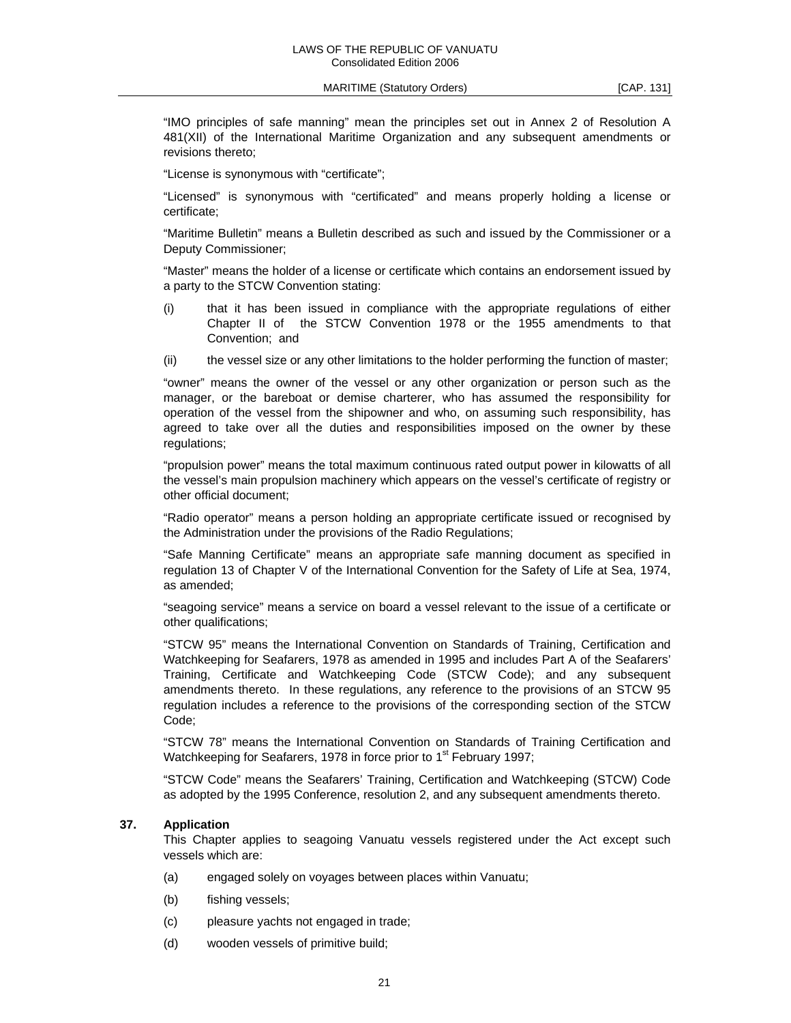"IMO principles of safe manning" mean the principles set out in Annex 2 of Resolution A 481(XII) of the International Maritime Organization and any subsequent amendments or revisions thereto;

"License is synonymous with "certificate";

 "Licensed" is synonymous with "certificated" and means properly holding a license or certificate;

 "Maritime Bulletin" means a Bulletin described as such and issued by the Commissioner or a Deputy Commissioner;

 "Master" means the holder of a license or certificate which contains an endorsement issued by a party to the STCW Convention stating:

- (i) that it has been issued in compliance with the appropriate regulations of either Chapter II of the STCW Convention 1978 or the 1955 amendments to that Convention; and
- (ii) the vessel size or any other limitations to the holder performing the function of master;

 "owner" means the owner of the vessel or any other organization or person such as the manager, or the bareboat or demise charterer, who has assumed the responsibility for operation of the vessel from the shipowner and who, on assuming such responsibility, has agreed to take over all the duties and responsibilities imposed on the owner by these regulations;

 "propulsion power" means the total maximum continuous rated output power in kilowatts of all the vessel's main propulsion machinery which appears on the vessel's certificate of registry or other official document;

 "Radio operator" means a person holding an appropriate certificate issued or recognised by the Administration under the provisions of the Radio Regulations;

 "Safe Manning Certificate" means an appropriate safe manning document as specified in regulation 13 of Chapter V of the International Convention for the Safety of Life at Sea, 1974, as amended;

 "seagoing service" means a service on board a vessel relevant to the issue of a certificate or other qualifications;

 "STCW 95" means the International Convention on Standards of Training, Certification and Watchkeeping for Seafarers, 1978 as amended in 1995 and includes Part A of the Seafarers' Training, Certificate and Watchkeeping Code (STCW Code); and any subsequent amendments thereto. In these regulations, any reference to the provisions of an STCW 95 regulation includes a reference to the provisions of the corresponding section of the STCW Code;

 "STCW 78" means the International Convention on Standards of Training Certification and Watchkeeping for Seafarers, 1978 in force prior to 1<sup>st</sup> February 1997;

 "STCW Code" means the Seafarers' Training, Certification and Watchkeeping (STCW) Code as adopted by the 1995 Conference, resolution 2, and any subsequent amendments thereto.

## **37. Application**

 This Chapter applies to seagoing Vanuatu vessels registered under the Act except such vessels which are:

- (a) engaged solely on voyages between places within Vanuatu;
- (b) fishing vessels;
- (c) pleasure yachts not engaged in trade;
- (d) wooden vessels of primitive build;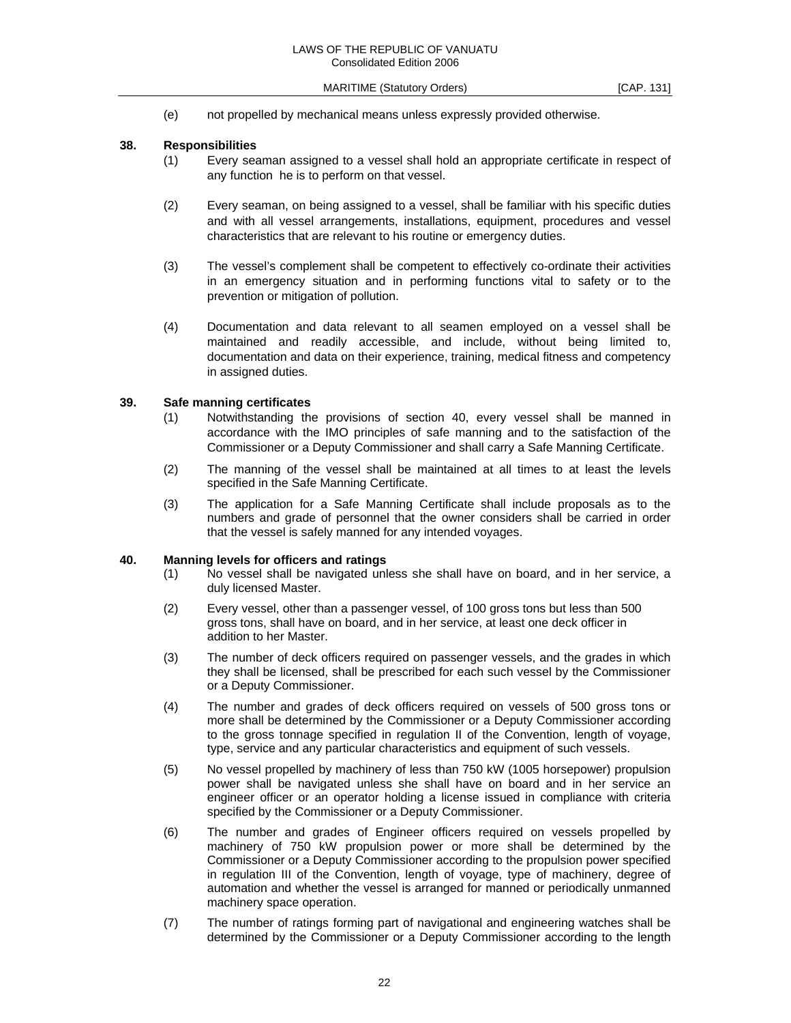(e) not propelled by mechanical means unless expressly provided otherwise.

#### **38. Responsibilities**

- (1) Every seaman assigned to a vessel shall hold an appropriate certificate in respect of any function he is to perform on that vessel.
- (2) Every seaman, on being assigned to a vessel, shall be familiar with his specific duties and with all vessel arrangements, installations, equipment, procedures and vessel characteristics that are relevant to his routine or emergency duties.
- (3) The vessel's complement shall be competent to effectively co-ordinate their activities in an emergency situation and in performing functions vital to safety or to the prevention or mitigation of pollution.
- (4) Documentation and data relevant to all seamen employed on a vessel shall be maintained and readily accessible, and include, without being limited to, documentation and data on their experience, training, medical fitness and competency in assigned duties.

#### **39. Safe manning certificates**

- (1) Notwithstanding the provisions of section 40, every vessel shall be manned in accordance with the IMO principles of safe manning and to the satisfaction of the Commissioner or a Deputy Commissioner and shall carry a Safe Manning Certificate.
- (2) The manning of the vessel shall be maintained at all times to at least the levels specified in the Safe Manning Certificate.
- (3) The application for a Safe Manning Certificate shall include proposals as to the numbers and grade of personnel that the owner considers shall be carried in order that the vessel is safely manned for any intended voyages.

#### **40. Manning levels for officers and ratings**

- (1) No vessel shall be navigated unless she shall have on board, and in her service, a duly licensed Master.
- (2) Every vessel, other than a passenger vessel, of 100 gross tons but less than 500 gross tons, shall have on board, and in her service, at least one deck officer in addition to her Master.
- (3) The number of deck officers required on passenger vessels, and the grades in which they shall be licensed, shall be prescribed for each such vessel by the Commissioner or a Deputy Commissioner.
- (4) The number and grades of deck officers required on vessels of 500 gross tons or more shall be determined by the Commissioner or a Deputy Commissioner according to the gross tonnage specified in regulation II of the Convention, length of voyage, type, service and any particular characteristics and equipment of such vessels.
- (5) No vessel propelled by machinery of less than 750 kW (1005 horsepower) propulsion power shall be navigated unless she shall have on board and in her service an engineer officer or an operator holding a license issued in compliance with criteria specified by the Commissioner or a Deputy Commissioner.
- (6) The number and grades of Engineer officers required on vessels propelled by machinery of 750 kW propulsion power or more shall be determined by the Commissioner or a Deputy Commissioner according to the propulsion power specified in regulation III of the Convention, length of voyage, type of machinery, degree of automation and whether the vessel is arranged for manned or periodically unmanned machinery space operation.
- (7) The number of ratings forming part of navigational and engineering watches shall be determined by the Commissioner or a Deputy Commissioner according to the length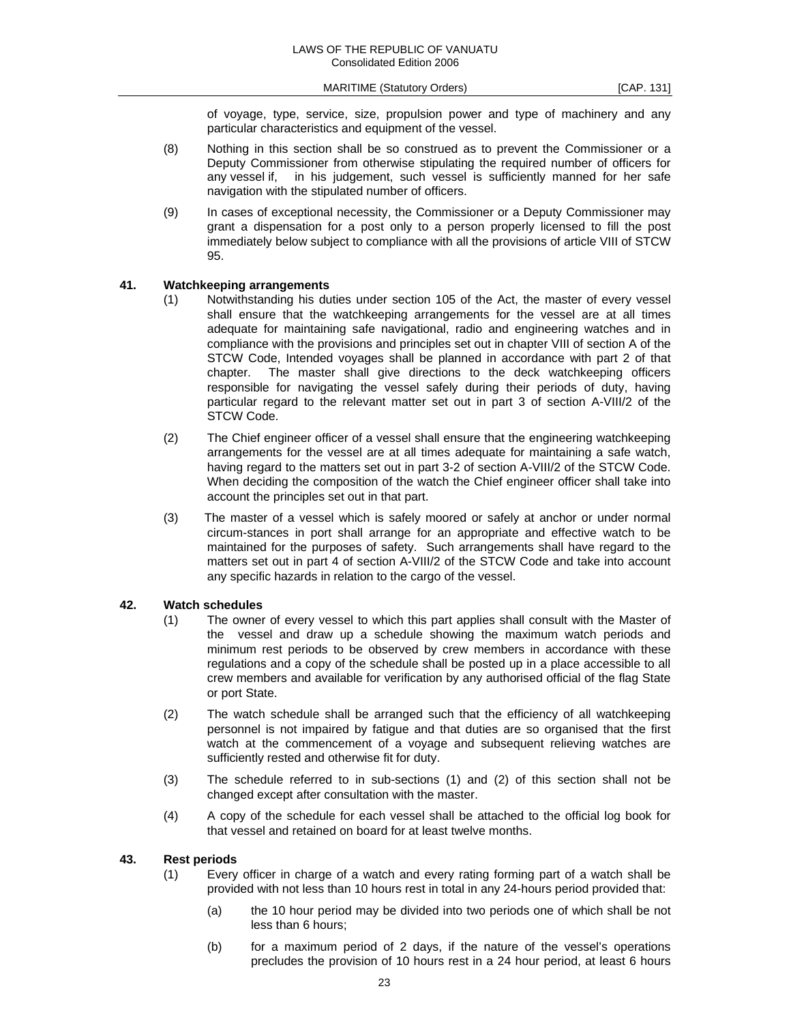of voyage, type, service, size, propulsion power and type of machinery and any particular characteristics and equipment of the vessel.

- (8) Nothing in this section shall be so construed as to prevent the Commissioner or a Deputy Commissioner from otherwise stipulating the required number of officers for any vessel if, in his judgement, such vessel is sufficiently manned for her safe navigation with the stipulated number of officers.
- (9) In cases of exceptional necessity, the Commissioner or a Deputy Commissioner may grant a dispensation for a post only to a person properly licensed to fill the post immediately below subject to compliance with all the provisions of article VIII of STCW 95.

#### **41. Watchkeeping arrangements**

- (1) Notwithstanding his duties under section 105 of the Act, the master of every vessel shall ensure that the watchkeeping arrangements for the vessel are at all times adequate for maintaining safe navigational, radio and engineering watches and in compliance with the provisions and principles set out in chapter VIII of section A of the STCW Code, Intended voyages shall be planned in accordance with part 2 of that chapter. The master shall give directions to the deck watchkeeping officers responsible for navigating the vessel safely during their periods of duty, having particular regard to the relevant matter set out in part 3 of section A-VIII/2 of the STCW Code.
- (2) The Chief engineer officer of a vessel shall ensure that the engineering watchkeeping arrangements for the vessel are at all times adequate for maintaining a safe watch, having regard to the matters set out in part 3-2 of section A-VIII/2 of the STCW Code. When deciding the composition of the watch the Chief engineer officer shall take into account the principles set out in that part.
- (3) The master of a vessel which is safely moored or safely at anchor or under normal circum-stances in port shall arrange for an appropriate and effective watch to be maintained for the purposes of safety. Such arrangements shall have regard to the matters set out in part 4 of section A-VIII/2 of the STCW Code and take into account any specific hazards in relation to the cargo of the vessel.

#### **42. Watch schedules**

- (1) The owner of every vessel to which this part applies shall consult with the Master of the vessel and draw up a schedule showing the maximum watch periods and minimum rest periods to be observed by crew members in accordance with these regulations and a copy of the schedule shall be posted up in a place accessible to all crew members and available for verification by any authorised official of the flag State or port State.
- (2) The watch schedule shall be arranged such that the efficiency of all watchkeeping personnel is not impaired by fatigue and that duties are so organised that the first watch at the commencement of a voyage and subsequent relieving watches are sufficiently rested and otherwise fit for duty.
- (3) The schedule referred to in sub-sections (1) and (2) of this section shall not be changed except after consultation with the master.
- (4) A copy of the schedule for each vessel shall be attached to the official log book for that vessel and retained on board for at least twelve months.

### **43. Rest periods**

- (1) Every officer in charge of a watch and every rating forming part of a watch shall be provided with not less than 10 hours rest in total in any 24-hours period provided that:
	- (a) the 10 hour period may be divided into two periods one of which shall be not less than 6 hours;
	- (b) for a maximum period of 2 days, if the nature of the vessel's operations precludes the provision of 10 hours rest in a 24 hour period, at least 6 hours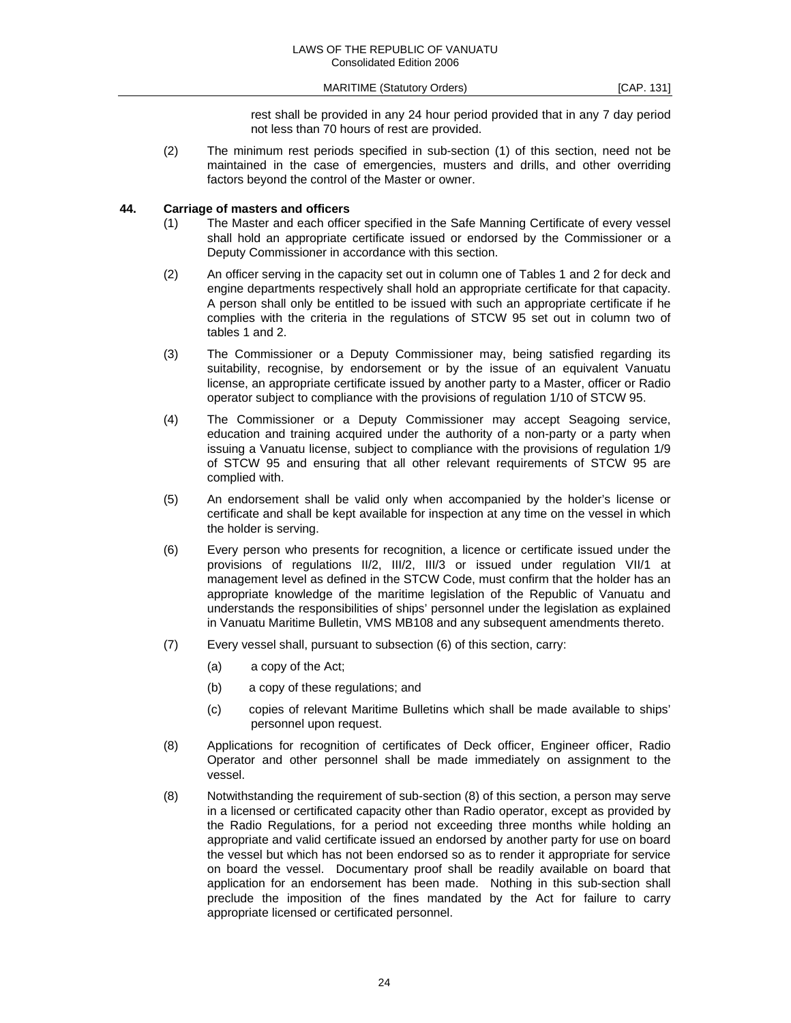rest shall be provided in any 24 hour period provided that in any 7 day period not less than 70 hours of rest are provided.

(2) The minimum rest periods specified in sub-section (1) of this section, need not be maintained in the case of emergencies, musters and drills, and other overriding factors beyond the control of the Master or owner.

## **44. Carriage of masters and officers**

- (1) The Master and each officer specified in the Safe Manning Certificate of every vessel shall hold an appropriate certificate issued or endorsed by the Commissioner or a Deputy Commissioner in accordance with this section.
- (2) An officer serving in the capacity set out in column one of Tables 1 and 2 for deck and engine departments respectively shall hold an appropriate certificate for that capacity. A person shall only be entitled to be issued with such an appropriate certificate if he complies with the criteria in the regulations of STCW 95 set out in column two of tables 1 and 2.
- (3) The Commissioner or a Deputy Commissioner may, being satisfied regarding its suitability, recognise, by endorsement or by the issue of an equivalent Vanuatu license, an appropriate certificate issued by another party to a Master, officer or Radio operator subject to compliance with the provisions of regulation 1/10 of STCW 95.
- (4) The Commissioner or a Deputy Commissioner may accept Seagoing service, education and training acquired under the authority of a non-party or a party when issuing a Vanuatu license, subject to compliance with the provisions of regulation 1/9 of STCW 95 and ensuring that all other relevant requirements of STCW 95 are complied with.
- (5) An endorsement shall be valid only when accompanied by the holder's license or certificate and shall be kept available for inspection at any time on the vessel in which the holder is serving.
- (6) Every person who presents for recognition, a licence or certificate issued under the provisions of regulations II/2, III/2, III/3 or issued under regulation VII/1 at management level as defined in the STCW Code, must confirm that the holder has an appropriate knowledge of the maritime legislation of the Republic of Vanuatu and understands the responsibilities of ships' personnel under the legislation as explained in Vanuatu Maritime Bulletin, VMS MB108 and any subsequent amendments thereto.
- (7) Every vessel shall, pursuant to subsection (6) of this section, carry:
	- (a) a copy of the Act;
	- (b) a copy of these regulations; and
	- (c) copies of relevant Maritime Bulletins which shall be made available to ships' personnel upon request.
- (8) Applications for recognition of certificates of Deck officer, Engineer officer, Radio Operator and other personnel shall be made immediately on assignment to the vessel.
- (8) Notwithstanding the requirement of sub-section (8) of this section, a person may serve in a licensed or certificated capacity other than Radio operator, except as provided by the Radio Regulations, for a period not exceeding three months while holding an appropriate and valid certificate issued an endorsed by another party for use on board the vessel but which has not been endorsed so as to render it appropriate for service on board the vessel. Documentary proof shall be readily available on board that application for an endorsement has been made. Nothing in this sub-section shall preclude the imposition of the fines mandated by the Act for failure to carry appropriate licensed or certificated personnel.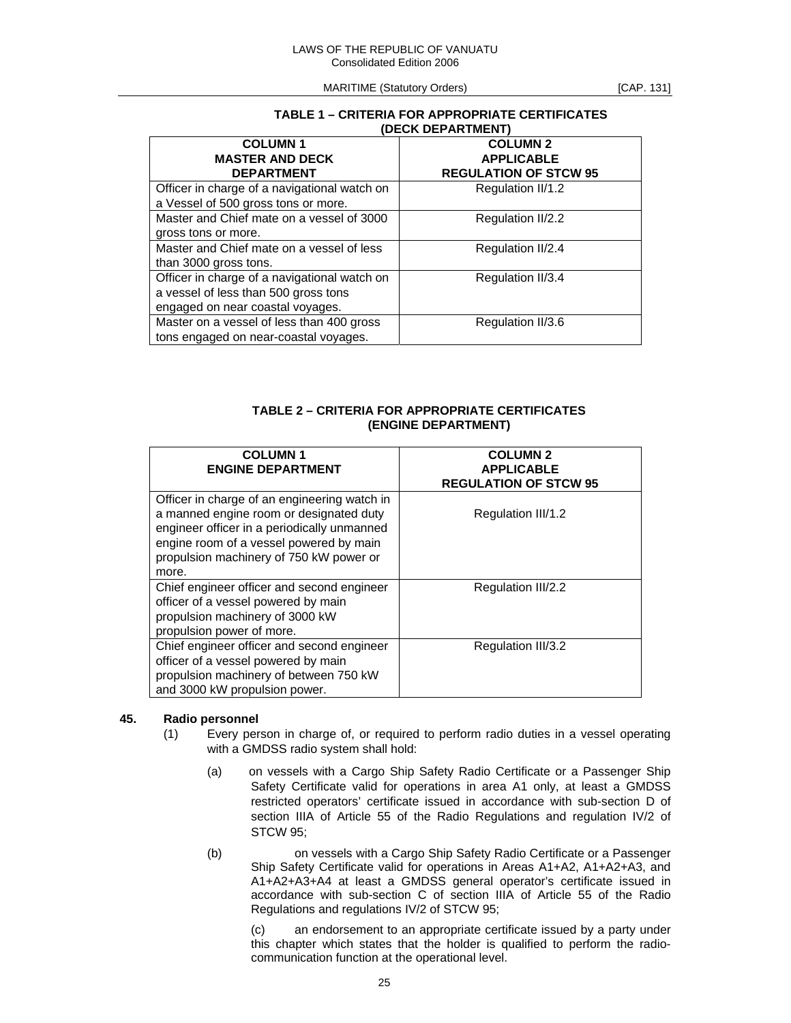### **TABLE 1 – CRITERIA FOR APPROPRIATE CERTIFICATES (DECK DEPARTMENT)**

| <b>COLUMN1</b>                               | <b>COLUMN 2</b>              |
|----------------------------------------------|------------------------------|
| <b>MASTER AND DECK</b>                       | <b>APPLICABLE</b>            |
| <b>DEPARTMENT</b>                            | <b>REGULATION OF STCW 95</b> |
| Officer in charge of a navigational watch on | Regulation II/1.2            |
| a Vessel of 500 gross tons or more.          |                              |
| Master and Chief mate on a vessel of 3000    | Regulation II/2.2            |
| gross tons or more.                          |                              |
| Master and Chief mate on a vessel of less    | Regulation II/2.4            |
| than 3000 gross tons.                        |                              |
| Officer in charge of a navigational watch on | Regulation II/3.4            |
| a vessel of less than 500 gross tons         |                              |
| engaged on near coastal voyages.             |                              |
| Master on a vessel of less than 400 gross    | Regulation II/3.6            |
| tons engaged on near-coastal voyages.        |                              |

## **TABLE 2 – CRITERIA FOR APPROPRIATE CERTIFICATES (ENGINE DEPARTMENT)**

| <b>COLUMN1</b><br><b>ENGINE DEPARTMENT</b>                                                                                                                                                                                            | <b>COLUMN 2</b><br><b>APPLICABLE</b><br><b>REGULATION OF STCW 95</b> |
|---------------------------------------------------------------------------------------------------------------------------------------------------------------------------------------------------------------------------------------|----------------------------------------------------------------------|
| Officer in charge of an engineering watch in<br>a manned engine room or designated duty<br>engineer officer in a periodically unmanned<br>engine room of a vessel powered by main<br>propulsion machinery of 750 kW power or<br>more. | Regulation III/1.2                                                   |
| Chief engineer officer and second engineer<br>officer of a vessel powered by main<br>propulsion machinery of 3000 kW<br>propulsion power of more.                                                                                     | Regulation III/2.2                                                   |
| Chief engineer officer and second engineer<br>officer of a vessel powered by main<br>propulsion machinery of between 750 kW<br>and 3000 kW propulsion power.                                                                          | Regulation III/3.2                                                   |

## **45. Radio personnel**

- (1) Every person in charge of, or required to perform radio duties in a vessel operating with a GMDSS radio system shall hold:
	- (a) on vessels with a Cargo Ship Safety Radio Certificate or a Passenger Ship Safety Certificate valid for operations in area A1 only, at least a GMDSS restricted operators' certificate issued in accordance with sub-section D of section IIIA of Article 55 of the Radio Regulations and regulation IV/2 of STCW 95;
	- (b) on vessels with a Cargo Ship Safety Radio Certificate or a Passenger Ship Safety Certificate valid for operations in Areas A1+A2, A1+A2+A3, and A1+A2+A3+A4 at least a GMDSS general operator's certificate issued in accordance with sub-section C of section IIIA of Article 55 of the Radio Regulations and regulations IV/2 of STCW 95;

 (c) an endorsement to an appropriate certificate issued by a party under this chapter which states that the holder is qualified to perform the radiocommunication function at the operational level.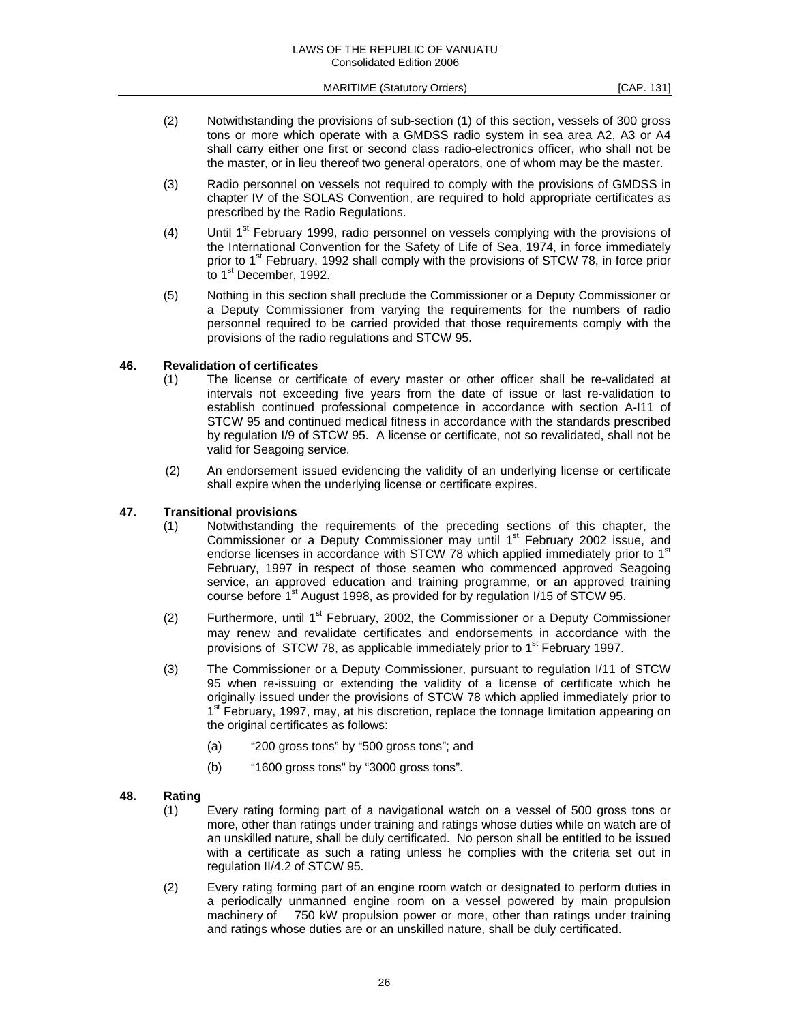- (2) Notwithstanding the provisions of sub-section (1) of this section, vessels of 300 gross tons or more which operate with a GMDSS radio system in sea area A2, A3 or A4 shall carry either one first or second class radio-electronics officer, who shall not be the master, or in lieu thereof two general operators, one of whom may be the master.
- (3) Radio personnel on vessels not required to comply with the provisions of GMDSS in chapter IV of the SOLAS Convention, are required to hold appropriate certificates as prescribed by the Radio Regulations.
- (4) Until  $1<sup>st</sup>$  February 1999, radio personnel on vessels complying with the provisions of the International Convention for the Safety of Life of Sea, 1974, in force immediately prior to 1<sup>st</sup> February, 1992 shall comply with the provisions of STCW 78, in force prior to 1<sup>st</sup> December, 1992.
- (5) Nothing in this section shall preclude the Commissioner or a Deputy Commissioner or a Deputy Commissioner from varying the requirements for the numbers of radio personnel required to be carried provided that those requirements comply with the provisions of the radio regulations and STCW 95.

#### **46. Revalidation of certificates**

- (1) The license or certificate of every master or other officer shall be re-validated at intervals not exceeding five years from the date of issue or last re-validation to establish continued professional competence in accordance with section A-I11 of STCW 95 and continued medical fitness in accordance with the standards prescribed by regulation I/9 of STCW 95. A license or certificate, not so revalidated, shall not be valid for Seagoing service.
- (2) An endorsement issued evidencing the validity of an underlying license or certificate shall expire when the underlying license or certificate expires.

## **47. Transitional provisions**

- (1) Notwithstanding the requirements of the preceding sections of this chapter, the Commissioner or a Deputy Commissioner may until 1<sup>st</sup> February 2002 issue, and endorse licenses in accordance with STCW 78 which applied immediately prior to  $1<sup>st</sup>$ February, 1997 in respect of those seamen who commenced approved Seagoing service, an approved education and training programme, or an approved training course before 1<sup>st</sup> August 1998, as provided for by regulation I/15 of STCW 95.
- (2) Furthermore, until  $1<sup>st</sup>$  February, 2002, the Commissioner or a Deputy Commissioner may renew and revalidate certificates and endorsements in accordance with the provisions of STCW 78, as applicable immediately prior to 1<sup>st</sup> February 1997.
- (3) The Commissioner or a Deputy Commissioner, pursuant to regulation I/11 of STCW 95 when re-issuing or extending the validity of a license of certificate which he originally issued under the provisions of STCW 78 which applied immediately prior to 1<sup>st</sup> February, 1997, may, at his discretion, replace the tonnage limitation appearing on the original certificates as follows:
	- (a) "200 gross tons" by "500 gross tons"; and
	- (b) "1600 gross tons" by "3000 gross tons".

#### **48. Rating**

- (1) Every rating forming part of a navigational watch on a vessel of 500 gross tons or more, other than ratings under training and ratings whose duties while on watch are of an unskilled nature, shall be duly certificated. No person shall be entitled to be issued with a certificate as such a rating unless he complies with the criteria set out in regulation II/4.2 of STCW 95.
- (2) Every rating forming part of an engine room watch or designated to perform duties in a periodically unmanned engine room on a vessel powered by main propulsion machinery of 750 kW propulsion power or more, other than ratings under training and ratings whose duties are or an unskilled nature, shall be duly certificated.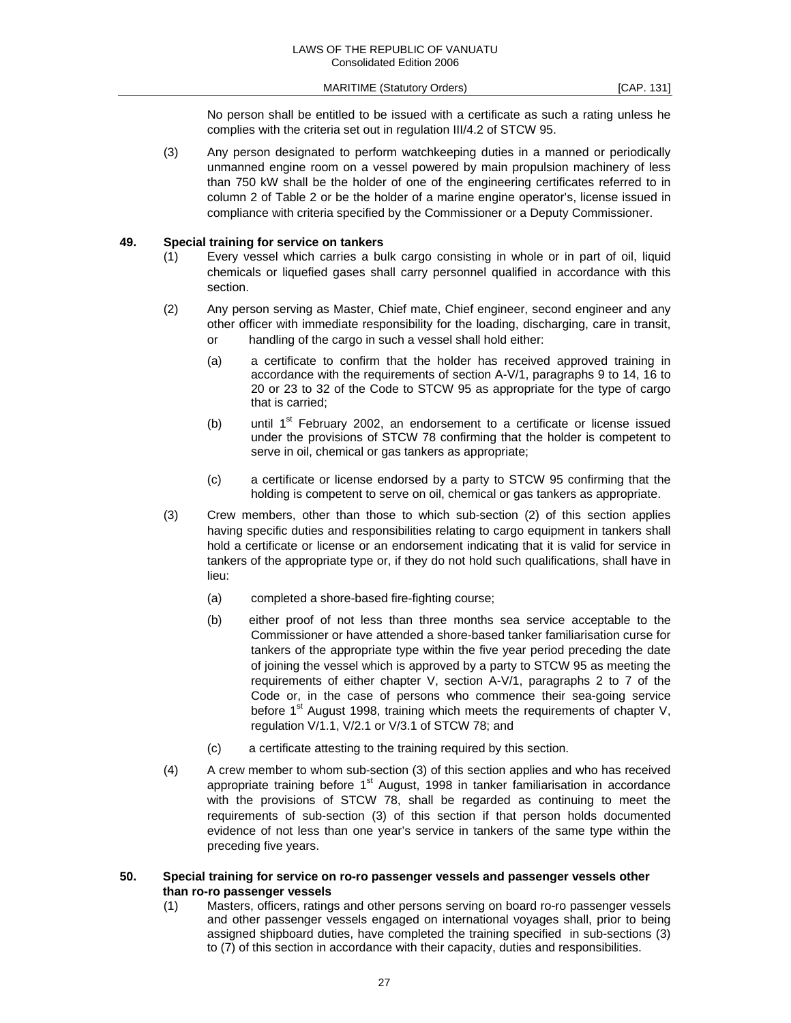No person shall be entitled to be issued with a certificate as such a rating unless he complies with the criteria set out in regulation III/4.2 of STCW 95.

(3) Any person designated to perform watchkeeping duties in a manned or periodically unmanned engine room on a vessel powered by main propulsion machinery of less than 750 kW shall be the holder of one of the engineering certificates referred to in column 2 of Table 2 or be the holder of a marine engine operator's, license issued in compliance with criteria specified by the Commissioner or a Deputy Commissioner.

#### **49. Special training for service on tankers**

- (1) Every vessel which carries a bulk cargo consisting in whole or in part of oil, liquid chemicals or liquefied gases shall carry personnel qualified in accordance with this section.
- (2) Any person serving as Master, Chief mate, Chief engineer, second engineer and any other officer with immediate responsibility for the loading, discharging, care in transit, or handling of the cargo in such a vessel shall hold either:
	- (a) a certificate to confirm that the holder has received approved training in accordance with the requirements of section A-V/1, paragraphs 9 to 14, 16 to 20 or 23 to 32 of the Code to STCW 95 as appropriate for the type of cargo that is carried;
	- (b) until  $1<sup>st</sup>$  February 2002, an endorsement to a certificate or license issued under the provisions of STCW 78 confirming that the holder is competent to serve in oil, chemical or gas tankers as appropriate;
	- (c) a certificate or license endorsed by a party to STCW 95 confirming that the holding is competent to serve on oil, chemical or gas tankers as appropriate.
- (3) Crew members, other than those to which sub-section (2) of this section applies having specific duties and responsibilities relating to cargo equipment in tankers shall hold a certificate or license or an endorsement indicating that it is valid for service in tankers of the appropriate type or, if they do not hold such qualifications, shall have in lieu:
	- (a) completed a shore-based fire-fighting course;
	- (b) either proof of not less than three months sea service acceptable to the Commissioner or have attended a shore-based tanker familiarisation curse for tankers of the appropriate type within the five year period preceding the date of joining the vessel which is approved by a party to STCW 95 as meeting the requirements of either chapter V, section A-V/1, paragraphs 2 to 7 of the Code or, in the case of persons who commence their sea-going service before 1<sup>st</sup> August 1998, training which meets the requirements of chapter V, regulation V/1.1, V/2.1 or V/3.1 of STCW 78; and
	- (c) a certificate attesting to the training required by this section.
- (4) A crew member to whom sub-section (3) of this section applies and who has received appropriate training before  $1<sup>st</sup>$  August, 1998 in tanker familiarisation in accordance with the provisions of STCW 78, shall be regarded as continuing to meet the requirements of sub-section (3) of this section if that person holds documented evidence of not less than one year's service in tankers of the same type within the preceding five years.

#### **50. Special training for service on ro-ro passenger vessels and passenger vessels other than ro-ro passenger vessels**

(1) Masters, officers, ratings and other persons serving on board ro-ro passenger vessels and other passenger vessels engaged on international voyages shall, prior to being assigned shipboard duties, have completed the training specified in sub-sections (3) to (7) of this section in accordance with their capacity, duties and responsibilities.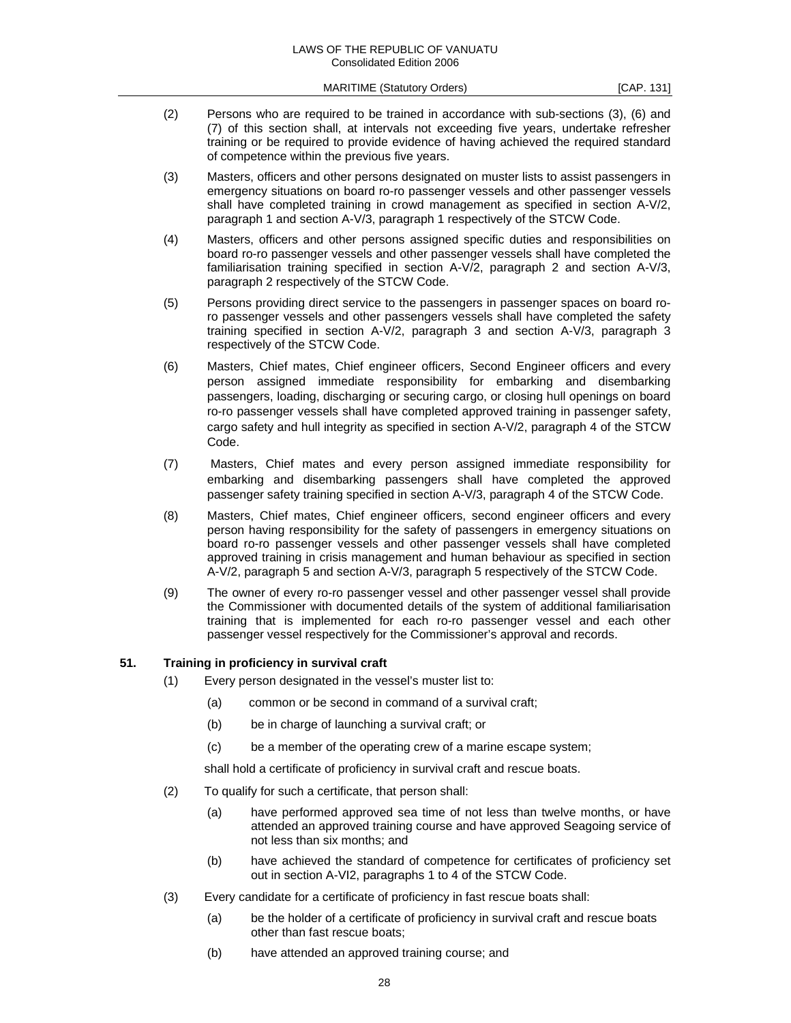- (2) Persons who are required to be trained in accordance with sub-sections (3), (6) and (7) of this section shall, at intervals not exceeding five years, undertake refresher training or be required to provide evidence of having achieved the required standard of competence within the previous five years.
- (3) Masters, officers and other persons designated on muster lists to assist passengers in emergency situations on board ro-ro passenger vessels and other passenger vessels shall have completed training in crowd management as specified in section A-V/2, paragraph 1 and section A-V/3, paragraph 1 respectively of the STCW Code.
- (4) Masters, officers and other persons assigned specific duties and responsibilities on board ro-ro passenger vessels and other passenger vessels shall have completed the familiarisation training specified in section A-V/2, paragraph 2 and section A-V/3, paragraph 2 respectively of the STCW Code.
- (5) Persons providing direct service to the passengers in passenger spaces on board roro passenger vessels and other passengers vessels shall have completed the safety training specified in section A-V/2, paragraph 3 and section A-V/3, paragraph 3 respectively of the STCW Code.
- (6) Masters, Chief mates, Chief engineer officers, Second Engineer officers and every person assigned immediate responsibility for embarking and disembarking passengers, loading, discharging or securing cargo, or closing hull openings on board ro-ro passenger vessels shall have completed approved training in passenger safety, cargo safety and hull integrity as specified in section A-V/2, paragraph 4 of the STCW Code.
- (7) Masters, Chief mates and every person assigned immediate responsibility for embarking and disembarking passengers shall have completed the approved passenger safety training specified in section A-V/3, paragraph 4 of the STCW Code.
- (8) Masters, Chief mates, Chief engineer officers, second engineer officers and every person having responsibility for the safety of passengers in emergency situations on board ro-ro passenger vessels and other passenger vessels shall have completed approved training in crisis management and human behaviour as specified in section A-V/2, paragraph 5 and section A-V/3, paragraph 5 respectively of the STCW Code.
- (9) The owner of every ro-ro passenger vessel and other passenger vessel shall provide the Commissioner with documented details of the system of additional familiarisation training that is implemented for each ro-ro passenger vessel and each other passenger vessel respectively for the Commissioner's approval and records.

#### **51. Training in proficiency in survival craft**

- (1) Every person designated in the vessel's muster list to:
	- (a) common or be second in command of a survival craft;
	- (b) be in charge of launching a survival craft; or
	- (c) be a member of the operating crew of a marine escape system;

shall hold a certificate of proficiency in survival craft and rescue boats.

- (2) To qualify for such a certificate, that person shall:
	- (a) have performed approved sea time of not less than twelve months, or have attended an approved training course and have approved Seagoing service of not less than six months; and
	- (b) have achieved the standard of competence for certificates of proficiency set out in section A-VI2, paragraphs 1 to 4 of the STCW Code.
- (3) Every candidate for a certificate of proficiency in fast rescue boats shall:
	- (a) be the holder of a certificate of proficiency in survival craft and rescue boats other than fast rescue boats;
	- (b) have attended an approved training course; and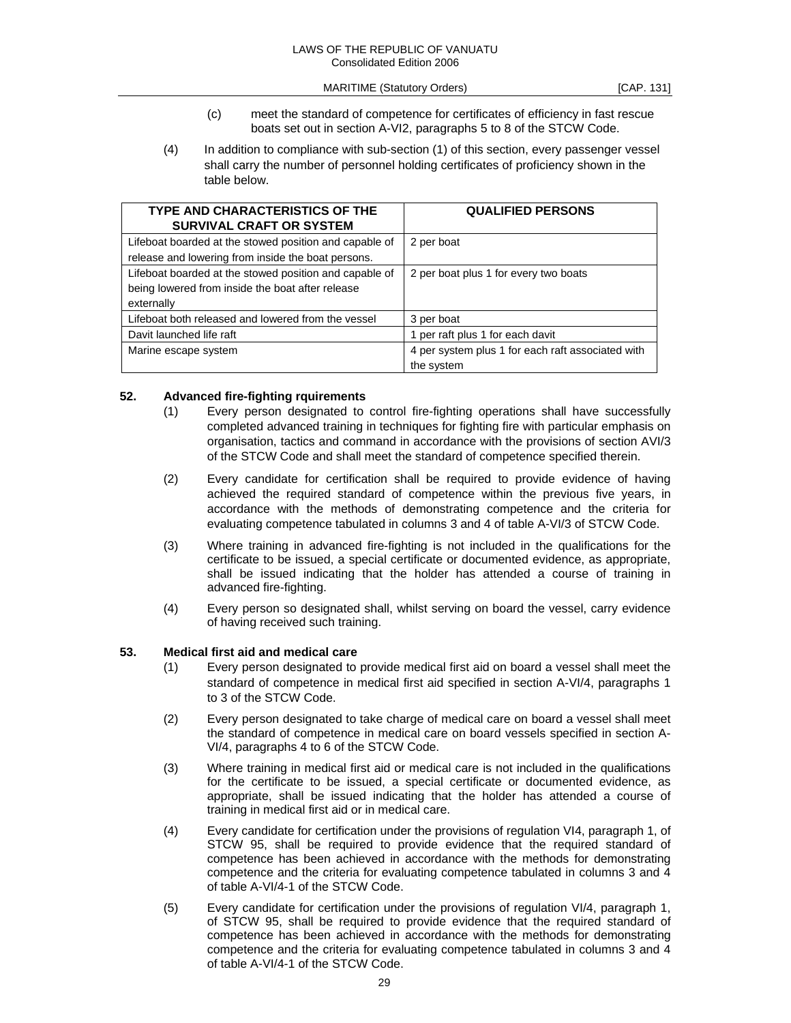- (c) meet the standard of competence for certificates of efficiency in fast rescue boats set out in section A-VI2, paragraphs 5 to 8 of the STCW Code.
- (4) In addition to compliance with sub-section (1) of this section, every passenger vessel shall carry the number of personnel holding certificates of proficiency shown in the table below.

| TYPE AND CHARACTERISTICS OF THE<br><b>SURVIVAL CRAFT OR SYSTEM</b>                                                       | <b>QUALIFIED PERSONS</b>                                        |
|--------------------------------------------------------------------------------------------------------------------------|-----------------------------------------------------------------|
| Lifeboat boarded at the stowed position and capable of<br>release and lowering from inside the boat persons.             | 2 per boat                                                      |
| Lifeboat boarded at the stowed position and capable of<br>being lowered from inside the boat after release<br>externally | 2 per boat plus 1 for every two boats                           |
| Lifeboat both released and lowered from the vessel                                                                       | 3 per boat                                                      |
| Davit launched life raft                                                                                                 | 1 per raft plus 1 for each davit                                |
| Marine escape system                                                                                                     | 4 per system plus 1 for each raft associated with<br>the system |

#### **52. Advanced fire-fighting rquirements**

- (1) Every person designated to control fire-fighting operations shall have successfully completed advanced training in techniques for fighting fire with particular emphasis on organisation, tactics and command in accordance with the provisions of section AVI/3 of the STCW Code and shall meet the standard of competence specified therein.
- (2) Every candidate for certification shall be required to provide evidence of having achieved the required standard of competence within the previous five years, in accordance with the methods of demonstrating competence and the criteria for evaluating competence tabulated in columns 3 and 4 of table A-VI/3 of STCW Code.
- (3) Where training in advanced fire-fighting is not included in the qualifications for the certificate to be issued, a special certificate or documented evidence, as appropriate, shall be issued indicating that the holder has attended a course of training in advanced fire-fighting.
- (4) Every person so designated shall, whilst serving on board the vessel, carry evidence of having received such training.

### **53. Medical first aid and medical care**

- (1) Every person designated to provide medical first aid on board a vessel shall meet the standard of competence in medical first aid specified in section A-VI/4, paragraphs 1 to 3 of the STCW Code.
- (2) Every person designated to take charge of medical care on board a vessel shall meet the standard of competence in medical care on board vessels specified in section A-VI/4, paragraphs 4 to 6 of the STCW Code.
- (3) Where training in medical first aid or medical care is not included in the qualifications for the certificate to be issued, a special certificate or documented evidence, as appropriate, shall be issued indicating that the holder has attended a course of training in medical first aid or in medical care.
- (4) Every candidate for certification under the provisions of regulation VI4, paragraph 1, of STCW 95, shall be required to provide evidence that the required standard of competence has been achieved in accordance with the methods for demonstrating competence and the criteria for evaluating competence tabulated in columns 3 and 4 of table A-VI/4-1 of the STCW Code.
- (5) Every candidate for certification under the provisions of regulation VI/4, paragraph 1, of STCW 95, shall be required to provide evidence that the required standard of competence has been achieved in accordance with the methods for demonstrating competence and the criteria for evaluating competence tabulated in columns 3 and 4 of table A-VI/4-1 of the STCW Code.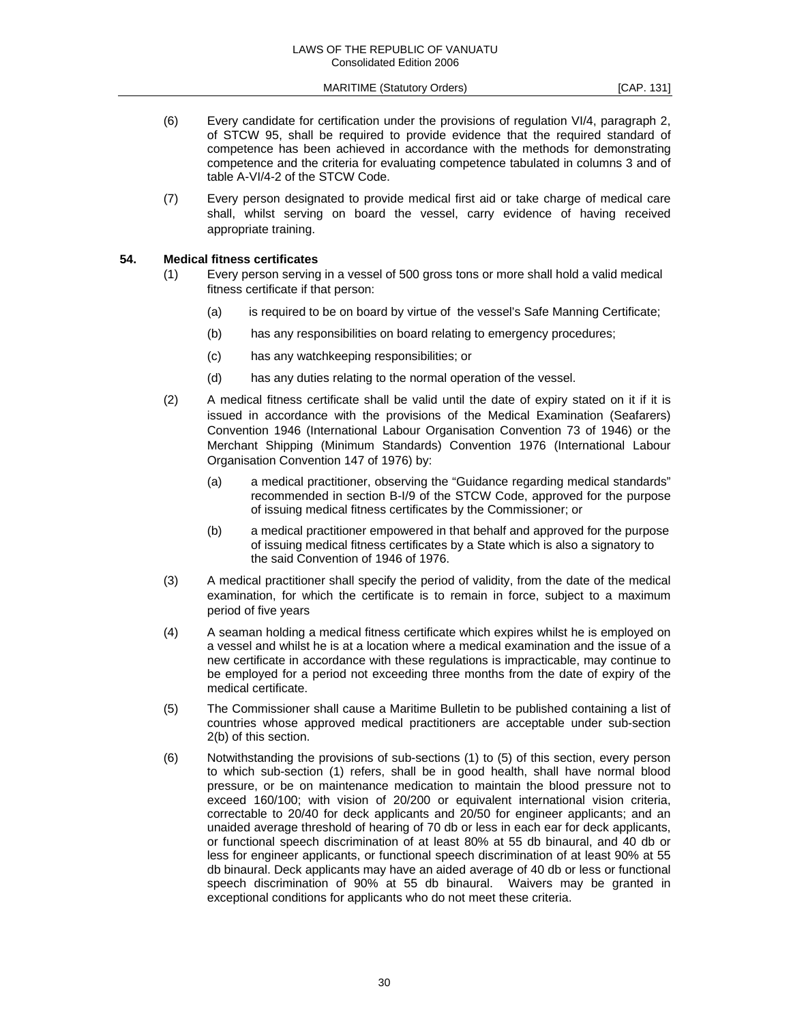- (6) Every candidate for certification under the provisions of regulation VI/4, paragraph 2, of STCW 95, shall be required to provide evidence that the required standard of competence has been achieved in accordance with the methods for demonstrating competence and the criteria for evaluating competence tabulated in columns 3 and of table A-VI/4-2 of the STCW Code.
- (7) Every person designated to provide medical first aid or take charge of medical care shall, whilst serving on board the vessel, carry evidence of having received appropriate training.

#### **54. Medical fitness certificates**

- (1) Every person serving in a vessel of 500 gross tons or more shall hold a valid medical fitness certificate if that person:
	- (a) is required to be on board by virtue of the vessel's Safe Manning Certificate;
	- (b) has any responsibilities on board relating to emergency procedures;
	- (c) has any watchkeeping responsibilities; or
	- (d) has any duties relating to the normal operation of the vessel.
- (2) A medical fitness certificate shall be valid until the date of expiry stated on it if it is issued in accordance with the provisions of the Medical Examination (Seafarers) Convention 1946 (International Labour Organisation Convention 73 of 1946) or the Merchant Shipping (Minimum Standards) Convention 1976 (International Labour Organisation Convention 147 of 1976) by:
	- (a) a medical practitioner, observing the "Guidance regarding medical standards" recommended in section B-I/9 of the STCW Code, approved for the purpose of issuing medical fitness certificates by the Commissioner; or
	- (b) a medical practitioner empowered in that behalf and approved for the purpose of issuing medical fitness certificates by a State which is also a signatory to the said Convention of 1946 of 1976.
- (3) A medical practitioner shall specify the period of validity, from the date of the medical examination, for which the certificate is to remain in force, subject to a maximum period of five years
- (4) A seaman holding a medical fitness certificate which expires whilst he is employed on a vessel and whilst he is at a location where a medical examination and the issue of a new certificate in accordance with these regulations is impracticable, may continue to be employed for a period not exceeding three months from the date of expiry of the medical certificate.
- (5) The Commissioner shall cause a Maritime Bulletin to be published containing a list of countries whose approved medical practitioners are acceptable under sub-section 2(b) of this section.
- (6) Notwithstanding the provisions of sub-sections (1) to (5) of this section, every person to which sub-section (1) refers, shall be in good health, shall have normal blood pressure, or be on maintenance medication to maintain the blood pressure not to exceed 160/100; with vision of 20/200 or equivalent international vision criteria, correctable to 20/40 for deck applicants and 20/50 for engineer applicants; and an unaided average threshold of hearing of 70 db or less in each ear for deck applicants, or functional speech discrimination of at least 80% at 55 db binaural, and 40 db or less for engineer applicants, or functional speech discrimination of at least 90% at 55 db binaural. Deck applicants may have an aided average of 40 db or less or functional speech discrimination of 90% at 55 db binaural. Waivers may be granted in exceptional conditions for applicants who do not meet these criteria.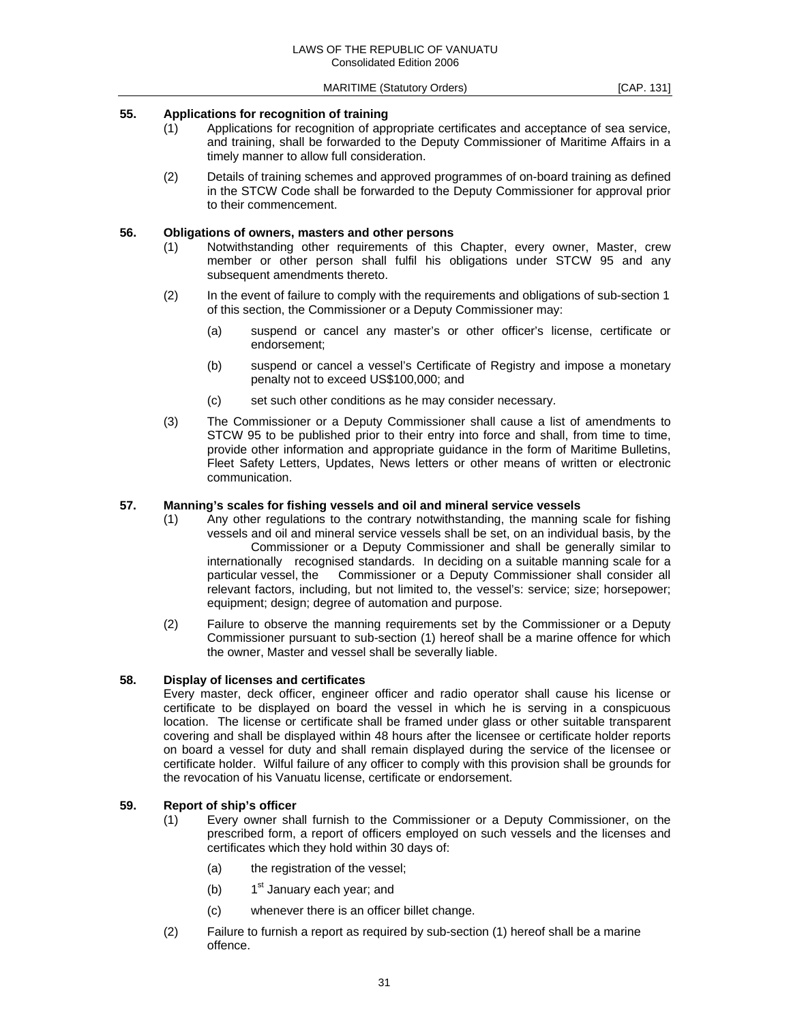#### **55. Applications for recognition of training**

- (1) Applications for recognition of appropriate certificates and acceptance of sea service, and training, shall be forwarded to the Deputy Commissioner of Maritime Affairs in a timely manner to allow full consideration.
- (2) Details of training schemes and approved programmes of on-board training as defined in the STCW Code shall be forwarded to the Deputy Commissioner for approval prior to their commencement.

#### **56. Obligations of owners, masters and other persons**

- (1) Notwithstanding other requirements of this Chapter, every owner, Master, crew member or other person shall fulfil his obligations under STCW 95 and any subsequent amendments thereto.
- (2) In the event of failure to comply with the requirements and obligations of sub-section 1 of this section, the Commissioner or a Deputy Commissioner may:
	- (a) suspend or cancel any master's or other officer's license, certificate or endorsement;
	- (b) suspend or cancel a vessel's Certificate of Registry and impose a monetary penalty not to exceed US\$100,000; and
	- (c) set such other conditions as he may consider necessary.
- (3) The Commissioner or a Deputy Commissioner shall cause a list of amendments to STCW 95 to be published prior to their entry into force and shall, from time to time, provide other information and appropriate guidance in the form of Maritime Bulletins, Fleet Safety Letters, Updates, News letters or other means of written or electronic communication.

## **57. Manning's scales for fishing vessels and oil and mineral service vessels**

- (1) Any other regulations to the contrary notwithstanding, the manning scale for fishing vessels and oil and mineral service vessels shall be set, on an individual basis, by the Commissioner or a Deputy Commissioner and shall be generally similar to internationally recognised standards. In deciding on a suitable manning scale for a particular vessel, the Commissioner or a Deputy Commissioner shall consider all relevant factors, including, but not limited to, the vessel's: service; size; horsepower; equipment; design; degree of automation and purpose.
- (2) Failure to observe the manning requirements set by the Commissioner or a Deputy Commissioner pursuant to sub-section (1) hereof shall be a marine offence for which the owner, Master and vessel shall be severally liable.

#### **58. Display of licenses and certificates**

 Every master, deck officer, engineer officer and radio operator shall cause his license or certificate to be displayed on board the vessel in which he is serving in a conspicuous location. The license or certificate shall be framed under glass or other suitable transparent covering and shall be displayed within 48 hours after the licensee or certificate holder reports on board a vessel for duty and shall remain displayed during the service of the licensee or certificate holder. Wilful failure of any officer to comply with this provision shall be grounds for the revocation of his Vanuatu license, certificate or endorsement.

#### **59. Report of ship's officer**

- (1) Every owner shall furnish to the Commissioner or a Deputy Commissioner, on the prescribed form, a report of officers employed on such vessels and the licenses and certificates which they hold within 30 days of:
	- (a) the registration of the vessel;
	- (b)  $1<sup>st</sup>$  January each year; and
	- (c) whenever there is an officer billet change.
- (2) Failure to furnish a report as required by sub-section (1) hereof shall be a marine offence.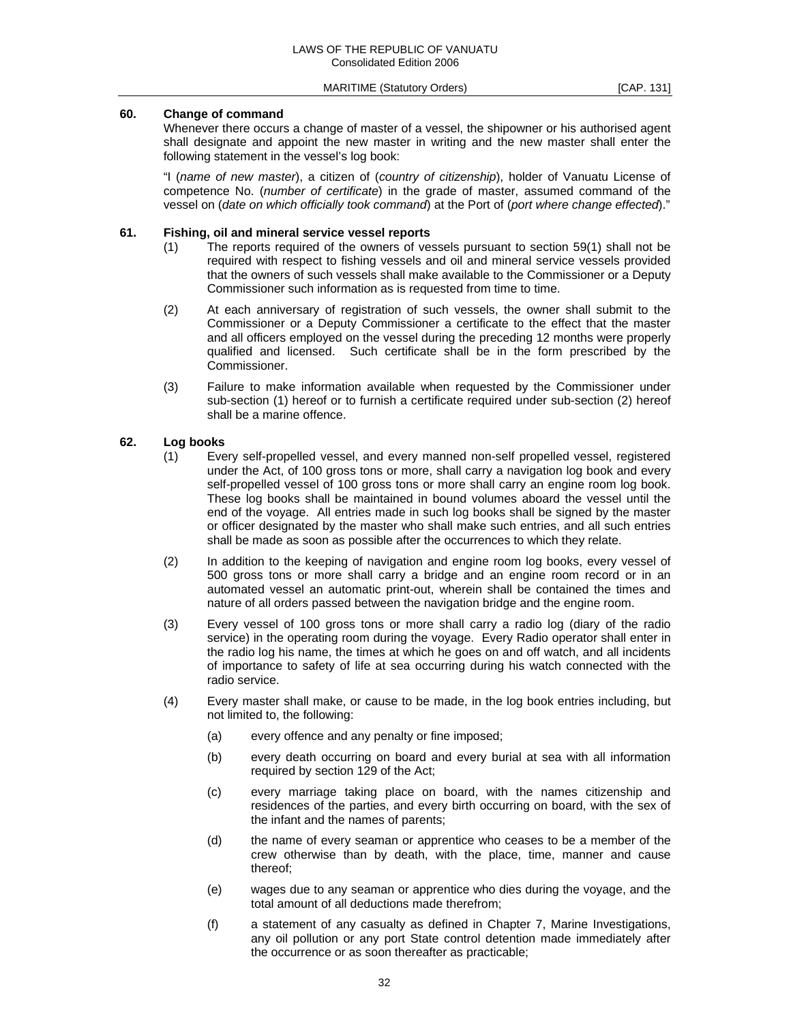## **60. Change of command**

 Whenever there occurs a change of master of a vessel, the shipowner or his authorised agent shall designate and appoint the new master in writing and the new master shall enter the following statement in the vessel's log book:

 "I (*name of new master*), a citizen of (*country of citizenship*), holder of Vanuatu License of competence No. (*number of certificate*) in the grade of master, assumed command of the vessel on (*date on which officially took command*) at the Port of (*port where change effected*)."

## **61. Fishing, oil and mineral service vessel reports**

- (1) The reports required of the owners of vessels pursuant to section 59(1) shall not be required with respect to fishing vessels and oil and mineral service vessels provided that the owners of such vessels shall make available to the Commissioner or a Deputy Commissioner such information as is requested from time to time.
- (2) At each anniversary of registration of such vessels, the owner shall submit to the Commissioner or a Deputy Commissioner a certificate to the effect that the master and all officers employed on the vessel during the preceding 12 months were properly qualified and licensed. Such certificate shall be in the form prescribed by the Commissioner.
- (3) Failure to make information available when requested by the Commissioner under sub-section (1) hereof or to furnish a certificate required under sub-section (2) hereof shall be a marine offence.

#### **62. Log books**

- (1) Every self-propelled vessel, and every manned non-self propelled vessel, registered under the Act, of 100 gross tons or more, shall carry a navigation log book and every self-propelled vessel of 100 gross tons or more shall carry an engine room log book. These log books shall be maintained in bound volumes aboard the vessel until the end of the voyage. All entries made in such log books shall be signed by the master or officer designated by the master who shall make such entries, and all such entries shall be made as soon as possible after the occurrences to which they relate.
- (2) In addition to the keeping of navigation and engine room log books, every vessel of 500 gross tons or more shall carry a bridge and an engine room record or in an automated vessel an automatic print-out, wherein shall be contained the times and nature of all orders passed between the navigation bridge and the engine room.
- (3) Every vessel of 100 gross tons or more shall carry a radio log (diary of the radio service) in the operating room during the voyage. Every Radio operator shall enter in the radio log his name, the times at which he goes on and off watch, and all incidents of importance to safety of life at sea occurring during his watch connected with the radio service.
- (4) Every master shall make, or cause to be made, in the log book entries including, but not limited to, the following:
	- (a) every offence and any penalty or fine imposed;
	- (b) every death occurring on board and every burial at sea with all information required by section 129 of the Act;
	- (c) every marriage taking place on board, with the names citizenship and residences of the parties, and every birth occurring on board, with the sex of the infant and the names of parents;
	- (d) the name of every seaman or apprentice who ceases to be a member of the crew otherwise than by death, with the place, time, manner and cause thereof;
	- (e) wages due to any seaman or apprentice who dies during the voyage, and the total amount of all deductions made therefrom;
	- (f) a statement of any casualty as defined in Chapter 7, Marine Investigations, any oil pollution or any port State control detention made immediately after the occurrence or as soon thereafter as practicable;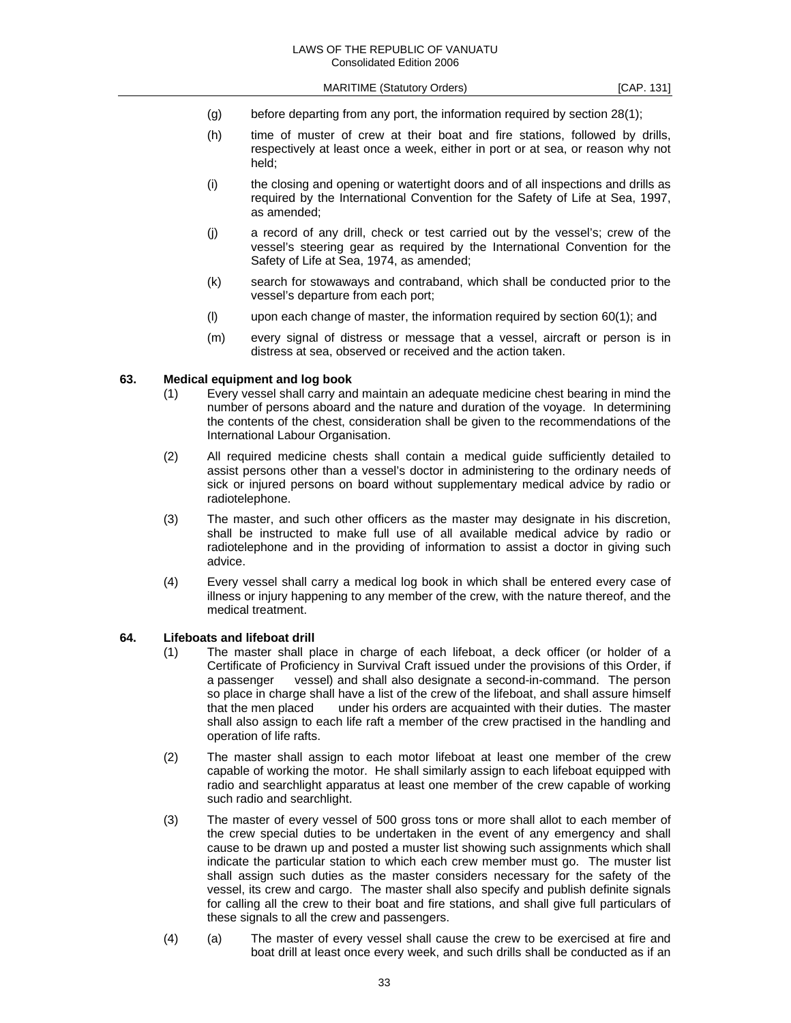- (g) before departing from any port, the information required by section 28(1);
- (h) time of muster of crew at their boat and fire stations, followed by drills, respectively at least once a week, either in port or at sea, or reason why not held;
- (i) the closing and opening or watertight doors and of all inspections and drills as required by the International Convention for the Safety of Life at Sea, 1997, as amended;
- (j) a record of any drill, check or test carried out by the vessel's; crew of the vessel's steering gear as required by the International Convention for the Safety of Life at Sea, 1974, as amended;
- (k) search for stowaways and contraband, which shall be conducted prior to the vessel's departure from each port;
- (l) upon each change of master, the information required by section 60(1); and
- (m) every signal of distress or message that a vessel, aircraft or person is in distress at sea, observed or received and the action taken.

#### **63. Medical equipment and log book**

- (1) Every vessel shall carry and maintain an adequate medicine chest bearing in mind the number of persons aboard and the nature and duration of the voyage. In determining the contents of the chest, consideration shall be given to the recommendations of the International Labour Organisation.
- (2) All required medicine chests shall contain a medical guide sufficiently detailed to assist persons other than a vessel's doctor in administering to the ordinary needs of sick or injured persons on board without supplementary medical advice by radio or radiotelephone.
- (3) The master, and such other officers as the master may designate in his discretion, shall be instructed to make full use of all available medical advice by radio or radiotelephone and in the providing of information to assist a doctor in giving such advice.
- (4) Every vessel shall carry a medical log book in which shall be entered every case of illness or injury happening to any member of the crew, with the nature thereof, and the medical treatment.

## **64. Lifeboats and lifeboat drill**

- (1) The master shall place in charge of each lifeboat, a deck officer (or holder of a Certificate of Proficiency in Survival Craft issued under the provisions of this Order, if a passenger vessel) and shall also designate a second-in-command. The person so place in charge shall have a list of the crew of the lifeboat, and shall assure himself that the men placed under his orders are acquainted with their duties. The master shall also assign to each life raft a member of the crew practised in the handling and operation of life rafts.
- (2) The master shall assign to each motor lifeboat at least one member of the crew capable of working the motor. He shall similarly assign to each lifeboat equipped with radio and searchlight apparatus at least one member of the crew capable of working such radio and searchlight.
- (3) The master of every vessel of 500 gross tons or more shall allot to each member of the crew special duties to be undertaken in the event of any emergency and shall cause to be drawn up and posted a muster list showing such assignments which shall indicate the particular station to which each crew member must go. The muster list shall assign such duties as the master considers necessary for the safety of the vessel, its crew and cargo. The master shall also specify and publish definite signals for calling all the crew to their boat and fire stations, and shall give full particulars of these signals to all the crew and passengers.
- (4) (a) The master of every vessel shall cause the crew to be exercised at fire and boat drill at least once every week, and such drills shall be conducted as if an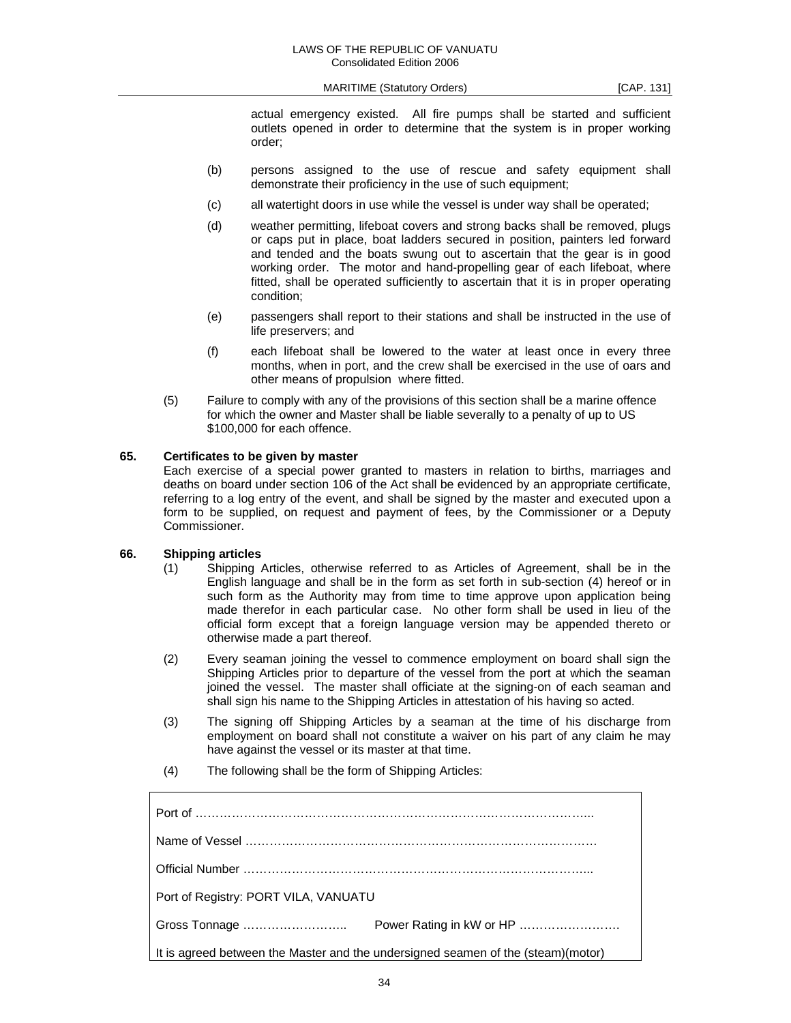actual emergency existed. All fire pumps shall be started and sufficient outlets opened in order to determine that the system is in proper working order;

- (b) persons assigned to the use of rescue and safety equipment shall demonstrate their proficiency in the use of such equipment;
- (c) all watertight doors in use while the vessel is under way shall be operated;
- (d) weather permitting, lifeboat covers and strong backs shall be removed, plugs or caps put in place, boat ladders secured in position, painters led forward and tended and the boats swung out to ascertain that the gear is in good working order. The motor and hand-propelling gear of each lifeboat, where fitted, shall be operated sufficiently to ascertain that it is in proper operating condition;
- (e) passengers shall report to their stations and shall be instructed in the use of life preservers; and
- (f) each lifeboat shall be lowered to the water at least once in every three months, when in port, and the crew shall be exercised in the use of oars and other means of propulsion where fitted.
- (5) Failure to comply with any of the provisions of this section shall be a marine offence for which the owner and Master shall be liable severally to a penalty of up to US \$100,000 for each offence.

#### **65. Certificates to be given by master**

 Each exercise of a special power granted to masters in relation to births, marriages and deaths on board under section 106 of the Act shall be evidenced by an appropriate certificate, referring to a log entry of the event, and shall be signed by the master and executed upon a form to be supplied, on request and payment of fees, by the Commissioner or a Deputy Commissioner.

## **66. Shipping articles**

- (1) Shipping Articles, otherwise referred to as Articles of Agreement, shall be in the English language and shall be in the form as set forth in sub-section (4) hereof or in such form as the Authority may from time to time approve upon application being made therefor in each particular case. No other form shall be used in lieu of the official form except that a foreign language version may be appended thereto or otherwise made a part thereof.
- (2) Every seaman joining the vessel to commence employment on board shall sign the Shipping Articles prior to departure of the vessel from the port at which the seaman joined the vessel. The master shall officiate at the signing-on of each seaman and shall sign his name to the Shipping Articles in attestation of his having so acted.
- (3) The signing off Shipping Articles by a seaman at the time of his discharge from employment on board shall not constitute a waiver on his part of any claim he may have against the vessel or its master at that time.
- (4) The following shall be the form of Shipping Articles:

| Port of Registry: PORT VILA, VANUATU |                                                                                  |
|--------------------------------------|----------------------------------------------------------------------------------|
|                                      |                                                                                  |
|                                      | It is agreed between the Master and the undersigned seamen of the (steam)(motor) |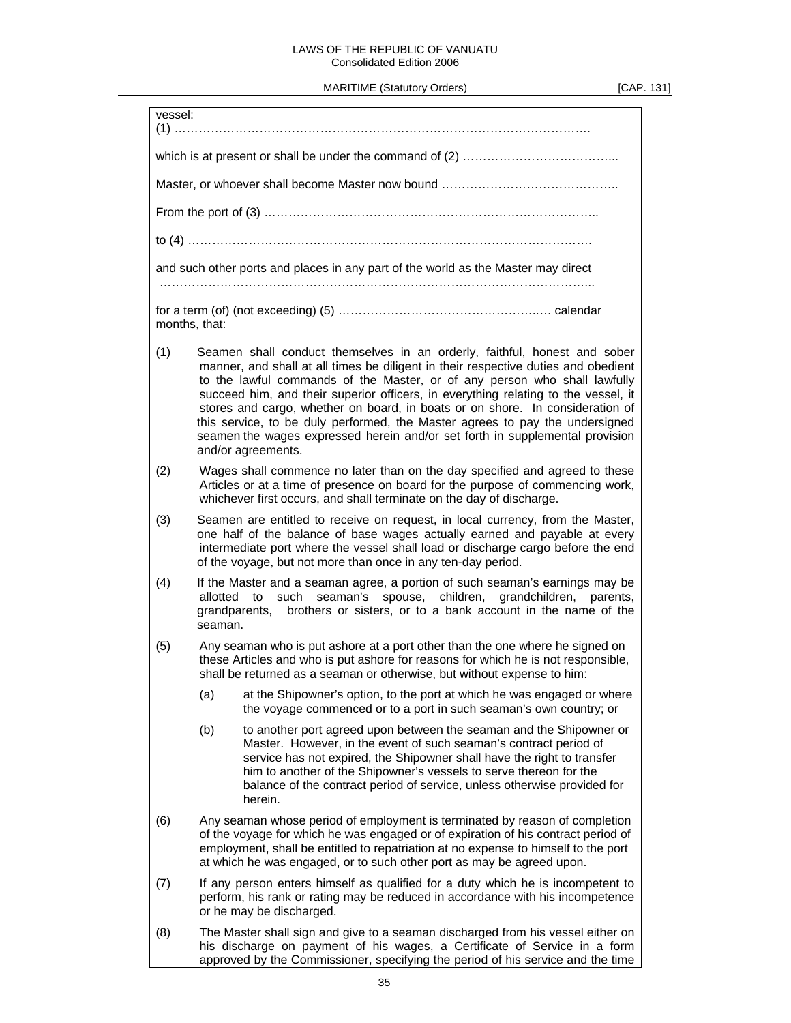#### LAWS OF THE REPUBLIC OF VANUATU Consolidated Edition 2006

MARITIME (Statutory Orders) [CAP. 131]

| vessel: |                                                                                                                                                                                                                                                                                                                                                                                                                                                                                                                                                                                                           |  |
|---------|-----------------------------------------------------------------------------------------------------------------------------------------------------------------------------------------------------------------------------------------------------------------------------------------------------------------------------------------------------------------------------------------------------------------------------------------------------------------------------------------------------------------------------------------------------------------------------------------------------------|--|
|         |                                                                                                                                                                                                                                                                                                                                                                                                                                                                                                                                                                                                           |  |
|         |                                                                                                                                                                                                                                                                                                                                                                                                                                                                                                                                                                                                           |  |
|         |                                                                                                                                                                                                                                                                                                                                                                                                                                                                                                                                                                                                           |  |
|         |                                                                                                                                                                                                                                                                                                                                                                                                                                                                                                                                                                                                           |  |
|         | and such other ports and places in any part of the world as the Master may direct                                                                                                                                                                                                                                                                                                                                                                                                                                                                                                                         |  |
|         |                                                                                                                                                                                                                                                                                                                                                                                                                                                                                                                                                                                                           |  |
|         | months, that:                                                                                                                                                                                                                                                                                                                                                                                                                                                                                                                                                                                             |  |
| (1)     | Seamen shall conduct themselves in an orderly, faithful, honest and sober<br>manner, and shall at all times be diligent in their respective duties and obedient<br>to the lawful commands of the Master, or of any person who shall lawfully<br>succeed him, and their superior officers, in everything relating to the vessel, it<br>stores and cargo, whether on board, in boats or on shore. In consideration of<br>this service, to be duly performed, the Master agrees to pay the undersigned<br>seamen the wages expressed herein and/or set forth in supplemental provision<br>and/or agreements. |  |
| (2)     | Wages shall commence no later than on the day specified and agreed to these<br>Articles or at a time of presence on board for the purpose of commencing work,<br>whichever first occurs, and shall terminate on the day of discharge.                                                                                                                                                                                                                                                                                                                                                                     |  |
| (3)     | Seamen are entitled to receive on request, in local currency, from the Master,<br>one half of the balance of base wages actually earned and payable at every<br>intermediate port where the vessel shall load or discharge cargo before the end<br>of the voyage, but not more than once in any ten-day period.                                                                                                                                                                                                                                                                                           |  |
| (4)     | If the Master and a seaman agree, a portion of such seaman's earnings may be<br>allotted<br>such<br>seaman's spouse, children,<br>grandchildren, parents,<br>to<br>brothers or sisters, or to a bank account in the name of the<br>grandparents,<br>seaman.                                                                                                                                                                                                                                                                                                                                               |  |
| (5)     | Any seaman who is put ashore at a port other than the one where he signed on<br>these Articles and who is put ashore for reasons for which he is not responsible,<br>shall be returned as a seaman or otherwise, but without expense to him:                                                                                                                                                                                                                                                                                                                                                              |  |
|         | (a)<br>at the Shipowner's option, to the port at which he was engaged or where<br>the voyage commenced or to a port in such seaman's own country; or                                                                                                                                                                                                                                                                                                                                                                                                                                                      |  |
|         | (b)<br>to another port agreed upon between the seaman and the Shipowner or<br>Master. However, in the event of such seaman's contract period of<br>service has not expired, the Shipowner shall have the right to transfer<br>him to another of the Shipowner's vessels to serve thereon for the<br>balance of the contract period of service, unless otherwise provided for<br>herein.                                                                                                                                                                                                                   |  |
| (6)     | Any seaman whose period of employment is terminated by reason of completion<br>of the voyage for which he was engaged or of expiration of his contract period of<br>employment, shall be entitled to repatriation at no expense to himself to the port<br>at which he was engaged, or to such other port as may be agreed upon.                                                                                                                                                                                                                                                                           |  |
| (7)     | If any person enters himself as qualified for a duty which he is incompetent to<br>perform, his rank or rating may be reduced in accordance with his incompetence<br>or he may be discharged.                                                                                                                                                                                                                                                                                                                                                                                                             |  |
| (8)     | The Master shall sign and give to a seaman discharged from his vessel either on<br>his discharge on payment of his wages, a Certificate of Service in a form<br>approved by the Commissioner, specifying the period of his service and the time                                                                                                                                                                                                                                                                                                                                                           |  |

L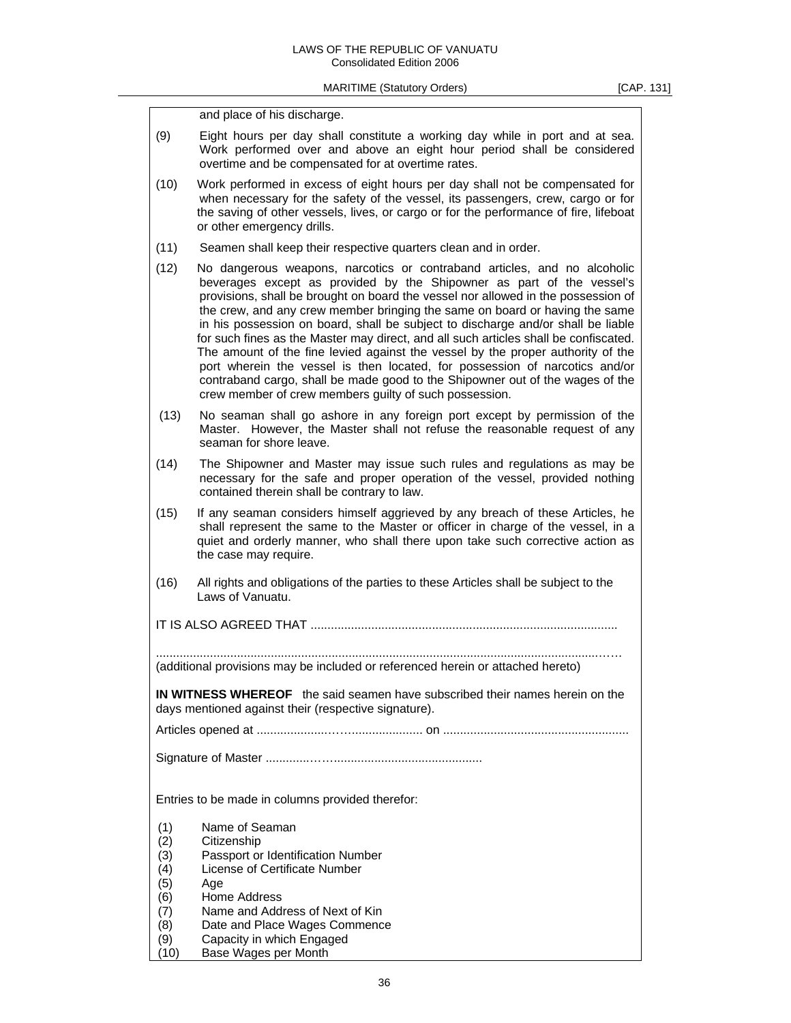|                                                                                                                                             | and place of his discharge.                                                                                                                                                                                                                                                                                                                                                                                                                                                                                                                                                                                                                                                                                                                                                                                    |  |
|---------------------------------------------------------------------------------------------------------------------------------------------|----------------------------------------------------------------------------------------------------------------------------------------------------------------------------------------------------------------------------------------------------------------------------------------------------------------------------------------------------------------------------------------------------------------------------------------------------------------------------------------------------------------------------------------------------------------------------------------------------------------------------------------------------------------------------------------------------------------------------------------------------------------------------------------------------------------|--|
|                                                                                                                                             |                                                                                                                                                                                                                                                                                                                                                                                                                                                                                                                                                                                                                                                                                                                                                                                                                |  |
| (9)                                                                                                                                         | Eight hours per day shall constitute a working day while in port and at sea.<br>Work performed over and above an eight hour period shall be considered<br>overtime and be compensated for at overtime rates.                                                                                                                                                                                                                                                                                                                                                                                                                                                                                                                                                                                                   |  |
| (10)                                                                                                                                        | Work performed in excess of eight hours per day shall not be compensated for<br>when necessary for the safety of the vessel, its passengers, crew, cargo or for<br>the saving of other vessels, lives, or cargo or for the performance of fire, lifeboat<br>or other emergency drills.                                                                                                                                                                                                                                                                                                                                                                                                                                                                                                                         |  |
| (11)                                                                                                                                        | Seamen shall keep their respective quarters clean and in order.                                                                                                                                                                                                                                                                                                                                                                                                                                                                                                                                                                                                                                                                                                                                                |  |
| (12)                                                                                                                                        | No dangerous weapons, narcotics or contraband articles, and no alcoholic<br>beverages except as provided by the Shipowner as part of the vessel's<br>provisions, shall be brought on board the vessel nor allowed in the possession of<br>the crew, and any crew member bringing the same on board or having the same<br>in his possession on board, shall be subject to discharge and/or shall be liable<br>for such fines as the Master may direct, and all such articles shall be confiscated.<br>The amount of the fine levied against the vessel by the proper authority of the<br>port wherein the vessel is then located, for possession of narcotics and/or<br>contraband cargo, shall be made good to the Shipowner out of the wages of the<br>crew member of crew members guilty of such possession. |  |
| (13)                                                                                                                                        | No seaman shall go ashore in any foreign port except by permission of the<br>Master. However, the Master shall not refuse the reasonable request of any<br>seaman for shore leave.                                                                                                                                                                                                                                                                                                                                                                                                                                                                                                                                                                                                                             |  |
| (14)                                                                                                                                        | The Shipowner and Master may issue such rules and regulations as may be<br>necessary for the safe and proper operation of the vessel, provided nothing<br>contained therein shall be contrary to law.                                                                                                                                                                                                                                                                                                                                                                                                                                                                                                                                                                                                          |  |
| (15)                                                                                                                                        | If any seaman considers himself aggrieved by any breach of these Articles, he<br>shall represent the same to the Master or officer in charge of the vessel, in a<br>quiet and orderly manner, who shall there upon take such corrective action as<br>the case may require.                                                                                                                                                                                                                                                                                                                                                                                                                                                                                                                                     |  |
| (16)                                                                                                                                        | All rights and obligations of the parties to these Articles shall be subject to the<br>Laws of Vanuatu.                                                                                                                                                                                                                                                                                                                                                                                                                                                                                                                                                                                                                                                                                                        |  |
|                                                                                                                                             |                                                                                                                                                                                                                                                                                                                                                                                                                                                                                                                                                                                                                                                                                                                                                                                                                |  |
| (additional provisions may be included or referenced herein or attached hereto)                                                             |                                                                                                                                                                                                                                                                                                                                                                                                                                                                                                                                                                                                                                                                                                                                                                                                                |  |
| <b>IN WITNESS WHEREOF</b> the said seamen have subscribed their names herein on the<br>days mentioned against their (respective signature). |                                                                                                                                                                                                                                                                                                                                                                                                                                                                                                                                                                                                                                                                                                                                                                                                                |  |
|                                                                                                                                             |                                                                                                                                                                                                                                                                                                                                                                                                                                                                                                                                                                                                                                                                                                                                                                                                                |  |
|                                                                                                                                             |                                                                                                                                                                                                                                                                                                                                                                                                                                                                                                                                                                                                                                                                                                                                                                                                                |  |
| Entries to be made in columns provided therefor:                                                                                            |                                                                                                                                                                                                                                                                                                                                                                                                                                                                                                                                                                                                                                                                                                                                                                                                                |  |
| (1)                                                                                                                                         | Name of Seaman                                                                                                                                                                                                                                                                                                                                                                                                                                                                                                                                                                                                                                                                                                                                                                                                 |  |
| (2)                                                                                                                                         | Citizenship                                                                                                                                                                                                                                                                                                                                                                                                                                                                                                                                                                                                                                                                                                                                                                                                    |  |
| (3)<br>(4)                                                                                                                                  | Passport or Identification Number<br>License of Certificate Number                                                                                                                                                                                                                                                                                                                                                                                                                                                                                                                                                                                                                                                                                                                                             |  |
| (5)                                                                                                                                         | Age                                                                                                                                                                                                                                                                                                                                                                                                                                                                                                                                                                                                                                                                                                                                                                                                            |  |
| (6)                                                                                                                                         | Home Address                                                                                                                                                                                                                                                                                                                                                                                                                                                                                                                                                                                                                                                                                                                                                                                                   |  |
| (7)                                                                                                                                         | Name and Address of Next of Kin                                                                                                                                                                                                                                                                                                                                                                                                                                                                                                                                                                                                                                                                                                                                                                                |  |
| (8)<br>(9)                                                                                                                                  | Date and Place Wages Commence<br>Capacity in which Engaged                                                                                                                                                                                                                                                                                                                                                                                                                                                                                                                                                                                                                                                                                                                                                     |  |
| (10)                                                                                                                                        | Base Wages per Month                                                                                                                                                                                                                                                                                                                                                                                                                                                                                                                                                                                                                                                                                                                                                                                           |  |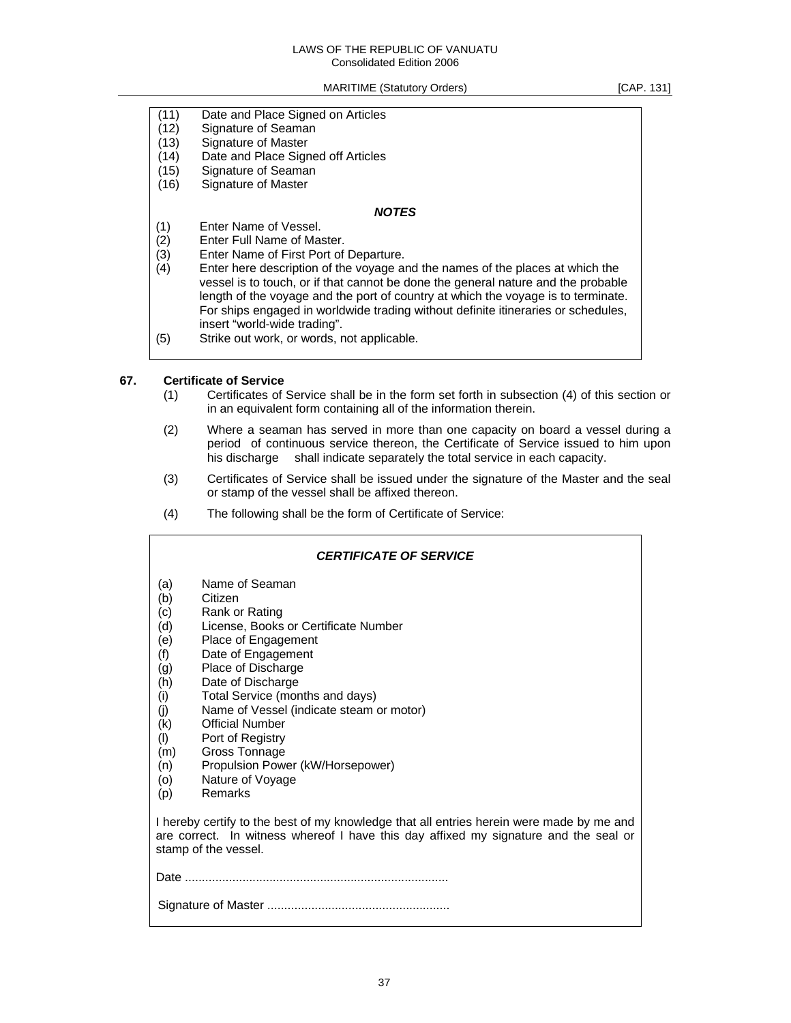#### LAWS OF THE REPUBLIC OF VANUATU Consolidated Edition 2006

MARITIME (Statutory Orders) [CAP. 131]

(11) Date and Place Signed on Articles

- (12) Signature of Seaman
- (13) Signature of Master
- (14) Date and Place Signed off Articles
- (15) Signature of Seaman
- (16) Signature of Master

## *NOTES*

- (1) Enter Name of Vessel.
- (2) Enter Full Name of Master.
- (3) Enter Name of First Port of Departure.
- (4) Enter here description of the voyage and the names of the places at which the vessel is to touch, or if that cannot be done the general nature and the probable length of the voyage and the port of country at which the voyage is to terminate. For ships engaged in worldwide trading without definite itineraries or schedules, insert "world-wide trading".
- (5) Strike out work, or words, not applicable.

#### **67. Certificate of Service**

- (1) Certificates of Service shall be in the form set forth in subsection (4) of this section or in an equivalent form containing all of the information therein.
- (2) Where a seaman has served in more than one capacity on board a vessel during a period of continuous service thereon, the Certificate of Service issued to him upon his discharge shall indicate separately the total service in each capacity.
- (3) Certificates of Service shall be issued under the signature of the Master and the seal or stamp of the vessel shall be affixed thereon.
- (4) The following shall be the form of Certificate of Service:

## *CERTIFICATE OF SERVICE*  (a) Name of Seaman (b) Citizen (c) Rank or Rating (d) License, Books or Certificate Number (e) Place of Engagement (f) Date of Engagement (g) Place of Discharge (h) Date of Discharge (i) Total Service (months and days) (j) Name of Vessel (indicate steam or motor) (k) Official Number (l) Port of Registry (m) Gross Tonnage (n) Propulsion Power (kW/Horsepower) (o) Nature of Voyage (p) Remarks I hereby certify to the best of my knowledge that all entries herein were made by me and are correct. In witness whereof I have this day affixed my signature and the seal or stamp of the vessel. Date .............................................................................. Signature of Master ......................................................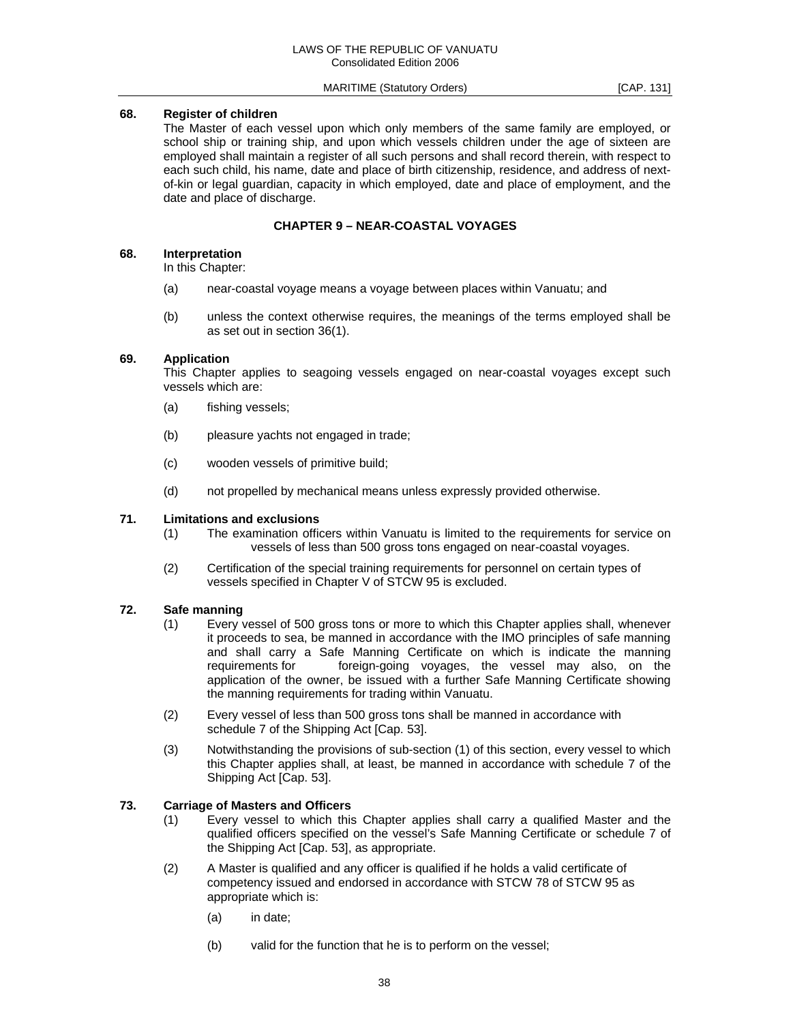## **68. Register of children**

 The Master of each vessel upon which only members of the same family are employed, or school ship or training ship, and upon which vessels children under the age of sixteen are employed shall maintain a register of all such persons and shall record therein, with respect to each such child, his name, date and place of birth citizenship, residence, and address of nextof-kin or legal guardian, capacity in which employed, date and place of employment, and the date and place of discharge.

## **CHAPTER 9 – NEAR-COASTAL VOYAGES**

#### **68. Interpretation**

In this Chapter:

- (a) near-coastal voyage means a voyage between places within Vanuatu; and
- (b) unless the context otherwise requires, the meanings of the terms employed shall be as set out in section 36(1).

## **69. Application**

 This Chapter applies to seagoing vessels engaged on near-coastal voyages except such vessels which are:

- (a) fishing vessels;
- (b) pleasure yachts not engaged in trade;
- (c) wooden vessels of primitive build;
- (d) not propelled by mechanical means unless expressly provided otherwise.

#### **71. Limitations and exclusions**

- (1) The examination officers within Vanuatu is limited to the requirements for service on vessels of less than 500 gross tons engaged on near-coastal voyages.
- (2) Certification of the special training requirements for personnel on certain types of vessels specified in Chapter V of STCW 95 is excluded.

## **72. Safe manning**

- (1) Every vessel of 500 gross tons or more to which this Chapter applies shall, whenever it proceeds to sea, be manned in accordance with the IMO principles of safe manning and shall carry a Safe Manning Certificate on which is indicate the manning requirements for foreign-going voyages, the vessel may also, on the application of the owner, be issued with a further Safe Manning Certificate showing the manning requirements for trading within Vanuatu.
- (2) Every vessel of less than 500 gross tons shall be manned in accordance with schedule 7 of the Shipping Act [Cap. 53].
- (3) Notwithstanding the provisions of sub-section (1) of this section, every vessel to which this Chapter applies shall, at least, be manned in accordance with schedule 7 of the Shipping Act [Cap. 53].

## **73. Carriage of Masters and Officers**

- (1) Every vessel to which this Chapter applies shall carry a qualified Master and the qualified officers specified on the vessel's Safe Manning Certificate or schedule 7 of the Shipping Act [Cap. 53], as appropriate.
- (2) A Master is qualified and any officer is qualified if he holds a valid certificate of competency issued and endorsed in accordance with STCW 78 of STCW 95 as appropriate which is:
	- (a) in date;
	- (b) valid for the function that he is to perform on the vessel;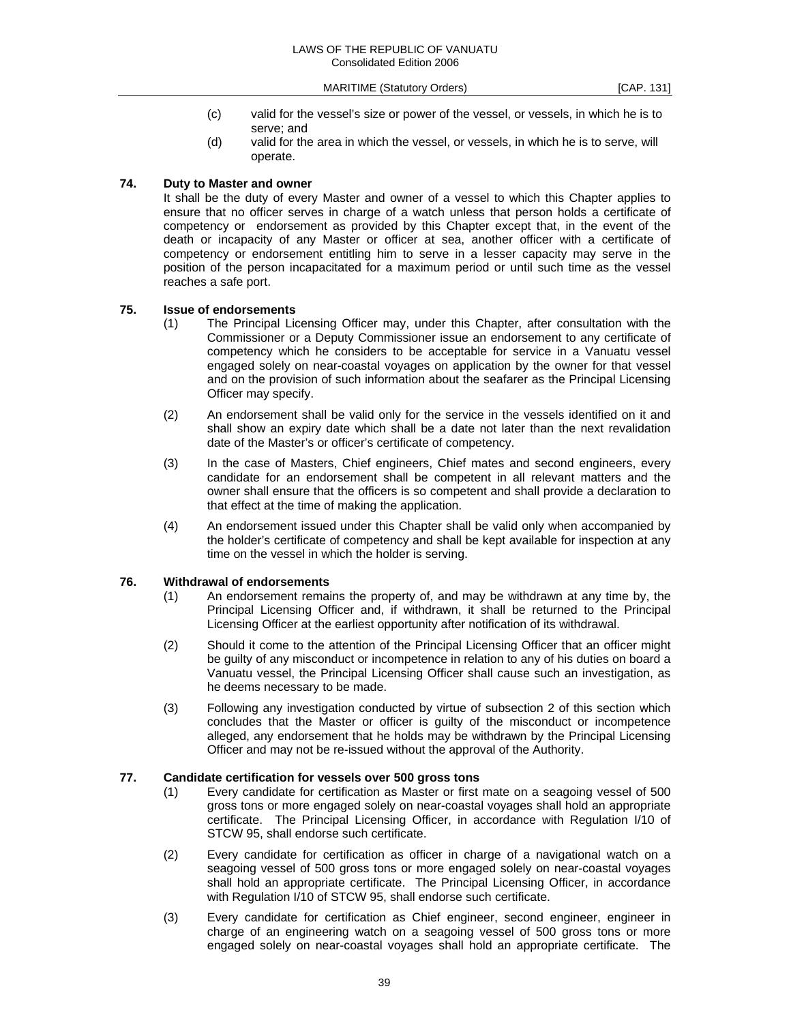- (c) valid for the vessel's size or power of the vessel, or vessels, in which he is to serve; and
- (d) valid for the area in which the vessel, or vessels, in which he is to serve, will operate.

#### **74. Duty to Master and owner**

 It shall be the duty of every Master and owner of a vessel to which this Chapter applies to ensure that no officer serves in charge of a watch unless that person holds a certificate of competency or endorsement as provided by this Chapter except that, in the event of the death or incapacity of any Master or officer at sea, another officer with a certificate of competency or endorsement entitling him to serve in a lesser capacity may serve in the position of the person incapacitated for a maximum period or until such time as the vessel reaches a safe port.

## **75. Issue of endorsements**

- (1) The Principal Licensing Officer may, under this Chapter, after consultation with the Commissioner or a Deputy Commissioner issue an endorsement to any certificate of competency which he considers to be acceptable for service in a Vanuatu vessel engaged solely on near-coastal voyages on application by the owner for that vessel and on the provision of such information about the seafarer as the Principal Licensing Officer may specify.
- (2) An endorsement shall be valid only for the service in the vessels identified on it and shall show an expiry date which shall be a date not later than the next revalidation date of the Master's or officer's certificate of competency.
- (3) In the case of Masters, Chief engineers, Chief mates and second engineers, every candidate for an endorsement shall be competent in all relevant matters and the owner shall ensure that the officers is so competent and shall provide a declaration to that effect at the time of making the application.
- (4) An endorsement issued under this Chapter shall be valid only when accompanied by the holder's certificate of competency and shall be kept available for inspection at any time on the vessel in which the holder is serving.

## **76. Withdrawal of endorsements**

- (1) An endorsement remains the property of, and may be withdrawn at any time by, the Principal Licensing Officer and, if withdrawn, it shall be returned to the Principal Licensing Officer at the earliest opportunity after notification of its withdrawal.
- (2) Should it come to the attention of the Principal Licensing Officer that an officer might be guilty of any misconduct or incompetence in relation to any of his duties on board a Vanuatu vessel, the Principal Licensing Officer shall cause such an investigation, as he deems necessary to be made.
- (3) Following any investigation conducted by virtue of subsection 2 of this section which concludes that the Master or officer is guilty of the misconduct or incompetence alleged, any endorsement that he holds may be withdrawn by the Principal Licensing Officer and may not be re-issued without the approval of the Authority.

#### **77. Candidate certification for vessels over 500 gross tons**

- (1) Every candidate for certification as Master or first mate on a seagoing vessel of 500 gross tons or more engaged solely on near-coastal voyages shall hold an appropriate certificate. The Principal Licensing Officer, in accordance with Regulation I/10 of STCW 95, shall endorse such certificate.
- (2) Every candidate for certification as officer in charge of a navigational watch on a seagoing vessel of 500 gross tons or more engaged solely on near-coastal voyages shall hold an appropriate certificate. The Principal Licensing Officer, in accordance with Regulation I/10 of STCW 95, shall endorse such certificate.
- (3) Every candidate for certification as Chief engineer, second engineer, engineer in charge of an engineering watch on a seagoing vessel of 500 gross tons or more engaged solely on near-coastal voyages shall hold an appropriate certificate. The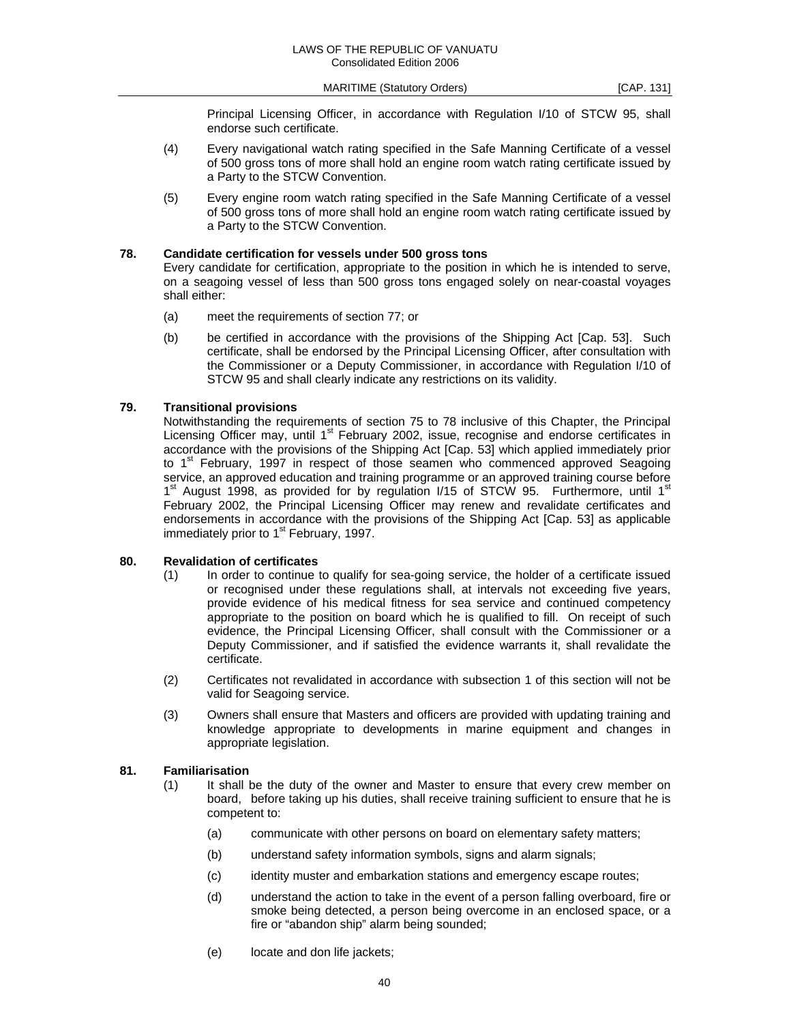Principal Licensing Officer, in accordance with Regulation I/10 of STCW 95, shall endorse such certificate.

- (4) Every navigational watch rating specified in the Safe Manning Certificate of a vessel of 500 gross tons of more shall hold an engine room watch rating certificate issued by a Party to the STCW Convention.
- (5) Every engine room watch rating specified in the Safe Manning Certificate of a vessel of 500 gross tons of more shall hold an engine room watch rating certificate issued by a Party to the STCW Convention.

## **78. Candidate certification for vessels under 500 gross tons**

 Every candidate for certification, appropriate to the position in which he is intended to serve, on a seagoing vessel of less than 500 gross tons engaged solely on near-coastal voyages shall either:

- (a) meet the requirements of section 77; or
- (b) be certified in accordance with the provisions of the Shipping Act [Cap. 53]. Such certificate, shall be endorsed by the Principal Licensing Officer, after consultation with the Commissioner or a Deputy Commissioner, in accordance with Regulation I/10 of STCW 95 and shall clearly indicate any restrictions on its validity.

#### **79. Transitional provisions**

 Notwithstanding the requirements of section 75 to 78 inclusive of this Chapter, the Principal Licensing Officer may, until 1<sup>st</sup> February 2002, issue, recognise and endorse certificates in accordance with the provisions of the Shipping Act [Cap. 53] which applied immediately prior to  $1<sup>st</sup>$  February, 1997 in respect of those seamen who commenced approved Seagoing service, an approved education and training programme or an approved training course before 1<sup>st</sup> August 1998, as provided for by regulation I/15 of STCW 95. Furthermore, until 1<sup>st</sup> February 2002, the Principal Licensing Officer may renew and revalidate certificates and endorsements in accordance with the provisions of the Shipping Act [Cap. 53] as applicable immediately prior to 1<sup>st</sup> February, 1997.

#### **80. Revalidation of certificates**

- (1) In order to continue to qualify for sea-going service, the holder of a certificate issued or recognised under these regulations shall, at intervals not exceeding five years, provide evidence of his medical fitness for sea service and continued competency appropriate to the position on board which he is qualified to fill. On receipt of such evidence, the Principal Licensing Officer, shall consult with the Commissioner or a Deputy Commissioner, and if satisfied the evidence warrants it, shall revalidate the certificate.
- (2) Certificates not revalidated in accordance with subsection 1 of this section will not be valid for Seagoing service.
- (3) Owners shall ensure that Masters and officers are provided with updating training and knowledge appropriate to developments in marine equipment and changes in appropriate legislation.

#### **81. Familiarisation**

- (1) It shall be the duty of the owner and Master to ensure that every crew member on board, before taking up his duties, shall receive training sufficient to ensure that he is competent to:
	- (a) communicate with other persons on board on elementary safety matters;
	- (b) understand safety information symbols, signs and alarm signals;
	- (c) identity muster and embarkation stations and emergency escape routes;
	- (d) understand the action to take in the event of a person falling overboard, fire or smoke being detected, a person being overcome in an enclosed space, or a fire or "abandon ship" alarm being sounded;
	- (e) locate and don life jackets;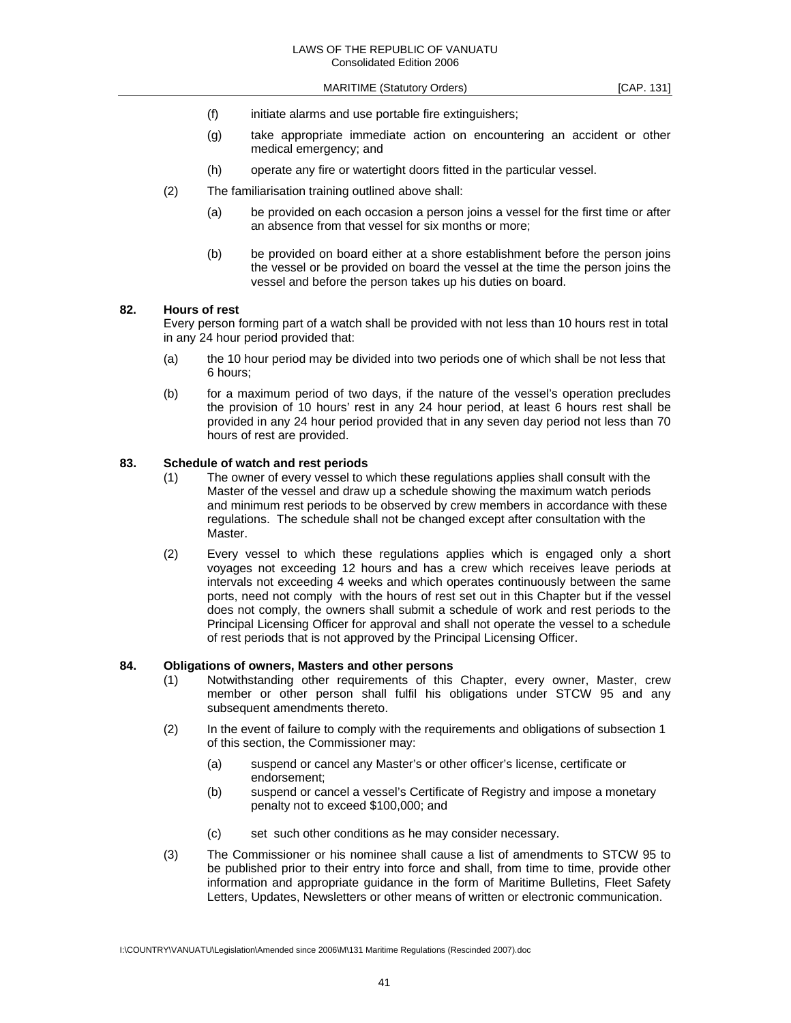- (f) initiate alarms and use portable fire extinguishers;
- (g) take appropriate immediate action on encountering an accident or other medical emergency; and
- (h) operate any fire or watertight doors fitted in the particular vessel.
- (2) The familiarisation training outlined above shall:
	- (a) be provided on each occasion a person joins a vessel for the first time or after an absence from that vessel for six months or more;
	- (b) be provided on board either at a shore establishment before the person joins the vessel or be provided on board the vessel at the time the person joins the vessel and before the person takes up his duties on board.

#### **82. Hours of rest**

 Every person forming part of a watch shall be provided with not less than 10 hours rest in total in any 24 hour period provided that:

- (a) the 10 hour period may be divided into two periods one of which shall be not less that 6 hours;
- (b) for a maximum period of two days, if the nature of the vessel's operation precludes the provision of 10 hours' rest in any 24 hour period, at least 6 hours rest shall be provided in any 24 hour period provided that in any seven day period not less than 70 hours of rest are provided.

#### **83. Schedule of watch and rest periods**

- (1) The owner of every vessel to which these regulations applies shall consult with the Master of the vessel and draw up a schedule showing the maximum watch periods and minimum rest periods to be observed by crew members in accordance with these regulations. The schedule shall not be changed except after consultation with the Master.
- (2) Every vessel to which these regulations applies which is engaged only a short voyages not exceeding 12 hours and has a crew which receives leave periods at intervals not exceeding 4 weeks and which operates continuously between the same ports, need not comply with the hours of rest set out in this Chapter but if the vessel does not comply, the owners shall submit a schedule of work and rest periods to the Principal Licensing Officer for approval and shall not operate the vessel to a schedule of rest periods that is not approved by the Principal Licensing Officer.

#### **84. Obligations of owners, Masters and other persons**

- (1) Notwithstanding other requirements of this Chapter, every owner, Master, crew member or other person shall fulfil his obligations under STCW 95 and any subsequent amendments thereto.
- (2) In the event of failure to comply with the requirements and obligations of subsection 1 of this section, the Commissioner may:
	- (a) suspend or cancel any Master's or other officer's license, certificate or endorsement;
	- (b) suspend or cancel a vessel's Certificate of Registry and impose a monetary penalty not to exceed \$100,000; and
	- (c) set such other conditions as he may consider necessary.
- (3) The Commissioner or his nominee shall cause a list of amendments to STCW 95 to be published prior to their entry into force and shall, from time to time, provide other information and appropriate guidance in the form of Maritime Bulletins, Fleet Safety Letters, Updates, Newsletters or other means of written or electronic communication.